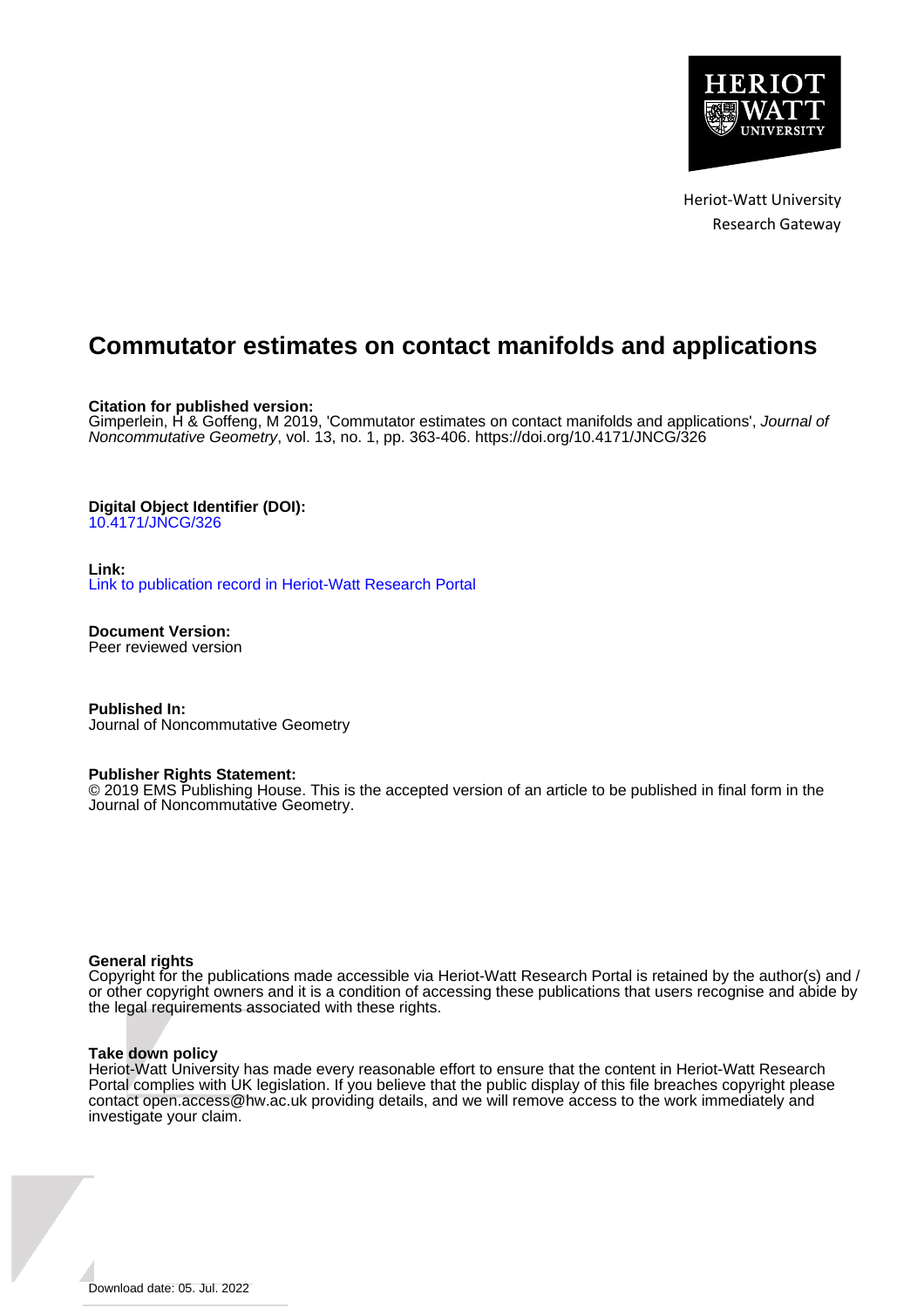

Heriot-Watt University Research Gateway

# **Commutator estimates on contact manifolds and applications**

**Citation for published version:**

Gimperlein, H & Goffeng, M 2019, 'Commutator estimates on contact manifolds and applications', Journal of Noncommutative Geometry, vol. 13, no. 1, pp. 363-406.<https://doi.org/10.4171/JNCG/326>

# **Digital Object Identifier (DOI):**

[10.4171/JNCG/326](https://doi.org/10.4171/JNCG/326)

**Link:**

[Link to publication record in Heriot-Watt Research Portal](https://researchportal.hw.ac.uk/en/publications/c194b8cb-3d9d-4b69-a362-1cd4f1d9e706)

**Document Version:** Peer reviewed version

**Published In:** Journal of Noncommutative Geometry

# **Publisher Rights Statement:**

© 2019 EMS Publishing House. This is the accepted version of an article to be published in final form in the Journal of Noncommutative Geometry.

# **General rights**

Copyright for the publications made accessible via Heriot-Watt Research Portal is retained by the author(s) and / or other copyright owners and it is a condition of accessing these publications that users recognise and abide by the legal requirements associated with these rights.

# **Take down policy**

Heriot-Watt University has made every reasonable effort to ensure that the content in Heriot-Watt Research Portal complies with UK legislation. If you believe that the public display of this file breaches copyright please contact open.access@hw.ac.uk providing details, and we will remove access to the work immediately and investigate your claim.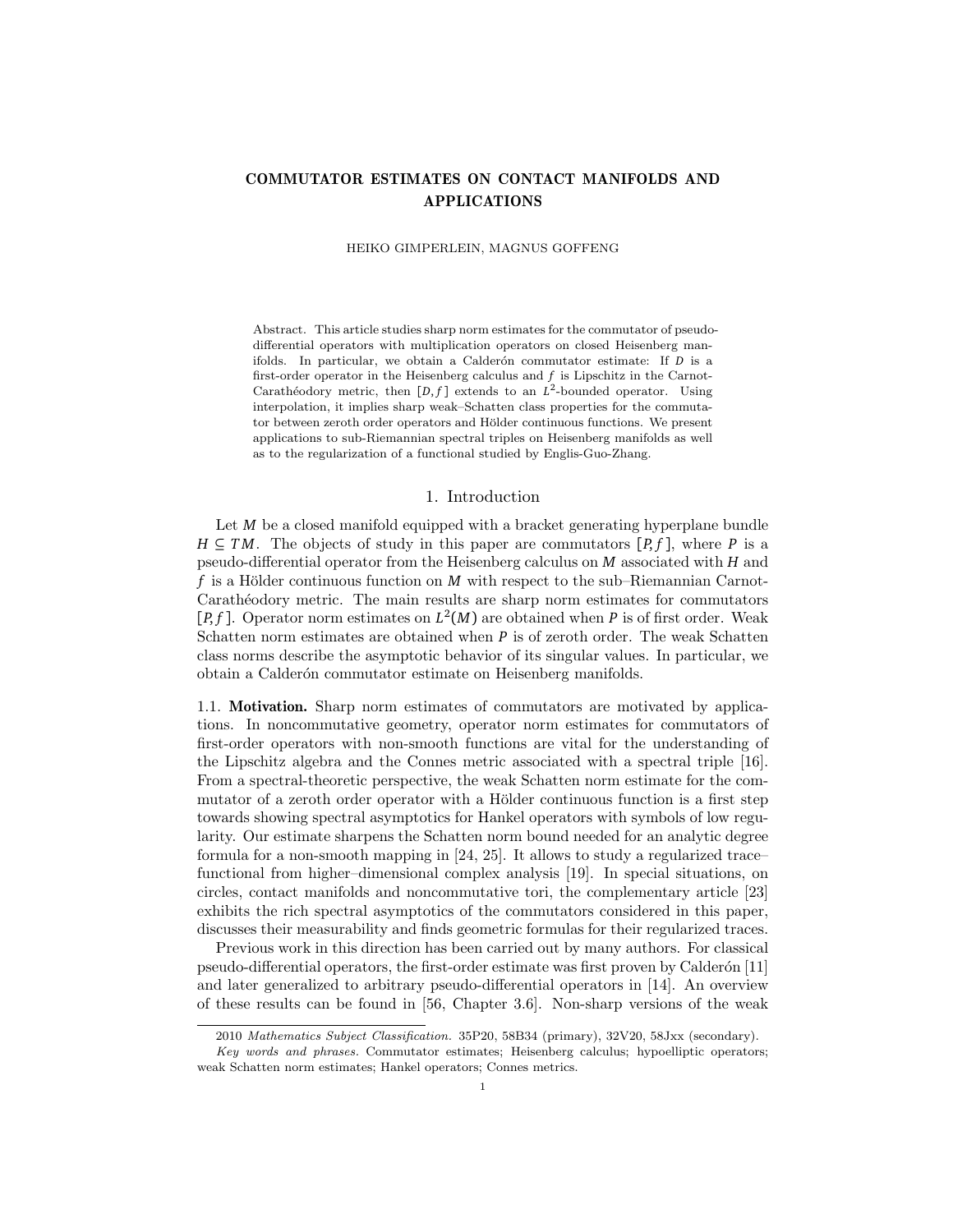# COMMUTATOR ESTIMATES ON CONTACT MANIFOLDS AND APPLICATIONS

HEIKO GIMPERLEIN, MAGNUS GOFFENG

Abstract. This article studies sharp norm estimates for the commutator of pseudodifferential operators with multiplication operators on closed Heisenberg manifolds. In particular, we obtain a Calderón commutator estimate: If *D* is a first-order operator in the Heisenberg calculus and *f* is Lipschitz in the Carnot-Carathéodory metric, then  $[D, f]$  extends to an  $L^2$ -bounded operator. Using interpolation, it implies sharp weak–Schatten class properties for the commutator between zeroth order operators and Hölder continuous functions. We present applications to sub-Riemannian spectral triples on Heisenberg manifolds as well as to the regularization of a functional studied by Englis-Guo-Zhang.

# 1. Introduction

Let *M* be a closed manifold equipped with a bracket generating hyperplane bundle *H*  $\subseteq$  *TM*. The objects of study in this paper are commutators  $[P, f]$ , where *P* is a pseudo-differential operator from the Heisenberg calculus on *M* associated with *H* and *f* is a Hölder continuous function on *M* with respect to the sub–Riemannian Carnot-Carath´eodory metric. The main results are sharp norm estimates for commutators [ $P$ ,  $f$ ]. Operator norm estimates on  $L^2(M)$  are obtained when  $P$  is of first order. Weak Schatten norm estimates are obtained when *P* is of zeroth order. The weak Schatten class norms describe the asymptotic behavior of its singular values. In particular, we obtain a Calderón commutator estimate on Heisenberg manifolds.

1.1. Motivation. Sharp norm estimates of commutators are motivated by applications. In noncommutative geometry, operator norm estimates for commutators of first-order operators with non-smooth functions are vital for the understanding of the Lipschitz algebra and the Connes metric associated with a spectral triple [16]. From a spectral-theoretic perspective, the weak Schatten norm estimate for the commutator of a zeroth order operator with a Hölder continuous function is a first step towards showing spectral asymptotics for Hankel operators with symbols of low regularity. Our estimate sharpens the Schatten norm bound needed for an analytic degree formula for a non-smooth mapping in [24, 25]. It allows to study a regularized trace– functional from higher–dimensional complex analysis [19]. In special situations, on circles, contact manifolds and noncommutative tori, the complementary article [23] exhibits the rich spectral asymptotics of the commutators considered in this paper, discusses their measurability and finds geometric formulas for their regularized traces.

Previous work in this direction has been carried out by many authors. For classical pseudo-differential operators, the first-order estimate was first proven by Calderón [11] and later generalized to arbitrary pseudo-differential operators in [14]. An overview of these results can be found in [56, Chapter 3.6]. Non-sharp versions of the weak

<sup>2010</sup> Mathematics Subject Classification. 35P20, 58B34 (primary), 32V20, 58Jxx (secondary).

Key words and phrases. Commutator estimates; Heisenberg calculus; hypoelliptic operators; weak Schatten norm estimates; Hankel operators; Connes metrics.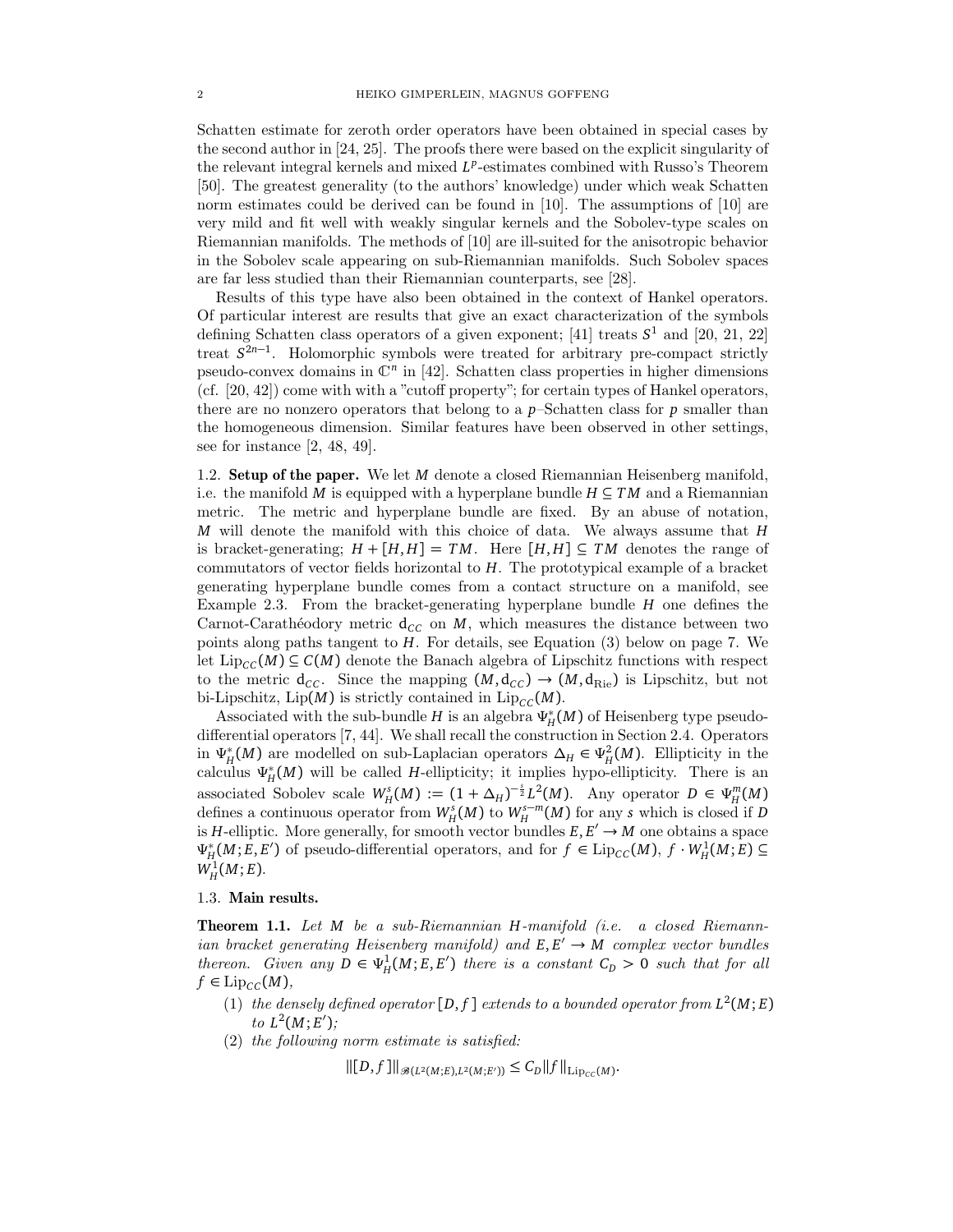Schatten estimate for zeroth order operators have been obtained in special cases by the second author in [24, 25]. The proofs there were based on the explicit singularity of the relevant integral kernels and mixed  $L^p$ -estimates combined with Russo's Theorem [50]. The greatest generality (to the authors' knowledge) under which weak Schatten norm estimates could be derived can be found in [10]. The assumptions of [10] are very mild and fit well with weakly singular kernels and the Sobolev-type scales on Riemannian manifolds. The methods of [10] are ill-suited for the anisotropic behavior in the Sobolev scale appearing on sub-Riemannian manifolds. Such Sobolev spaces are far less studied than their Riemannian counterparts, see [28].

Results of this type have also been obtained in the context of Hankel operators. Of particular interest are results that give an exact characterization of the symbols defining Schatten class operators of a given exponent; [41] treats *S* 1 and [20, 21, 22] treat *S* 2*n*−1 . Holomorphic symbols were treated for arbitrary pre-compact strictly pseudo-convex domains in  $\mathbb{C}^n$  in [42]. Schatten class properties in higher dimensions (cf. [20, 42]) come with with a "cutoff property"; for certain types of Hankel operators, there are no nonzero operators that belong to a *p*–Schatten class for *p* smaller than the homogeneous dimension. Similar features have been observed in other settings, see for instance [2, 48, 49].

1.2. Setup of the paper. We let *M* denote a closed Riemannian Heisenberg manifold, i.e. the manifold *M* is equipped with a hyperplane bundle  $H \subseteq TM$  and a Riemannian metric. The metric and hyperplane bundle are fixed. By an abuse of notation, *M* will denote the manifold with this choice of data. We always assume that *H* is bracket-generating;  $H + [H, H] = TM$ . Here  $[H, H] \subseteq TM$  denotes the range of commutators of vector fields horizontal to *H*. The prototypical example of a bracket generating hyperplane bundle comes from a contact structure on a manifold, see Example 2.3. From the bracket-generating hyperplane bundle *H* one defines the Carnot-Carathéodory metric  $d_{CC}$  on *M*, which measures the distance between two points along paths tangent to *H*. For details, see Equation (3) below on page 7. We let  $\text{Lip}_{CC}(M) \subseteq C(M)$  denote the Banach algebra of Lipschitz functions with respect to the metric  $d_{CC}$ . Since the mapping  $(M, d_{CC}) \rightarrow (M, d_{\text{Rie}})$  is Lipschitz, but not bi-Lipschitz, Lip(M) is strictly contained in  $\text{Lip}_{CC}(M)$ .

Associated with the sub-bundle *H* is an algebra  $\Psi^*_{\mu}$ *H* (*M*) of Heisenberg type pseudodifferential operators [7, 44]. We shall recall the construction in Section 2.4. Operators in *Ψ* ∗  $H_H^*(M)$  are modelled on sub-Laplacian operators  $\Delta_H \in \Psi_H^2(M)$ . Ellipticity in the calculus *Ψ* ∗ *H* (*M*) will be called *H*-ellipticity; it implies hypo-ellipticity. There is an associated Sobolev scale  $W_H^s(M) := (1 + \Delta_H)^{-\frac{s}{2}} L^2(M)$ . Any operator  $D \in \Psi_H^m(M)$ defines a continuous operator from  $W_H^s(M)$  to  $W_H^{s-m}(M)$  for any *s* which is closed if *D* is *H*-elliptic. More generally, for smooth vector bundles  $E, E' \rightarrow M$  one obtains a space *Ψ* ∗ *H*<sup>∗</sup>(*M*; *E*, *E*<sup>'</sup>) of pseudo-differential operators, and for *f* ∈ Lip<sub>*CC*</sub>(*M*), *f* · *W<sub>H</sub>*<sup>1</sup>(*M*; *E*) ⊆  $W_H^1(M; E)$ .

### 1.3. Main results.

Theorem 1.1. Let *M* be a sub-Riemannian *H*-manifold (i.e. a closed Riemannian bracket generating Heisenberg manifold) and  $E, E' \rightarrow M$  complex vector bundles thereon. Given any  $D \in \Psi_H^1(M; E, E')$  there is a constant  $C_D > 0$  such that for all  $f \in \text{Lip}_{CC}(M),$ 

- (1) the densely defined operator  $[D, f]$  extends to a bounded operator from  $L^2(M; E)$  $to L^2(M; E');$
- (2) the following norm estimate is satisfied:

 $\|[D, f]\|_{\mathscr{B}(L^2(M;E), L^2(M;E'))} \leq C_D \|f\|_{\mathrm{Lip}_{CC}(M)}.$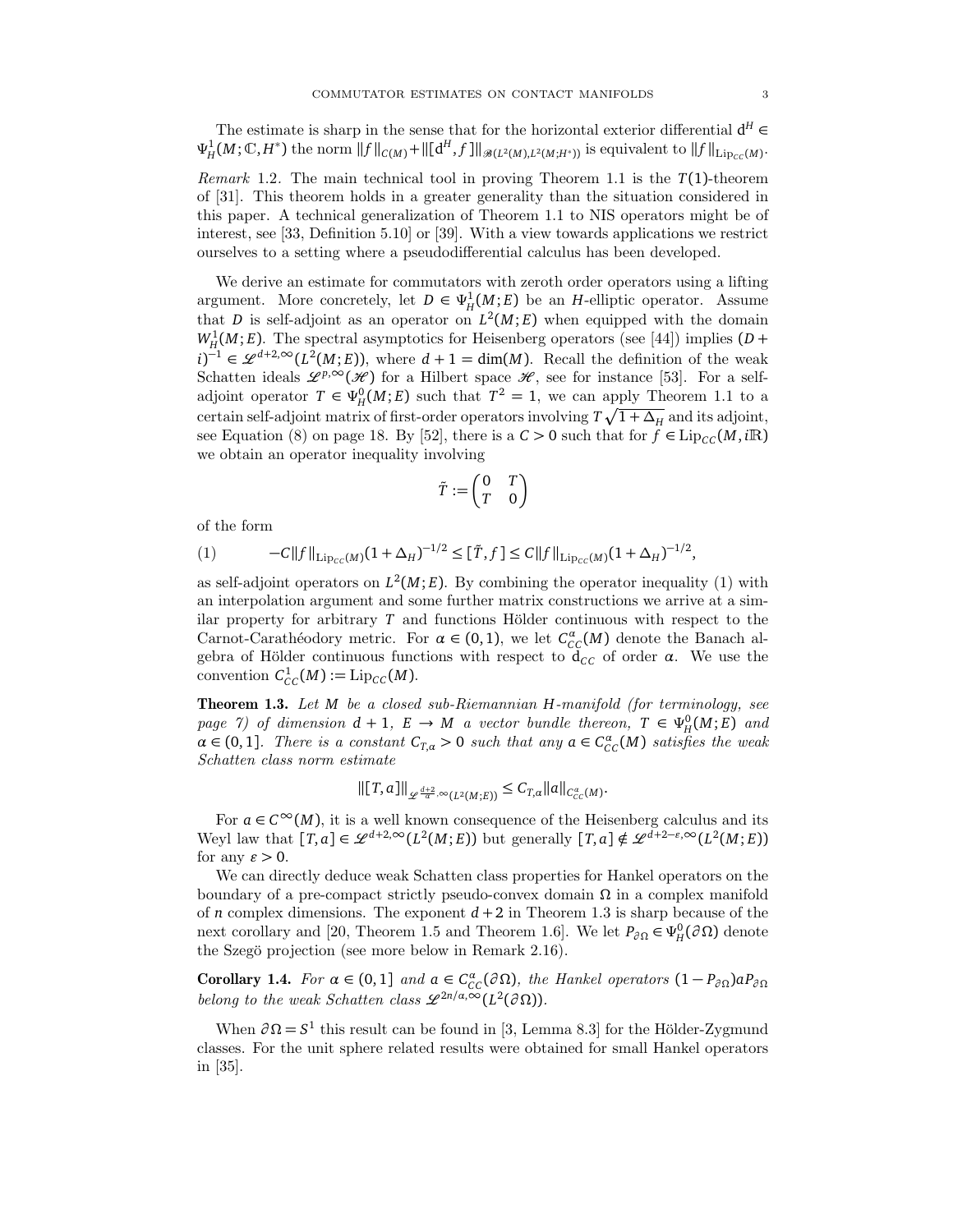The estimate is sharp in the sense that for the horizontal exterior differential  $d^H \in$  $\Psi_H^1(M; \mathbb{C}, H^*)$  the norm  $||f||_{C(M)} + ||[d^H, f]||_{\mathscr{B}(L^2(M), L^2(M; H^*))}$  is equivalent to  $||f||_{\text{Lip}_{CC}(M)}$ .

Remark 1.2. The main technical tool in proving Theorem 1.1 is the *T*(1)-theorem of [31]. This theorem holds in a greater generality than the situation considered in this paper. A technical generalization of Theorem 1.1 to NIS operators might be of interest, see [33, Definition 5.10] or [39]. With a view towards applications we restrict ourselves to a setting where a pseudodifferential calculus has been developed.

We derive an estimate for commutators with zeroth order operators using a lifting argument. More concretely, let  $D \in \Psi_H^1(M; E)$  be an *H*-elliptic operator. Assume that *D* is self-adjoint as an operator on  $L^2(M; E)$  when equipped with the domain  $W_H^1(M; E)$ . The spectral asymptotics for Heisenberg operators (see [44]) implies (*D* + *i*)<sup> $-1$ </sup> ∈  $\mathscr{L}^{d+2,\infty}(L^2(M; E))$ , where *d* + 1 = dim(*M*). Recall the definition of the weak Schatten ideals  $\mathscr{L}^{p,\infty}(\mathscr{H})$  for a Hilbert space  $\mathscr{H}$ , see for instance [53]. For a selfadjoint operator  $T \in \Psi_H^0(M; E)$  such that  $T^2 = 1$ , we can apply Theorem 1.1 to a certain self-adjoint matrix of first-order operators involving  $T\sqrt{1 + \Delta_H}$  and its adjoint, see Equation (8) on page 18. By [52], there is a  $C > 0$  such that for  $f \in Lip_{CC}(M, i\mathbb{R})$ we obtain an operator inequality involving

$$
\tilde{T}:=\begin{pmatrix}0&T\\T&0\end{pmatrix}
$$

of the form

(1) 
$$
-C||f||_{\mathrm{Lip}_{CC}(M)}(1+\Delta_H)^{-1/2} \leq [\tilde{T},f] \leq C||f||_{\mathrm{Lip}_{CC}(M)}(1+\Delta_H)^{-1/2},
$$

as self-adjoint operators on  $L^2(M; E)$ . By combining the operator inequality (1) with an interpolation argument and some further matrix constructions we arrive at a similar property for arbitrary  $T$  and functions Hölder continuous with respect to the Carnot-Carathéodory metric. For  $\alpha \in (0,1)$ , we let  $C^{\alpha}_{CC}(M)$  denote the Banach algebra of Hölder continuous functions with respect to  $\overline{d}_{CC}$  of order  $\alpha$ . We use the convention  $C_{CC}^1(M) := \text{Lip}_{CC}(M)$ .

Theorem 1.3. Let *M* be a closed sub-Riemannian *H*-manifold (for terminology, see page 7) of dimension  $d + 1$ ,  $E \rightarrow M$  a vector bundle thereon,  $T \in \Psi_H^0(M; E)$  and  $\alpha \in (0,1]$ . There is a constant  $C_{T,\alpha} > 0$  such that any  $\alpha \in C_{CC}^{\alpha}(M)$  satisfies the weak Schatten class norm estimate

$$
\left\|[T,a]\right\|_{\mathscr{L}^{\frac{d+2}{\alpha},\infty}(L^2(M;E))} \leq C_{T,\alpha} \|a\|_{C^{\alpha}_{CC}(M)}.
$$

For  $a \in C^{\infty}(M)$ , it is a well known consequence of the Heisenberg calculus and its Weyl law that  $[T, a] \in \mathscr{L}^{d+2, \infty}(L^2(M; E))$  but generally  $[T, a] \notin \mathscr{L}^{\tilde{d}+2-\varepsilon, \infty}(L^2(M; E))$ for any  $\varepsilon > 0$ .

We can directly deduce weak Schatten class properties for Hankel operators on the boundary of a pre-compact strictly pseudo-convex domain *Ω* in a complex manifold of *n* complex dimensions. The exponent  $d+2$  in Theorem 1.3 is sharp because of the next corollary and [20, Theorem 1.5 and Theorem 1.6]. We let  $P_{\partial\Omega} \in \Psi_H^0(\partial\Omega)$  denote the Szegö projection (see more below in Remark 2.16).

Corollary 1.4. For  $\alpha \in (0,1]$  and  $\alpha \in C^{\alpha}_{CC}(\partial \Omega)$ , the Hankel operators  $(1-P_{\partial \Omega})\alpha P_{\partial \Omega}$ belong to the weak Schatten class  $\mathscr{L}^{2n/a,\infty}(L^2(\partial\Omega)).$ 

When  $\partial \Omega = S^1$  this result can be found in [3, Lemma 8.3] for the Hölder-Zygmund classes. For the unit sphere related results were obtained for small Hankel operators in [35].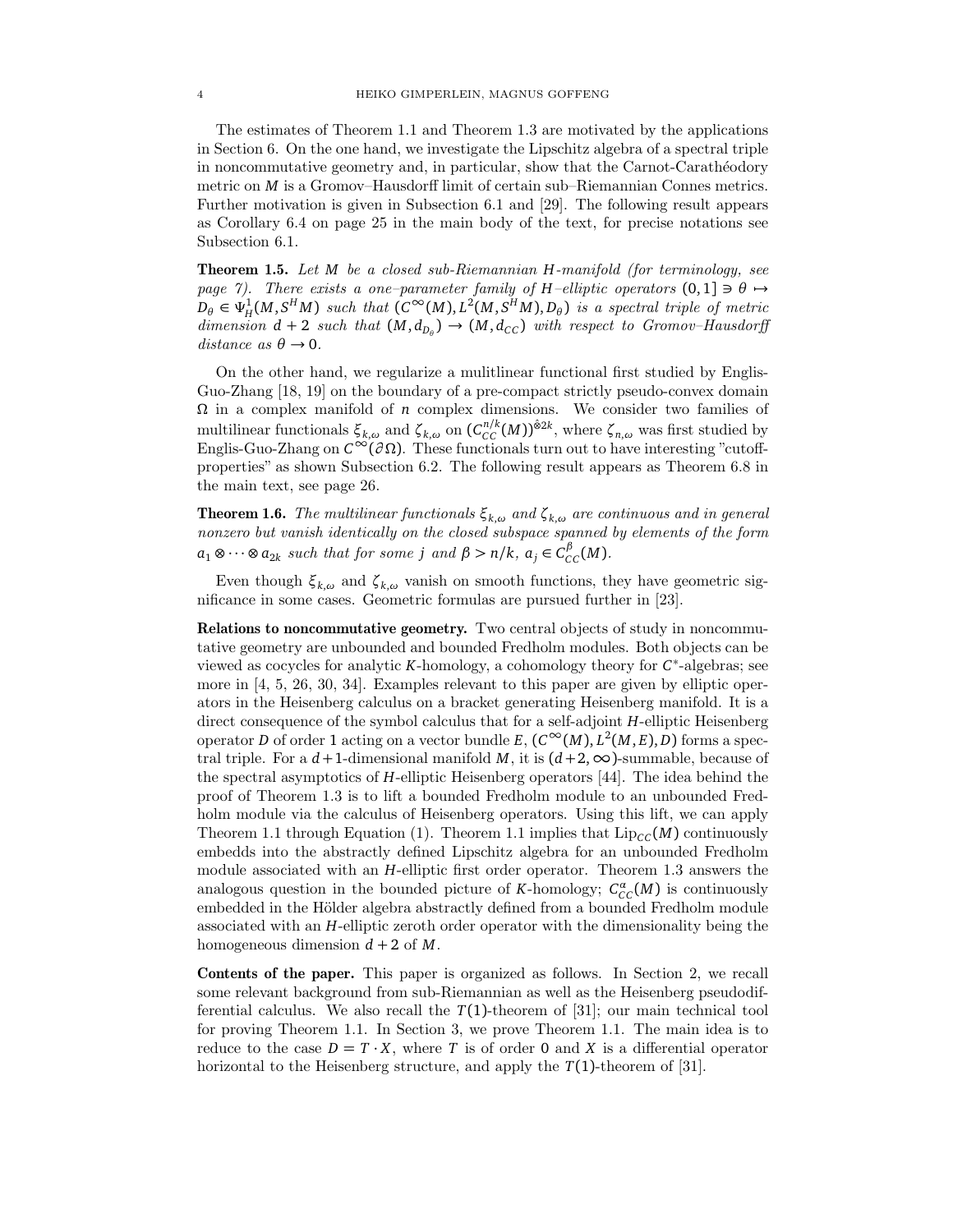The estimates of Theorem 1.1 and Theorem 1.3 are motivated by the applications in Section 6. On the one hand, we investigate the Lipschitz algebra of a spectral triple in noncommutative geometry and, in particular, show that the Carnot-Carathéodory metric on *M* is a Gromov–Hausdorff limit of certain sub–Riemannian Connes metrics. Further motivation is given in Subsection 6.1 and [29]. The following result appears as Corollary 6.4 on page 25 in the main body of the text, for precise notations see Subsection 6.1.

Theorem 1.5. Let *M* be a closed sub-Riemannian *H*-manifold (for terminology, see page 7). There exists a one-parameter family of *H*–elliptic operators  $(0,1] \ni \theta \mapsto$  $D_{\theta} \in \Psi_H^1(M, S^HM)$  such that  $(C^{\infty}(M), L^2(M, S^HM), D_{\theta})$  is a spectral triple of metric dimension  $d + 2$  such that  $(M, d_{D_{\theta}}) \rightarrow (M, d_{CC})$  with respect to Gromov–Hausdorff  $distance \; as \; \theta \rightarrow 0.$ 

On the other hand, we regularize a mulitlinear functional first studied by Englis-Guo-Zhang [18, 19] on the boundary of a pre-compact strictly pseudo-convex domain *Ω* in a complex manifold of *n* complex dimensions. We consider two families of multilinear functionals  $\xi_{k,\omega}$  and  $\zeta_{k,\omega}$  on  $(C_{CC}^{n/k}(M))^{\hat{\otimes}2k}$ , where  $\zeta_{n,\omega}$  was first studied by Englis-Guo-Zhang on *<sup>C</sup>*<sup>∞</sup>(*<sup>∂</sup> <sup>Ω</sup>*). These functionals turn out to have interesting "cutoffproperties" as shown Subsection 6.2. The following result appears as Theorem 6.8 in the main text, see page 26.

**Theorem 1.6.** The multilinear functionals  $\xi_{k,\omega}$  and  $\zeta_{k,\omega}$  are continuous and in general nonzero but vanish identically on the closed subspace spanned by elements of the form  $a_1 \otimes \cdots \otimes a_{2k}$  such that for some *j* and  $\beta > n/k$ ,  $a_j \in C_{CC}^{\beta}(M)$ .

Even though  $ξ_{k,ω}$  and  $ζ_{k,ω}$  vanish on smooth functions, they have geometric significance in some cases. Geometric formulas are pursued further in [23].

Relations to noncommutative geometry. Two central objects of study in noncommutative geometry are unbounded and bounded Fredholm modules. Both objects can be viewed as cocycles for analytic *K*-homology, a cohomology theory for *C* ∗ -algebras; see more in [4, 5, 26, 30, 34]. Examples relevant to this paper are given by elliptic operators in the Heisenberg calculus on a bracket generating Heisenberg manifold. It is a direct consequence of the symbol calculus that for a self-adjoint *H*-elliptic Heisenberg operator *D* of order 1 acting on a vector bundle  $E$ ,  $(C^{\infty}(M), L^2(M, E), D)$  forms a spectral triple. For a  $d+1$ -dimensional manifold *M*, it is  $(d+2,\infty)$ -summable, because of the spectral asymptotics of *H*-elliptic Heisenberg operators [44]. The idea behind the proof of Theorem 1.3 is to lift a bounded Fredholm module to an unbounded Fredholm module via the calculus of Heisenberg operators. Using this lift, we can apply Theorem 1.1 through Equation (1). Theorem 1.1 implies that  $\text{Lip}_{CC}(M)$  continuously embedds into the abstractly defined Lipschitz algebra for an unbounded Fredholm module associated with an *H*-elliptic first order operator. Theorem 1.3 answers the analogous question in the bounded picture of *K*-homology;  $C_{CC}^{\alpha}(M)$  is continuously embedded in the Hölder algebra abstractly defined from a bounded Fredholm module associated with an *H*-elliptic zeroth order operator with the dimensionality being the homogeneous dimension  $d + 2$  of M.

Contents of the paper. This paper is organized as follows. In Section 2, we recall some relevant background from sub-Riemannian as well as the Heisenberg pseudodifferential calculus. We also recall the  $T(1)$ -theorem of [31]; our main technical tool for proving Theorem 1.1. In Section 3, we prove Theorem 1.1. The main idea is to reduce to the case  $D = T \cdot X$ , where *T* is of order 0 and *X* is a differential operator horizontal to the Heisenberg structure, and apply the *T*(1)-theorem of [31].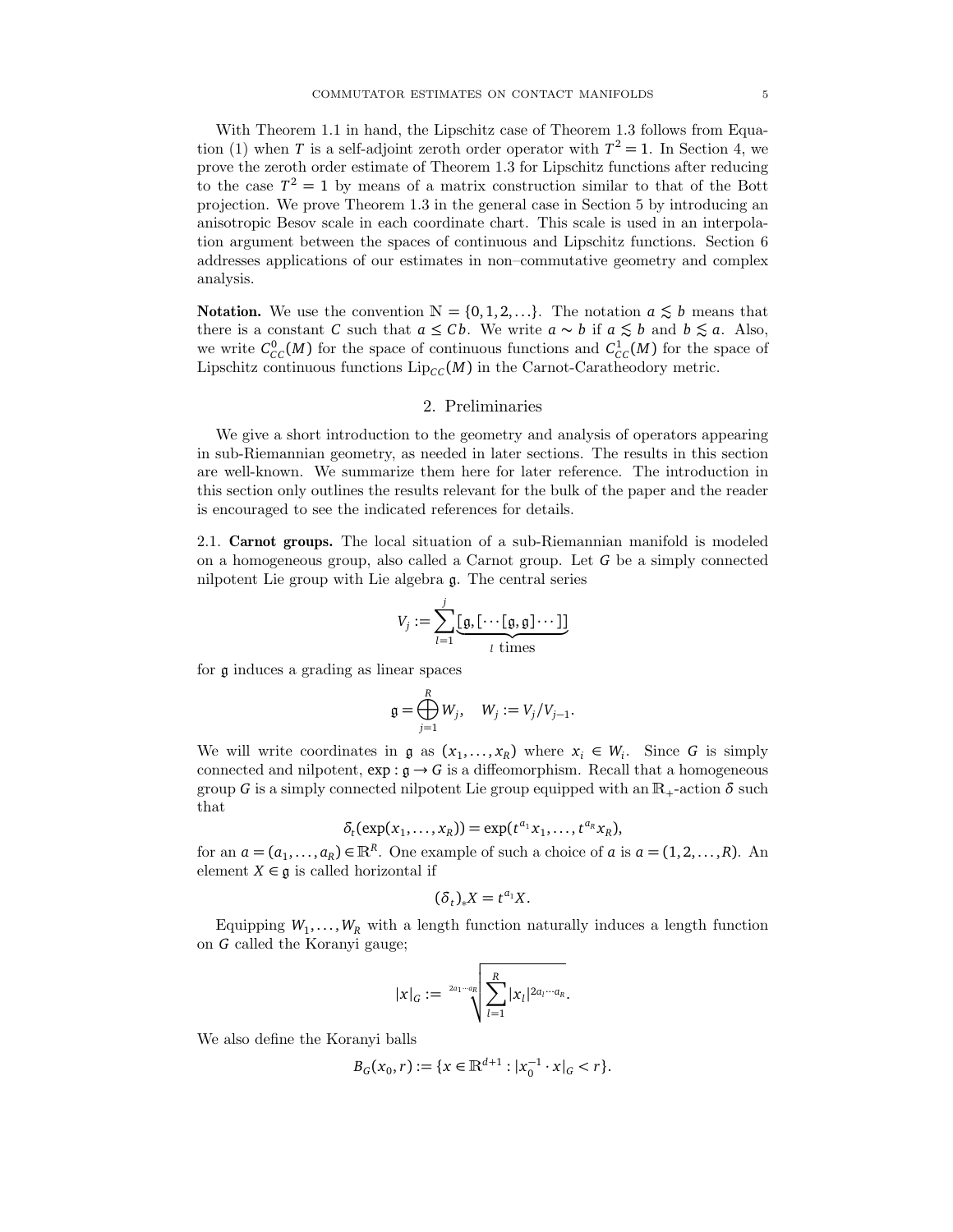With Theorem 1.1 in hand, the Lipschitz case of Theorem 1.3 follows from Equation (1) when *T* is a self-adjoint zeroth order operator with  $T^2 = 1$ . In Section 4, we prove the zeroth order estimate of Theorem 1.3 for Lipschitz functions after reducing to the case  $T^2 = 1$  by means of a matrix construction similar to that of the Bott projection. We prove Theorem 1.3 in the general case in Section 5 by introducing an anisotropic Besov scale in each coordinate chart. This scale is used in an interpolation argument between the spaces of continuous and Lipschitz functions. Section 6 addresses applications of our estimates in non–commutative geometry and complex analysis.

**Notation.** We use the convention  $N = \{0, 1, 2, ...\}$ . The notation  $a \lesssim b$  means that there is a constant *C* such that  $a \leq Cb$ . We write  $a \sim b$  if  $a \leq b$  and  $b \leq a$ . Also, we write  $C_{CC}^{0}(M)$  for the space of continuous functions and  $C_{CC}^{1}(M)$  for the space of Lipschitz continuous functions  $\text{Lip}_{CC}(M)$  in the Carnot-Caratheodory metric.

#### 2. Preliminaries

We give a short introduction to the geometry and analysis of operators appearing in sub-Riemannian geometry, as needed in later sections. The results in this section are well-known. We summarize them here for later reference. The introduction in this section only outlines the results relevant for the bulk of the paper and the reader is encouraged to see the indicated references for details.

2.1. Carnot groups. The local situation of a sub-Riemannian manifold is modeled on a homogeneous group, also called a Carnot group. Let *G* be a simply connected nilpotent Lie group with Lie algebra g. The central series

$$
V_j := \sum_{l=1}^j \underbrace{[\mathfrak{g}, [\cdots[\mathfrak{g}, \mathfrak{g}] \cdots ]]}_{l \text{ times}}
$$

for g induces a grading as linear spaces

$$
\mathfrak{g} = \bigoplus_{j=1}^R W_j, \quad W_j := V_j/V_{j-1}.
$$

We will write coordinates in  $\mathfrak{g}$  as  $(x_1, \ldots, x_R)$  where  $x_i \in W_i$ . Since G is simply connected and nilpotent,  $\exp : \mathfrak{g} \to G$  is a diffeomorphism. Recall that a homogeneous group *G* is a simply connected nilpotent Lie group equipped with an  $\mathbb{R}_{+}$ -action  $\delta$  such that

$$
\delta_t(\exp(x_1,\ldots,x_R))=\exp(t^{a_1}x_1,\ldots,t^{a_R}x_R),
$$

for an  $a = (a_1, \ldots, a_R) \in \mathbb{R}^R$ . One example of such a choice of *a* is  $a = (1, 2, \ldots, R)$ . An element  $X \in \mathfrak{g}$  is called horizontal if

$$
(\delta_t)_*X=t^{a_1}X.
$$

Equipping  $W_1, \ldots, W_R$  with a length function naturally induces a length function on *G* called the Koranyi gauge;

$$
|x|_G := \sqrt[2a_1-a_R} \sqrt{\sum_{l=1}^R |x_l|^{2a_l\cdots a_R}}.
$$

We also define the Koranyi balls

$$
B_G(x_0,r) := \{x \in \mathbb{R}^{d+1} : |x_0^{-1} \cdot x|_G < r\}.
$$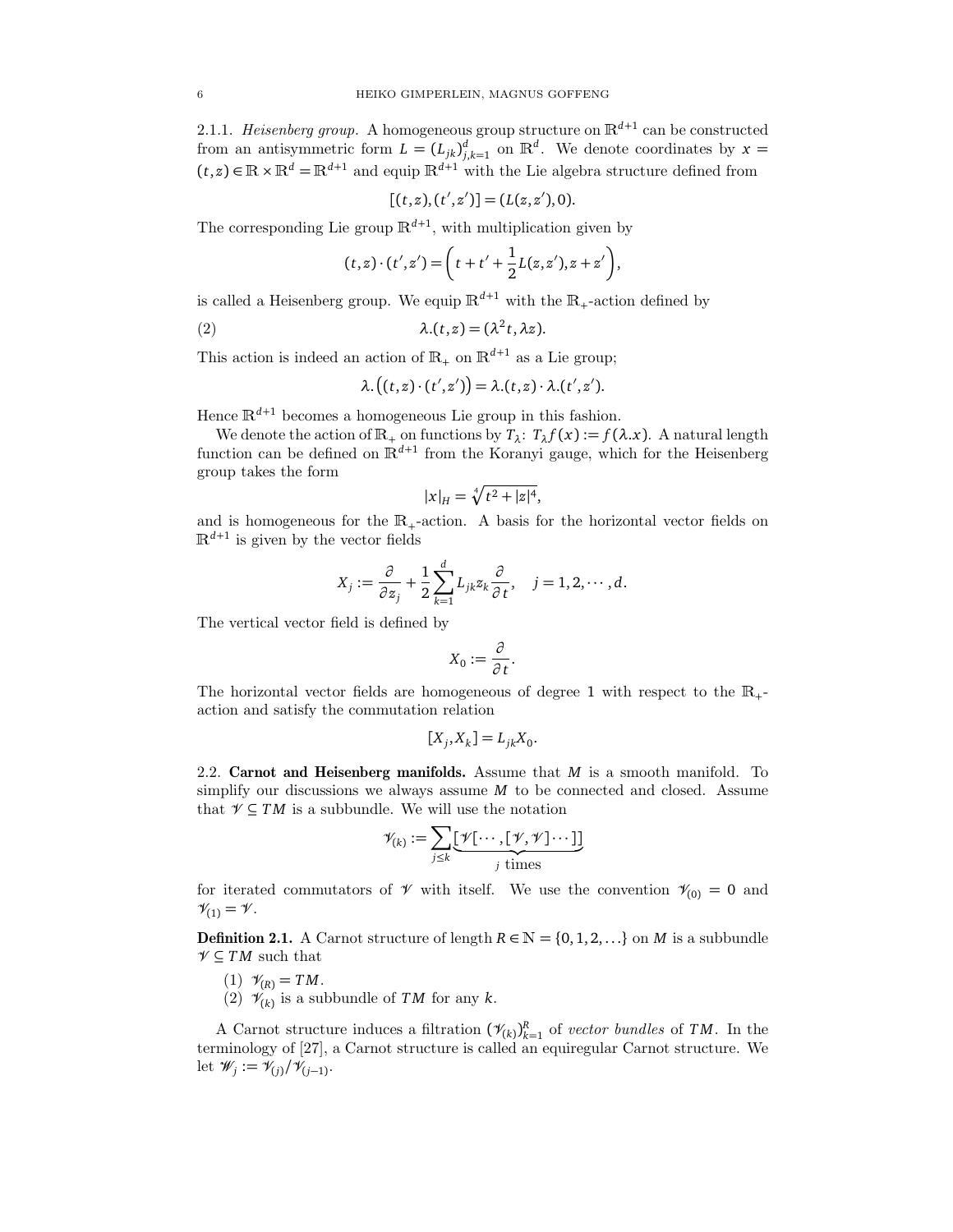2.1.1. Heisenberg group. A homogeneous group structure on  $\mathbb{R}^{d+1}$  can be constructed from an antisymmetric form  $L = (L_{jk})_{j,k=1}^d$  on  $\mathbb{R}^d$ . We denote coordinates by  $x =$  $(t, z) \in \mathbb{R} \times \mathbb{R}^d = \mathbb{R}^{d+1}$  and equip  $\mathbb{R}^{d+1}$  with the Lie algebra structure defined from

$$
[(t,z),(t',z')] = (L(z,z'),0).
$$

The corresponding Lie group  $\mathbb{R}^{d+1}$ , with multiplication given by

$$
(t,z)\cdot (t',z') = \left(t + t' + \frac{1}{2}L(z,z'), z + z'\right),
$$

is called a Heisenberg group. We equip  $\mathbb{R}^{d+1}$  with the  $\mathbb{R}_{+}$ -action defined by

(2) 
$$
\lambda(t,z) = (\lambda^2 t, \lambda z).
$$

This action is indeed an action of  $\mathbb{R}_+$  on  $\mathbb{R}^{d+1}$  as a Lie group;

$$
\lambda.\big((t,z)\cdot(t',z')\big)=\lambda.(t,z)\cdot\lambda.(t',z').
$$

Hence  $\mathbb{R}^{d+1}$  becomes a homogeneous Lie group in this fashion.

We denote the action of  $\mathbb{R}_+$  on functions by  $T_\lambda$ :  $T_\lambda f(x) := f(\lambda x)$ . A natural length function can be defined on  $\mathbb{R}^{d+1}$  from the Koranyi gauge, which for the Heisenberg group takes the form

$$
|x|_{H} = \sqrt[4]{t^2 + |z|^4},
$$

and is homogeneous for the  $\mathbb{R}_+$ -action. A basis for the horizontal vector fields on  $\mathbb{R}^{d+1}$  is given by the vector fields

$$
X_j := \frac{\partial}{\partial z_j} + \frac{1}{2} \sum_{k=1}^d L_{jk} z_k \frac{\partial}{\partial t}, \quad j = 1, 2, \cdots, d.
$$

The vertical vector field is defined by

$$
X_0:=\frac{\partial}{\partial t}.
$$

The horizontal vector fields are homogeneous of degree 1 with respect to the  $\mathbb{R}_+$ action and satisfy the commutation relation

$$
[X_j, X_k] = L_{jk} X_0.
$$

2.2. Carnot and Heisenberg manifolds. Assume that *M* is a smooth manifold. To simplify our discussions we always assume *M* to be connected and closed. Assume that  $\mathcal{V} \subseteq TM$  is a subbundle. We will use the notation

$$
\mathscr{V}_{(k)} := \sum_{j \leq k} \underbrace{[\mathscr{V}[\cdots,[\mathscr{V},\mathscr{V}]\cdots]]}_{j \text{ times}}
$$

for iterated commutators of  $\mathcal V$  with itself. We use the convention  $\mathcal V_{(0)} = 0$  and  $\mathcal{V}_{(1)} = \mathcal{V}$ .

**Definition 2.1.** A Carnot structure of length  $R \in \mathbb{N} = \{0, 1, 2, ...\}$  on *M* is a subbundle  $\mathcal{V} \subseteq TM$  such that

- (1)  $V_{(R)} = TM$ .
- (2)  $\mathcal{V}_{(k)}$  is a subbundle of *TM* for any *k*.

A Carnot structure induces a filtration  $(\mathcal{V}_{(k)})_{k=1}^R$  of *vector bundles* of *TM*. In the terminology of [27], a Carnot structure is called an equiregular Carnot structure. We let  $\mathscr{W}_j := \mathscr{V}_{(j)}/\mathscr{V}_{(j-1)}$ .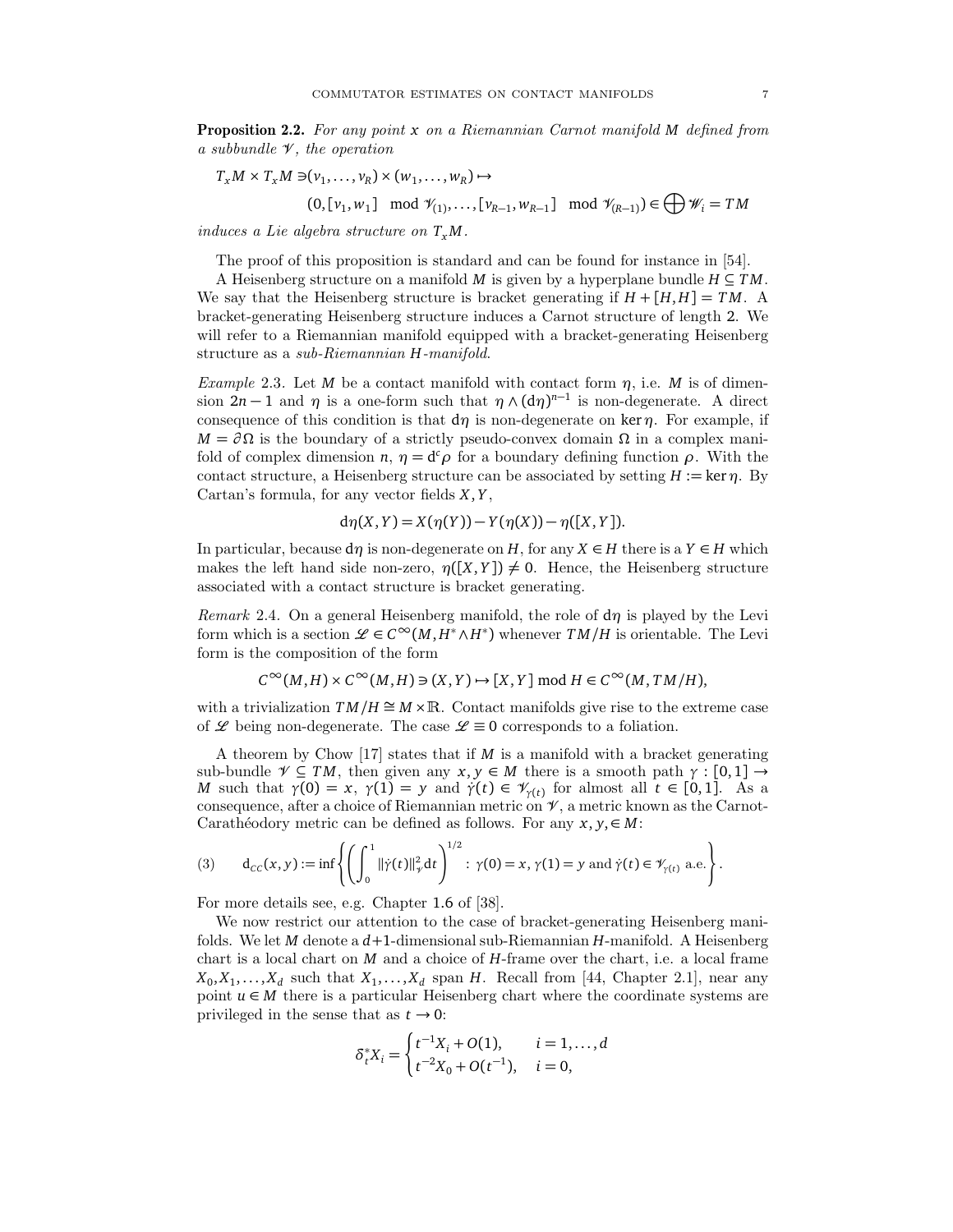Proposition 2.2. For any point *x* on a Riemannian Carnot manifold *M* defined from a subbundle  $\mathcal V$ , the operation

$$
T_x M \times T_x M \ni (v_1, \dots, v_R) \times (w_1, \dots, w_R) \mapsto
$$
  
(0,  $[v_1, w_1]$  mod  $\mathcal{V}_{(1)}, \dots, [v_{R-1}, w_{R-1}]$  mod  $\mathcal{V}_{(R-1)}) \in \bigoplus \mathcal{W}_i = TM$ 

induces a Lie algebra structure on *T<sup>x</sup> M*.

The proof of this proposition is standard and can be found for instance in [54].

A Heisenberg structure on a manifold *M* is given by a hyperplane bundle  $H \subseteq TM$ . We say that the Heisenberg structure is bracket generating if  $H + [H, H] = TM$ . A bracket-generating Heisenberg structure induces a Carnot structure of length 2. We will refer to a Riemannian manifold equipped with a bracket-generating Heisenberg structure as a sub-Riemannian *H*-manifold.

Example 2.3. Let *M* be a contact manifold with contact form  $\eta$ , i.e. *M* is of dimension  $2n-1$  and  $\eta$  is a one-form such that  $\eta \wedge (d\eta)^{n-1}$  is non-degenerate. A direct consequence of this condition is that  $d\eta$  is non-degenerate on ker  $\eta$ . For example, if  $M = \partial \Omega$  is the boundary of a strictly pseudo-convex domain  $\Omega$  in a complex manifold of complex dimension  $n, \eta = d^c \rho$  for a boundary defining function  $\rho$ . With the contact structure, a Heisenberg structure can be associated by setting  $H := \text{ker } \eta$ . By Cartan's formula, for any vector fields *X*, *Y* ,

$$
d\eta(X,Y) = X(\eta(Y)) - Y(\eta(X)) - \eta([X,Y]).
$$

In particular, because  $d\eta$  is non-degenerate on *H*, for any  $X \in H$  there is a  $Y \in H$  which makes the left hand side non-zero,  $\eta([X, Y]) \neq 0$ . Hence, the Heisenberg structure associated with a contact structure is bracket generating.

Remark 2.4. On a general Heisenberg manifold, the role of d*η* is played by the Levi form which is a section  $\mathscr{L} \in C^{\infty}(M, H^* \wedge H^*)$  whenever  $TM/H$  is orientable. The Levi form is the composition of the form

 $C^{\infty}(M, H) \times C^{\infty}(M, H) \ni (X, Y) \mapsto [X, Y] \mod H \in C^{\infty}(M, TM/H),$ 

with a trivialization  $TM/H \cong M \times \mathbb{R}$ . Contact manifolds give rise to the extreme case of  $\mathscr L$  being non-degenerate. The case  $\mathscr L \equiv 0$  corresponds to a foliation.

A theorem by Chow [17] states that if *M* is a manifold with a bracket generating sub-bundle  $\mathcal{V} \subseteq TM$ , then given any  $x, y \in M$  there is a smooth path  $\gamma : [0, 1] \rightarrow$ *M* such that  $\gamma(0) = x$ ,  $\gamma(1) = y$  and  $\gamma(t) \in V_{\gamma(t)}$  for almost all  $t \in [0,1]$ . As a consequence, after a choice of Riemannian metric on  $\mathcal V$ , a metric known as the Carnot-Carathéodory metric can be defined as follows. For any  $x, y \in M$ :

(3) 
$$
d_{CC}(x, y) := \inf \left\{ \left( \int_0^1 ||\dot{\gamma}(t)||_{\gamma}^2 dt \right)^{1/2} : \gamma(0) = x, \gamma(1) = y \text{ and } \dot{\gamma}(t) \in \mathcal{V}_{\gamma(t)} \text{ a.e.} \right\}.
$$

For more details see, e.g. Chapter 1.6 of [38].

We now restrict our attention to the case of bracket-generating Heisenberg manifolds. We let *M* denote a *d*+1-dimensional sub-Riemannian *H*-manifold. A Heisenberg chart is a local chart on *M* and a choice of *H*-frame over the chart, i.e. a local frame  $X_0, X_1, \ldots, X_d$  such that  $X_1, \ldots, X_d$  span *H*. Recall from [44, Chapter 2.1], near any point  $u \in M$  there is a particular Heisenberg chart where the coordinate systems are privileged in the sense that as  $t \to 0$ :

$$
\delta_t^* X_i = \begin{cases} t^{-1} X_i + O(1), & i = 1, ..., d \\ t^{-2} X_0 + O(t^{-1}), & i = 0, \end{cases}
$$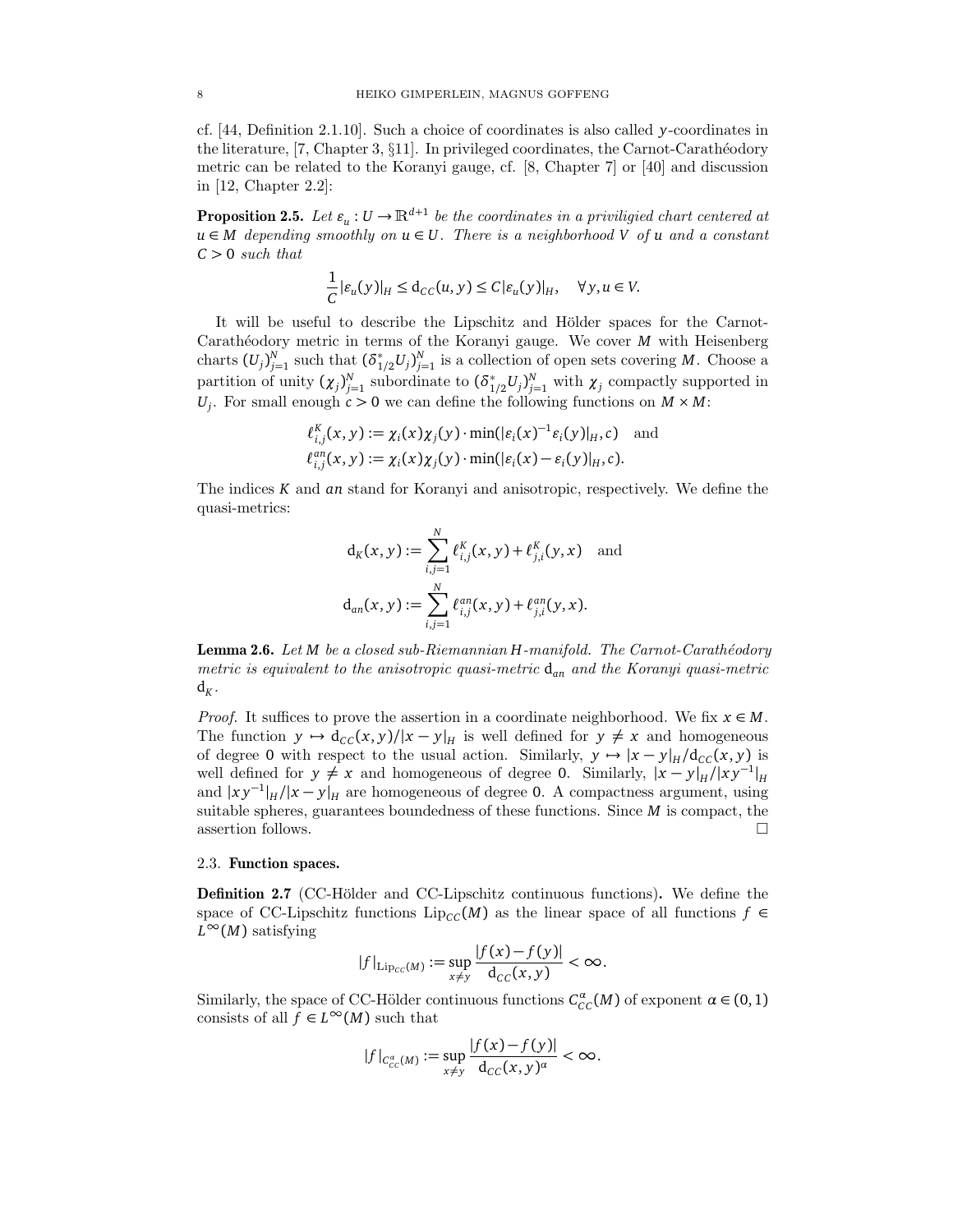cf. [44, Definition 2.1.10]. Such a choice of coordinates is also called *y*-coordinates in the literature,  $[7, Chapter 3, §11]$ . In privileged coordinates, the Carnot-Carathéodory metric can be related to the Koranyi gauge, cf. [8, Chapter 7] or [40] and discussion in [12, Chapter 2.2]:

**Proposition 2.5.** Let  $\varepsilon_u : U \to \mathbb{R}^{d+1}$  be the coordinates in a priviligied chart centered at *u* ∈ *M* depending smoothly on *u* ∈ *U*. There is a neighborhood *V* of *u* and a constant *C >* 0 such that

$$
\frac{1}{C}|\varepsilon_u(y)|_H \leq d_{CC}(u, y) \leq C|\varepsilon_u(y)|_H, \quad \forall y, u \in V.
$$

It will be useful to describe the Lipschitz and Hölder spaces for the Carnot-Carathéodory metric in terms of the Koranyi gauge. We cover *M* with Heisenberg charts  $(U_j)_{j=1}^N$  such that  $(\delta_1^*$  $i_{1/2}^{*}U_{j}$  is a collection of open sets covering *M*. Choose a partition of unity  $(\chi_j)_{j=1}^N$  subordinate to  $(\delta_1^*$  $_{1/2}^* U_j$ <sup>*N*</sup><sub>*j*=1</sub> with  $\chi_j$  compactly supported in *U*<sub>*j*</sub>. For small enough  $c > 0$  we can define the following functions on  $M \times M$ :

$$
\ell_{i,j}^K(x,y) := \chi_i(x)\chi_j(y) \cdot \min(|\varepsilon_i(x)^{-1}\varepsilon_i(y)|_H, c)
$$
 and  

$$
\ell_{i,j}^{an}(x,y) := \chi_i(x)\chi_j(y) \cdot \min(|\varepsilon_i(x) - \varepsilon_i(y)|_H, c).
$$

The indices *K* and *an* stand for Koranyi and anisotropic, respectively. We define the quasi-metrics:

$$
d_K(x, y) := \sum_{i,j=1}^N \ell_{i,j}^K(x, y) + \ell_{j,i}^K(y, x)
$$
 and  

$$
d_{an}(x, y) := \sum_{i,j=1}^N \ell_{i,j}^{an}(x, y) + \ell_{j,i}^{an}(y, x).
$$

Lemma 2.6. Let *M* be a closed sub-Riemannian *H*-manifold. The Carnot-Carathéodory metric is equivalent to the anisotropic quasi-metric d*an* and the Koranyi quasi-metric  $d_K$  .

*Proof.* It suffices to prove the assertion in a coordinate neighborhood. We fix  $x \in M$ . The function  $y \mapsto d_{CC}(x, y)/|x - y|_H$  is well defined for  $y \neq x$  and homogeneous of degree 0 with respect to the usual action. Similarly,  $y \mapsto |x - y|_H / d_{CC}(x, y)$  is well defined for  $y \neq x$  and homogeneous of degree 0. Similarly,  $|x - y|_H / |xy^{-1}|_H$ and  $|xy^{-1}|_H/|x-y|_H$  are homogeneous of degree 0. A compactness argument, using suitable spheres, guarantees boundedness of these functions. Since *M* is compact, the assertion follows.  $\Box$ 

#### 2.3. Function spaces.

**Definition 2.7** (CC-Hölder and CC-Lipschitz continuous functions). We define the space of CC-Lipschitz functions Lip<sub>CC</sub>(*M*) as the linear space of all functions  $f \in$  $L^{\infty}(M)$  satisfying

$$
|f|_{\mathrm{Lip}_{CC}(M)} := \sup_{x \neq y} \frac{|f(x) - f(y)|}{\mathrm{d}_{CC}(x, y)} < \infty.
$$

Similarly, the space of CC-Hölder continuous functions  $C^{\alpha}_{CC}(M)$  of exponent  $\alpha \in (0,1)$ consists of all  $f \in L^{\infty}(M)$  such that

$$
|f|_{C^{\alpha}_{CC}(M)}:=\sup_{x\neq y}\frac{|f(x)-f(y)|}{\mathrm{d}_{CC}(x,y)^{\alpha}}<\infty.
$$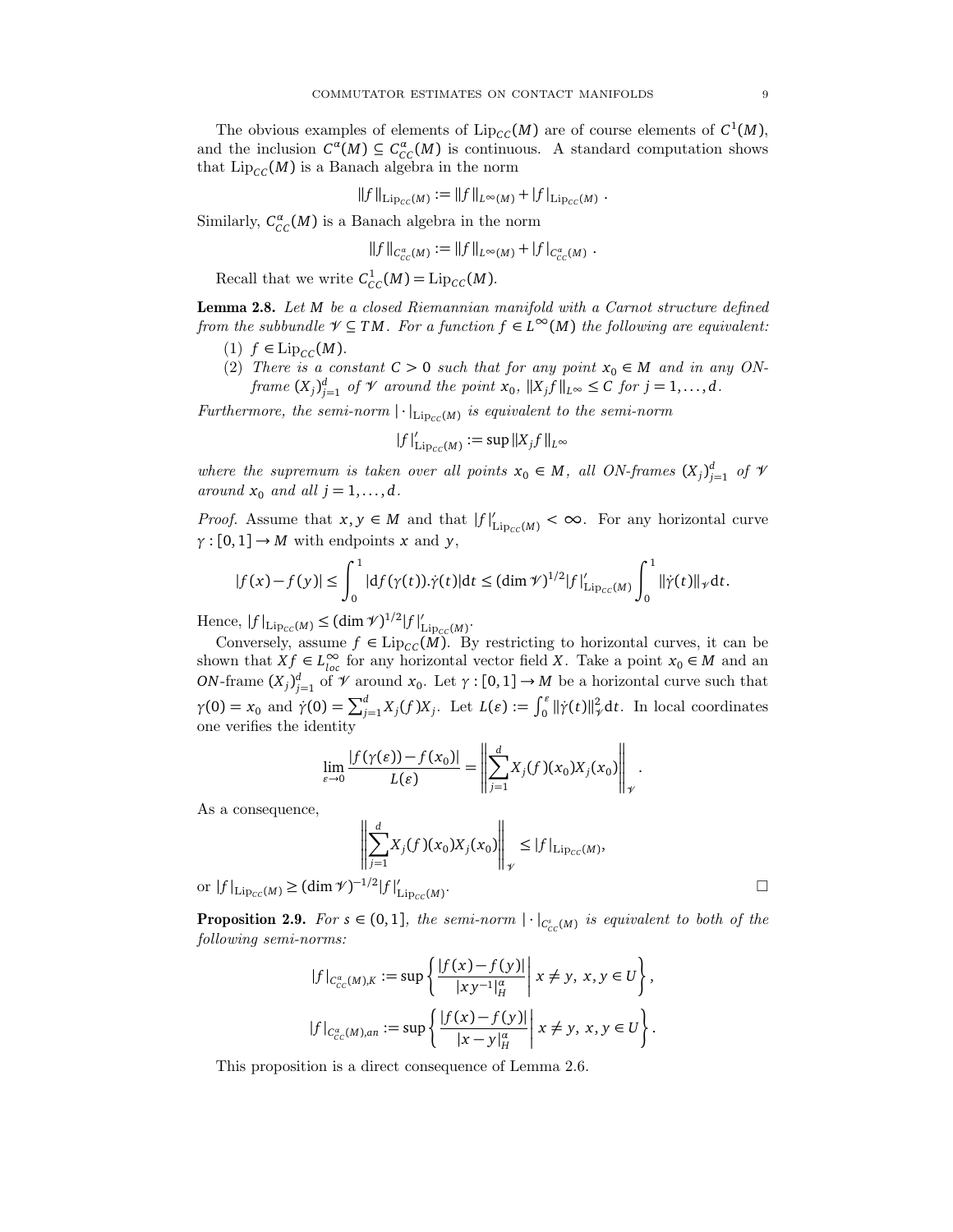The obvious examples of elements of  $\text{Lip}_{\text{CC}}(M)$  are of course elements of  $C^1(M)$ , and the inclusion  $C^{\alpha}(M) \subseteq C^{\alpha}_{CC}(M)$  is continuous. A standard computation shows that  $\text{Lip}_{CC}(M)$  is a Banach algebra in the norm

$$
||f||_{\mathrm{Lip}_{CC}(M)} := ||f||_{L^{\infty}(M)} + |f|_{\mathrm{Lip}_{CC}(M)}.
$$

Similarly,  $C_{CC}^{\alpha}(M)$  is a Banach algebra in the norm

$$
||f||_{C^{\alpha}_{CC}(M)} := ||f||_{L^{\infty}(M)} + |f|_{C^{\alpha}_{CC}(M)}.
$$

Recall that we write  $C_{CC}^1(M) = \text{Lip}_{CC}(M)$ .

Lemma 2.8. Let *M* be a closed Riemannian manifold with a Carnot structure defined from the subbundle  $\mathcal{V} \subseteq TM$ . For a function  $f \in L^{\infty}(M)$  the following are equivalent:

- $(1)$   $f \in \text{Lip}_{CC}(M)$ .
- (2) There is a constant  $C > 0$  such that for any point  $x_0 \in M$  and in any ONframe  $(X_j)_{j=1}^d$  of  $\mathcal V$  around the point  $x_0$ ,  $||X_j f||_{L^\infty} \leq C$  for  $j = 1, ..., d$ .

Furthermore, the semi-norm  $|\cdot|_{\text{Lip}_{CC}(M)}$  is equivalent to the semi-norm

$$
|f|'_{\text{Lip}_{CC}(M)} := \sup ||X_j f||_{L^{\infty}}
$$

where the supremum is taken over all points  $x_0 \in M$ , all ON-frames  $(X_j)_{j=1}^d$  of  $\mathcal V$ around  $x_0$  and all  $j = 1, \ldots, d$ .

*Proof.* Assume that  $x, y \in M$  and that  $|f|'_{\text{Lip}_{CC}(M)} < \infty$ . For any horizontal curve  $\gamma$  : [0, 1]  $\rightarrow$  *M* with endpoints *x* and *y*,

$$
|f(x)-f(y)| \leq \int_0^1 |df(\gamma(t)).\dot{\gamma}(t)|dt \leq (\dim \mathcal{V})^{1/2}|f|_{\text{Lip}_{CC}(M)}' \int_0^1 ||\dot{\gamma}(t)||_{\mathcal{V}} dt.
$$

Hence,  $|f|_{\text{Lip}_{cc}(M)} \leq (\dim \mathcal{V})^{1/2} |f|_{1}^{d}$ /<br>Lip<sub>cc</sub>(M)<sup>•</sup>

Conversely, assume  $f \in \text{Lip}_{\text{CC}}(M)$ . By restricting to horizontal curves, it can be shown that  $X f \in L^{\infty}_{loc}$  for any horizontal vector field *X*. Take a point  $x_0 \in M$  and an *ON*-frame  $(X_j)_{j=1}^d$  of  $\mathcal V$  around  $x_0$ . Let  $\gamma : [0, 1] \to M$  be a horizontal curve such that  $\gamma(0) = x_0$  and  $\dot{\gamma}(0) = \sum_{j=1}^d X_j(f)X_j$ . Let  $L(\varepsilon) := \int_0^{\varepsilon} ||\dot{\gamma}(t)||_{\gamma}^2 dt$ . In local coordinates one verifies the identity

$$
\lim_{\varepsilon\to 0}\frac{|f(\gamma(\varepsilon))-f(x_0)|}{L(\varepsilon)}=\left\|\sum_{j=1}^dX_j(f)(x_0)X_j(x_0)\right\|_{\mathcal{V}}.
$$

As a consequence,

$$
\left\| \sum_{j=1}^{d} X_j(f)(x_0) X_j(x_0) \right\|_{\mathcal{V}} \le |f|_{\text{Lip}_{CC}(M)},
$$
  

$$
\left\| \sum_{j=1}^{d} X_j(f)(x_0) X_j(x_0) \right\|_{\mathcal{V}} \le |f|_{\text{Lip}_{CC}(M)}.
$$

or  $|f|_{\text{Lip}_{cc}(M)}$  ≥  $(\dim \mathcal{V})^{-1/2}|f|_1'$  $\mathrm{Lip}_{\mathcal{CC}}(M)$ 

**Proposition 2.9.** For  $s \in (0,1]$ , the semi-norm  $|\cdot|_{C^s_{CC}(M)}$  is equivalent to both of the following semi-norms:

$$
|f|_{C_{CC}^{\alpha}(M),K} := \sup \left\{ \frac{|f(x) - f(y)|}{|xy^{-1}|_H^{\alpha}} \middle| \ x \neq y, \ x, y \in U \right\},\
$$
  

$$
|f|_{C_{CC}^{\alpha}(M),an} := \sup \left\{ \frac{|f(x) - f(y)|}{|x - y|_H^{\alpha}} \middle| \ x \neq y, \ x, y \in U \right\}.
$$

This proposition is a direct consequence of Lemma 2.6.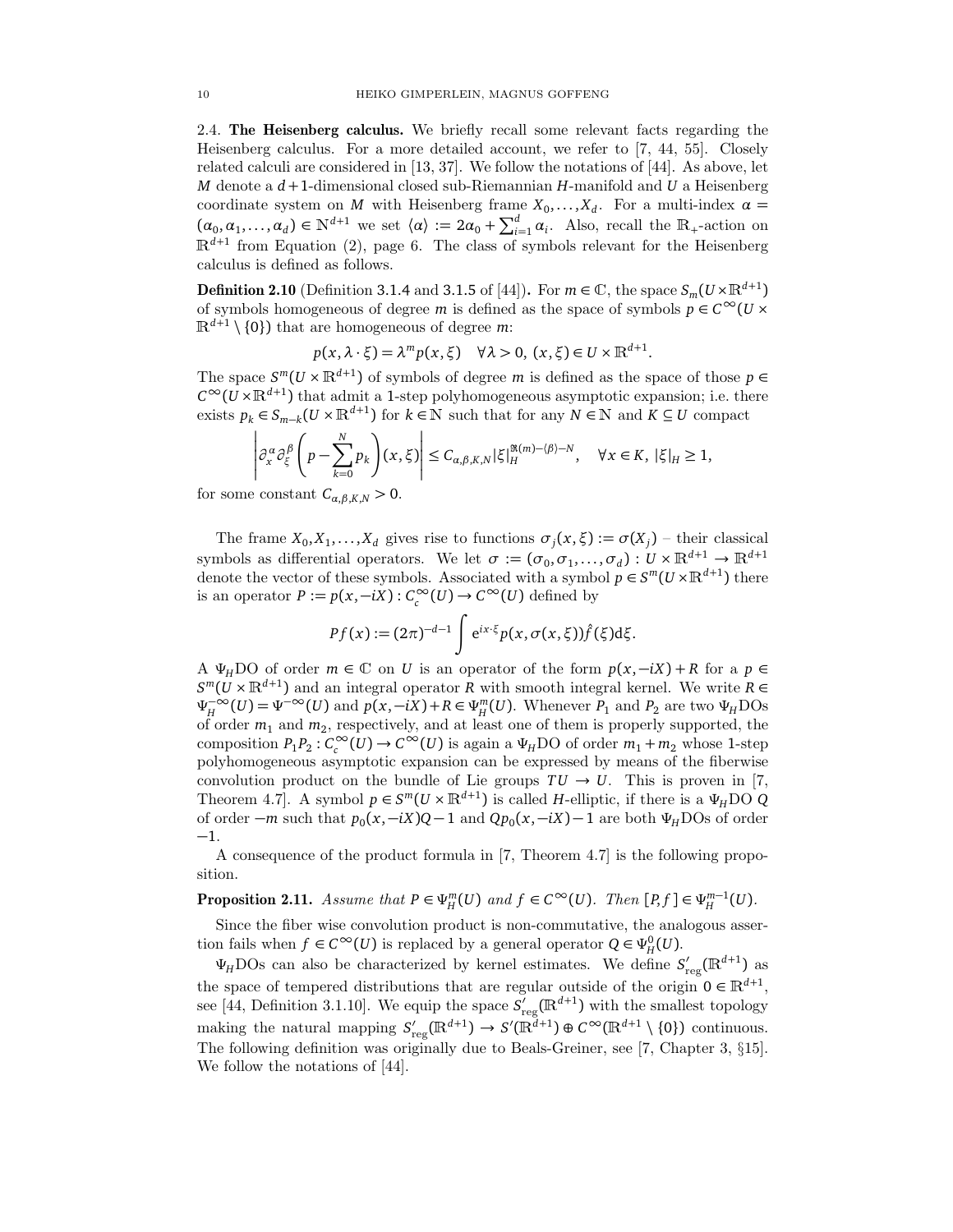2.4. The Heisenberg calculus. We briefly recall some relevant facts regarding the Heisenberg calculus. For a more detailed account, we refer to [7, 44, 55]. Closely related calculi are considered in  $(13, 37]$ . We follow the notations of  $(44)$ . As above, let *M* denote a *d* +1-dimensional closed sub-Riemannian *H*-manifold and *U* a Heisenberg coordinate system on *M* with Heisenberg frame  $X_0, \ldots, X_d$ . For a multi-index  $\alpha =$  $(\alpha_0, \alpha_1, \dots, \alpha_d) \in \mathbb{N}^{d+1}$  we set  $\langle \alpha \rangle := 2\alpha_0 + \sum_{i=1}^d \alpha_i$ . Also, recall the  $\mathbb{R}_+$ -action on  $\mathbb{R}^{d+1}$  from Equation (2), page 6. The class of symbols relevant for the Heisenberg calculus is defined as follows.

**Definition 2.10** (Definition 3.1.4 and 3.1.5 of [44]). For  $m \in \mathbb{C}$ , the space  $S_m(U \times \mathbb{R}^{d+1})$ of symbols homogeneous of degree *m* is defined as the space of symbols  $p \in C^{\infty}(U \times$  $\mathbb{R}^{d+1} \setminus \{0\}$  that are homogeneous of degree m:

$$
p(x, \lambda \cdot \xi) = \lambda^m p(x, \xi) \quad \forall \lambda > 0, (x, \xi) \in U \times \mathbb{R}^{d+1}.
$$

The space  $S^m(U \times \mathbb{R}^{d+1})$  of symbols of degree  $m$  is defined as the space of those  $p \in$  $C^{\infty}(\mathcal{U}\times\mathbb{R}^{d+1})$  that admit a 1-step polyhomogeneous asymptotic expansion; i.e. there exists  $p_k \in S_{m-k}(U \times \mathbb{R}^{d+1})$  for  $k \in \mathbb{N}$  such that for any  $N \in \mathbb{N}$  and  $K \subseteq U$  compact

$$
\left|\partial_x^{\alpha}\partial_{\xi}^{\beta}\left(p-\sum_{k=0}^{N}p_{k}\right)(x,\xi)\right|\leq C_{\alpha,\beta,K,N}|\xi|_{H}^{\Re(m)-\langle\beta\rangle-N}, \quad \forall x \in K, \ |\xi|_{H}\geq 1,
$$

for some constant  $C_{\alpha,\beta,K,N} > 0$ .

The frame  $X_0, X_1, \ldots, X_d$  gives rise to functions  $\sigma_j(x, \xi) := \sigma(X_j)$  – their classical symbols as differential operators. We let  $\sigma := (\sigma_0, \sigma_1, \ldots, \sigma_d) : U \times \mathbb{R}^{d+1} \to \mathbb{R}^{d+1}$ denote the vector of these symbols. Associated with a symbol  $p \in S^m(U \times \mathbb{R}^{d+1})$  there is an operator  $P := p(x, -iX) : C_c^{\infty}(U) \to C^{\infty}(U)$  defined by

$$
Pf(x) := (2\pi)^{-d-1} \int e^{ix\cdot\xi} p(x, \sigma(x, \xi)) \hat{f}(\xi) d\xi.
$$

A  $\Psi_H$ DO of order  $m \in \mathbb{C}$  on *U* is an operator of the form  $p(x, -iX) + R$  for a  $p \in$ *S*<sup>*m*</sup>(*U* ×  $\mathbb{R}^{d+1}$ ) and an integral operator *R* with smooth integral kernel. We write *R* ∈  $\Psi_H^{-\infty}$  $\mu_H^{-\infty}(U) = \Psi^{-\infty}(U)$  and  $p(x, -iX) + R \in \Psi_H^m(U)$ . Whenever  $P_1$  and  $P_2$  are two  $\Psi_H$ DOs of order *m*<sup>1</sup> and *m*<sup>2</sup> , respectively, and at least one of them is properly supported, the composition  $P_1 P_2$ :  $C_c^{\infty}(U) \to C^{\infty}(U)$  is again a  $\Psi_H$ DO of order  $m_1 + m_2$  whose 1-step polyhomogeneous asymptotic expansion can be expressed by means of the fiberwise convolution product on the bundle of Lie groups  $TU \rightarrow U$ . This is proven in [7, Theorem 4.7]. A symbol  $p \in S^m(U \times \mathbb{R}^{d+1})$  is called *H*-elliptic, if there is a  $\Psi_H \text{DO } Q$ of order  $-m$  such that  $p_0(x, -iX)Q - 1$  and  $Qp_0(x, -iX) - 1$  are both  $\Psi_H$ DOs of order −1.

A consequence of the product formula in [7, Theorem 4.7] is the following proposition.

**Proposition 2.11.** Assume that  $P \in \Psi_H^m(U)$  and  $f \in C^\infty(U)$ . Then  $[P, f] \in \Psi_H^{m-1}(U)$ .

Since the fiber wise convolution product is non-commutative, the analogous assertion fails when  $f \in C^{\infty}(U)$  is replaced by a general operator  $Q \in \Psi_H^0(U)$ .

 $\Psi_H$ DOs can also be characterized by kernel estimates. We define  $S'_r$  $C_{\text{reg}}(\mathbb{R}^{d+1})$  as the space of tempered distributions that are regular outside of the origin  $0 \in \mathbb{R}^{d+1}$ , see [44, Definition 3.1.10]. We equip the space  $S'$ <sub>r</sub>  $\sigma'_{\text{reg}}(\mathbb{R}^{d+1})$  with the smallest topology making the natural mapping  $S'_{r}$  $C_{\text{reg}}(\mathbb{R}^{d+1}) \to S'(\mathbb{R}^{d+1}) \oplus C^{\infty}(\mathbb{R}^{d+1} \setminus \{0\})$  continuous. The following definition was originally due to Beals-Greiner, see [7, Chapter 3, §15]. We follow the notations of [44].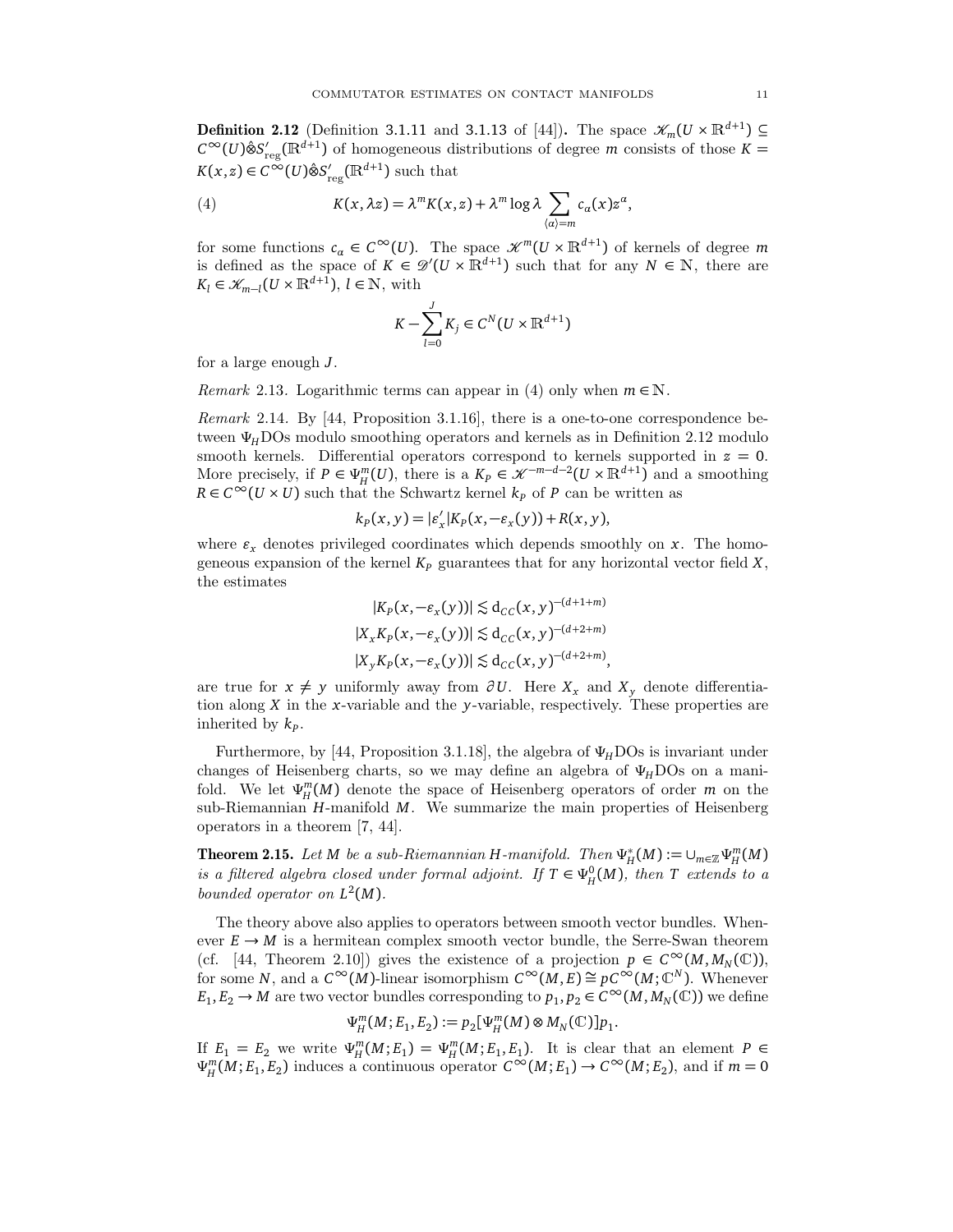**Definition 2.12** (Definition 3.1.11 and 3.1.13 of [44]). The space  $\mathscr{K}_m(U \times \mathbb{R}^{d+1}) \subseteq$  $C^{\infty}(U)$ ⊗̂ $S'_{r}$  $r_{\text{reg}}(\mathbb{R}^{d+1})$  of homogeneous distributions of degree *m* consists of those  $K =$  $K(x, z) \in C^\infty(U)$ ⊗̂S<sup>'</sup>  $r'_{\text{reg}}(\mathbb{R}^{d+1})$  such that

(4) 
$$
K(x, \lambda z) = \lambda^m K(x, z) + \lambda^m \log \lambda \sum_{\langle \alpha \rangle = m} c_{\alpha}(x) z^{\alpha},
$$

for some functions  $c_{\alpha} \in C^{\infty}(U)$ . The space  $\mathcal{K}^{m}(U \times \mathbb{R}^{d+1})$  of kernels of degree m is defined as the space of  $K \in \mathcal{D}'(U \times \mathbb{R}^{d+1})$  such that for any  $N \in \mathbb{N}$ , there are  $K_l \in \mathcal{K}_{m-l}(U \times \mathbb{R}^{d+1}), l \in \mathbb{N}$ , with

$$
K - \sum_{l=0}^{J} K_j \in C^N(U \times \mathbb{R}^{d+1})
$$

for a large enough *J*.

*Remark* 2.13. Logarithmic terms can appear in (4) only when  $m \in \mathbb{N}$ .

Remark 2.14. By [44, Proposition 3.1.16], there is a one-to-one correspondence between *ΨH*DOs modulo smoothing operators and kernels as in Definition 2.12 modulo smooth kernels. Differential operators correspond to kernels supported in *z* = 0. More precisely, if  $P \in \Psi_H^m(U)$ , there is a  $K_P \in \mathcal{K}^{-m-d-2}(U \times \mathbb{R}^{d+1})$  and a smoothing  $R \in C^{\infty}(U \times U)$  such that the Schwartz kernel  $k_p$  of *P* can be written as

$$
k_P(x, y) = |\varepsilon'_x| K_P(x, -\varepsilon_x(y)) + R(x, y),
$$

where  $\varepsilon_x$  denotes privileged coordinates which depends smoothly on  $x$ . The homogeneous expansion of the kernel *K<sup>P</sup>* guarantees that for any horizontal vector field *X*, the estimates

$$
|K_P(x, -\varepsilon_x(y))| \lesssim d_{CC}(x, y)^{-(d+1+m)}
$$
  
\n
$$
|X_x K_P(x, -\varepsilon_x(y))| \lesssim d_{CC}(x, y)^{-(d+2+m)}
$$
  
\n
$$
|X_y K_P(x, -\varepsilon_x(y))| \lesssim d_{CC}(x, y)^{-(d+2+m)},
$$

are true for  $x ≠ y$  uniformly away from  $\partial U$ . Here  $X_x$  and  $X_y$  denote differentiation along *X* in the *x*-variable and the *y*-variable, respectively. These properties are inherited by *k<sup>P</sup>* .

Furthermore, by [44, Proposition 3.1.18], the algebra of  $\Psi$ <sub>*H*</sub>DOs is invariant under changes of Heisenberg charts, so we may define an algebra of *ΨH*DOs on a manifold. We let  $\Psi^m_H(M)$  denote the space of Heisenberg operators of order *m* on the sub-Riemannian *H*-manifold *M*. We summarize the main properties of Heisenberg operators in a theorem [7, 44].

Theorem 2.15. Let *M* be a sub-Riemannian *H*-manifold. Then *Ψ* ∗  $\cup_{m\in\mathbb{Z}}^{\ast} \Psi_H^m(M)$ is a filtered algebra closed under formal adjoint. If  $T \in \Psi_H^0(M)$ , then *T* extends to a bounded operator on *L* 2 (*M*).

The theory above also applies to operators between smooth vector bundles. Whenever  $E \to M$  is a hermitean complex smooth vector bundle, the Serre-Swan theorem (cf. [44, Theorem 2.10]) gives the existence of a projection  $p \in C^{\infty}(M, M_N(\mathbb{C}))$ , for some *N*, and a  $C^{\infty}(M)$ -linear isomorphism  $C^{\infty}(M, E) \cong pC^{\infty}(M; \mathbb{C}^N)$ . Whenever  $E_1, E_2 \to M$  are two vector bundles corresponding to  $p_1, p_2 \in C^\infty(M, M_N(\mathbb{C}))$  we define

$$
\Psi_{H}^{m}(M; E_1, E_2) := p_2[\Psi_{H}^{m}(M) \otimes M_N(\mathbb{C})] p_1.
$$

If  $E_1 = E_2$  we write  $\Psi_H^m(M; E_1) = \Psi_H^m(M; E_1, E_1)$ . It is clear that an element  $P \in$  $\Psi_H^m(M; E_1, E_2)$  induces a continuous operator  $C^\infty(M; E_1) \to C^\infty(M; E_2)$ , and if  $m = 0$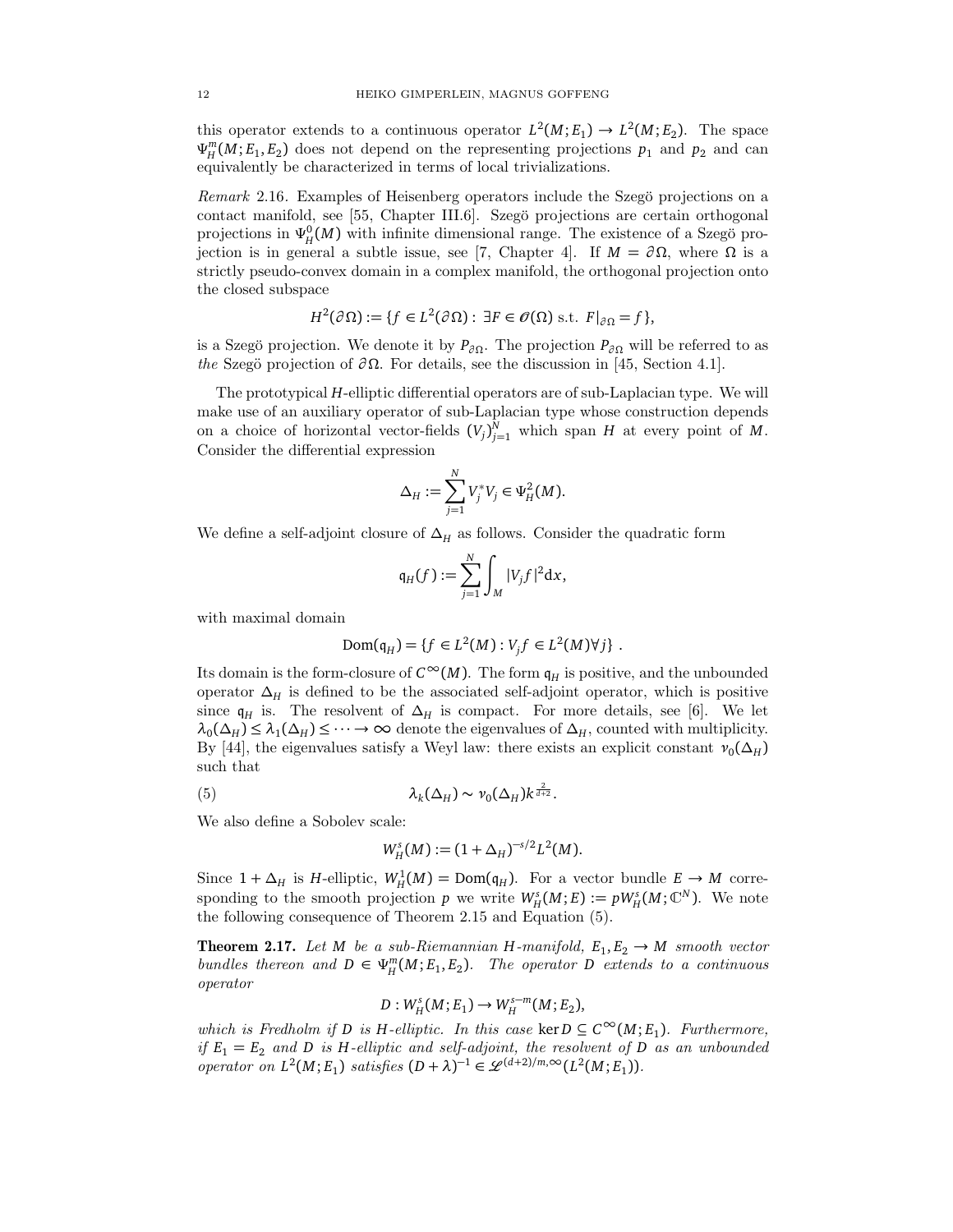this operator extends to a continuous operator  $L^2(M; E_1) \to L^2(M; E_2)$ . The space  $\Psi_H^m(M; E_1, E_2)$  does not depend on the representing projections  $p_1$  and  $p_2$  and can equivalently be characterized in terms of local trivializations.

Remark 2.16. Examples of Heisenberg operators include the Szegö projections on a contact manifold, see [55, Chapter III.6]. Szegö projections are certain orthogonal projections in  $\Psi_H^0(M)$  with infinite dimensional range. The existence of a Szegö projection is in general a subtle issue, see [7, Chapter 4]. If *M* = *∂ Ω*, where *Ω* is a strictly pseudo-convex domain in a complex manifold, the orthogonal projection onto the closed subspace

$$
H^{2}(\partial\Omega) := \{ f \in L^{2}(\partial\Omega) : \exists F \in \mathscr{O}(\Omega) \text{ s.t. } F|_{\partial\Omega} = f \},
$$

is a Szegö projection. We denote it by  $P_{\partial\Omega}$ . The projection  $P_{\partial\Omega}$  will be referred to as the Szegö projection of  $\partial \Omega$ . For details, see the discussion in [45, Section 4.1].

The prototypical *H*-elliptic differential operators are of sub-Laplacian type. We will make use of an auxiliary operator of sub-Laplacian type whose construction depends on a choice of horizontal vector-fields  $(V_j)_{j=1}^N$  which span *H* at every point of *M*. Consider the differential expression

$$
\Delta_H := \sum_{j=1}^N V_j^* V_j \in \Psi_H^2(M).
$$

We define a self-adjoint closure of  $\Delta_H$  as follows. Consider the quadratic form

$$
\mathfrak{q}_H(f) := \sum_{j=1}^N \int_M |V_j f|^2 \mathrm{d} x,
$$

with maximal domain

$$
Dom(q_H) = \{ f \in L^2(M) : V_j f \in L^2(M) \forall j \} .
$$

Its domain is the form-closure of  $C^{\infty}(M)$ . The form  $\mathfrak{q}_H$  is positive, and the unbounded operator  $\Delta_H$  is defined to be the associated self-adjoint operator, which is positive since  $q_H$  is. The resolvent of  $\Delta_H$  is compact. For more details, see [6]. We let  $\lambda_0(\Delta_H) \leq \lambda_1(\Delta_H) \leq \cdots \to \infty$  denote the eigenvalues of  $\Delta_H$ , counted with multiplicity. By [44], the eigenvalues satisfy a Weyl law: there exists an explicit constant  $v_0(\Delta_H)$ such that

(5) 
$$
\lambda_k(\Delta_H) \sim \nu_0(\Delta_H) k^{\frac{2}{d+2}}.
$$

We also define a Sobolev scale:

$$
W_H^s(M) := (1 + \Delta_H)^{-s/2} L^2(M).
$$

Since  $1 + \Delta_H$  is *H*-elliptic,  $W^1_H(M) = \text{Dom}(\mathfrak{q}_H)$ . For a vector bundle  $E \to M$  corresponding to the smooth projection *p* we write  $W_H^s(M; E) := pW_H^s(M; \mathbb{C}^N)$ . We note the following consequence of Theorem 2.15 and Equation (5).

**Theorem 2.17.** Let *M* be a sub-Riemannian *H*-manifold,  $E_1, E_2 \rightarrow M$  smooth vector bundles thereon and  $D \in \Psi_H^m(M; E_1, E_2)$ . The operator *D* extends to a continuous operator

$$
D: W^s_H(M; E_1) \to W^{s-m}_H(M; E_2),
$$

which is Fredholm if *D* is *H*-elliptic. In this case ker  $D \subseteq C^{\infty}(M; E_1)$ . Furthermore, if  $E_1 = E_2$  and *D* is *H*-elliptic and self-adjoint, the resolvent of *D* as an unbounded operator on  $L^2(M; E_1)$  satisfies  $(D + \lambda)^{-1} \in \mathscr{L}^{(d+2)/m, \infty}(L^2(M; E_1)).$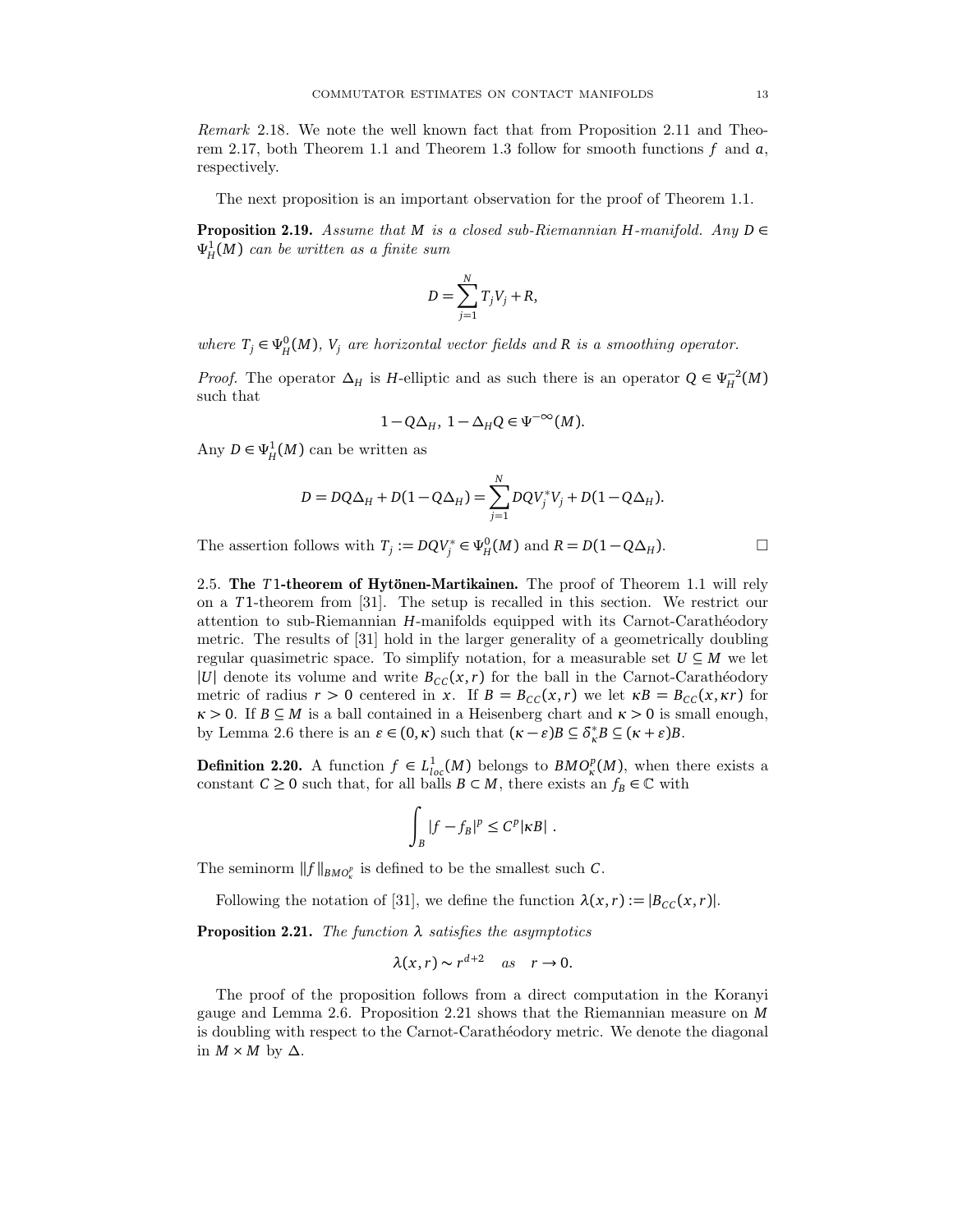Remark 2.18. We note the well known fact that from Proposition 2.11 and Theorem 2.17, both Theorem 1.1 and Theorem 1.3 follow for smooth functions *f* and *a*, respectively.

The next proposition is an important observation for the proof of Theorem 1.1.

**Proposition 2.19.** Assume that *M* is a closed sub-Riemannian *H*-manifold. Any  $D \in$ *Ψ* 1 *H* (*M*) can be written as a finite sum

$$
D = \sum_{j=1}^{N} T_j V_j + R,
$$

where  $T_j \in \Psi_H^0(M)$ ,  $V_j$  are horizontal vector fields and R is a smoothing operator.

*Proof.* The operator  $\Delta_H$  is *H*-elliptic and as such there is an operator  $Q \in \Psi_H^{-2}(M)$ such that

$$
1 - Q\Delta_H, \ 1 - \Delta_H Q \in \Psi^{-\infty}(M).
$$

Any  $D \in \Psi^1_H(M)$  can be written as

$$
D = DQ\Delta_H + D(1 - Q\Delta_H) = \sum_{j=1}^{N} DQV_j^*V_j + D(1 - Q\Delta_H).
$$

The assertion follows with  $T_j := DQV_j^* \in \Psi_H^0(M)$  and  $R = D(1 - Q\Delta_H)$ .

2.5. The *T*1-theorem of Hytönen-Martikainen. The proof of Theorem 1.1 will rely on a *T*1-theorem from [31]. The setup is recalled in this section. We restrict our attention to sub-Riemannian *H*-manifolds equipped with its Carnot-Carathéodory metric. The results of [31] hold in the larger generality of a geometrically doubling regular quasimetric space. To simplify notation, for a measurable set  $U \subseteq M$  we let |*U*| denote its volume and write  $B_{CC}(x, r)$  for the ball in the Carnot-Carathéodory metric of radius  $r > 0$  centered in *x*. If  $B = B_{CC}(x, r)$  we let  $\kappa B = B_{CC}(x, \kappa r)$  for  $\kappa > 0$ . If  $B \subseteq M$  is a ball contained in a Heisenberg chart and  $\kappa > 0$  is small enough, by Lemma 2.6 there is an  $\varepsilon \in (0, \kappa)$  such that  $(\kappa - \varepsilon)B \subseteq \delta^*$  ${}_{\kappa}^*B \subseteq (\kappa + \varepsilon)B$ .

**Definition 2.20.** A function  $f \in L^1_{loc}(M)$  belongs to  $BMO^p_{\kappa}(M)$ , when there exists a constant  $C \ge 0$  such that, for all balls  $B \subset M$ , there exists an  $f_B \in \mathbb{C}$  with

$$
\int_B |f - f_B|^p \leq C^p |\kappa B| \; .
$$

The seminorm  $\|f\|_{BMO^p_\kappa}$  is defined to be the smallest such  $C.$ 

Following the notation of [31], we define the function  $\lambda(x, r) := |B_{CC}(x, r)|$ .

Proposition 2.21. The function *λ* satisfies the asymptotics

$$
\lambda(x,r) \sim r^{d+2} \quad as \quad r \to 0.
$$

The proof of the proposition follows from a direct computation in the Koranyi gauge and Lemma 2.6. Proposition 2.21 shows that the Riemannian measure on *M* is doubling with respect to the Carnot-Carathéodory metric. We denote the diagonal in  $M \times M$  by  $\Delta$ .

$$
\Box
$$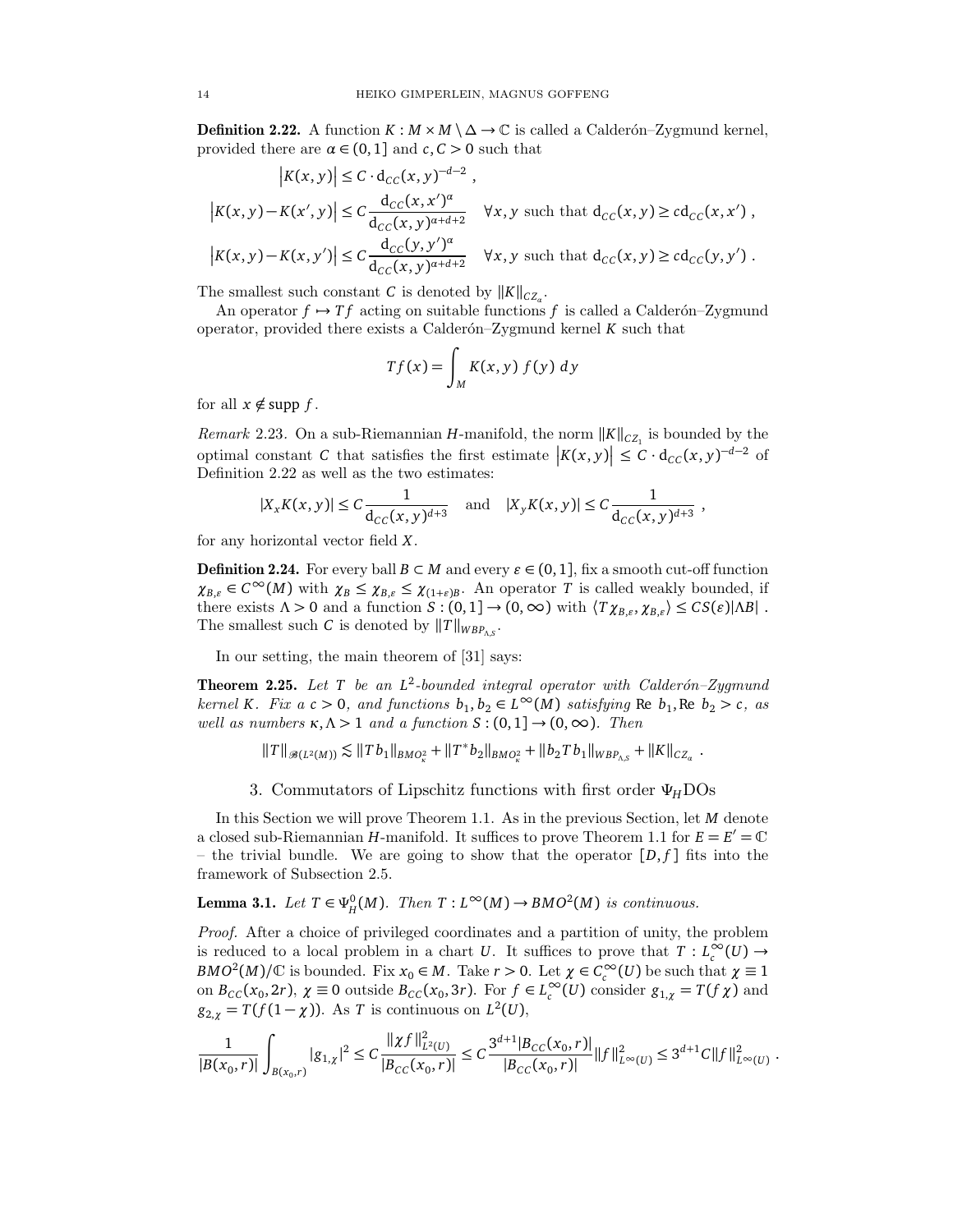**Definition 2.22.** A function  $K : M \times M \setminus \Delta \rightarrow \mathbb{C}$  is called a Calderon–Zygmund kernel, provided there are  $\alpha \in (0,1]$  and  $c, C > 0$  such that

$$
\begin{aligned} \left|K(x,y)\right| &\leq C\cdot \mathrm{d}_{CC}(x,y)^{-d-2}\;,\\ \left|K(x,y)-K(x',y)\right| &\leq C\frac{\mathrm{d}_{CC}(x,x')^\alpha}{\mathrm{d}_{CC}(x,y)^{\alpha+d+2}} \quad \forall x,y \text{ such that } \mathrm{d}_{CC}(x,y) \geq \mathrm{cd}_{CC}(x,x')\;,\\ \left|K(x,y)-K(x,y')\right| &\leq C\frac{\mathrm{d}_{CC}(y,y')^\alpha}{\mathrm{d}_{CC}(x,y)^{\alpha+d+2}} \quad \forall x,y \text{ such that } \mathrm{d}_{CC}(x,y) \geq \mathrm{cd}_{CC}(y,y')\;. \end{aligned}
$$

The smallest such constant *C* is denoted by  $||K||_{C Z_{\alpha}}$ .

An operator  $f \mapsto Tf$  acting on suitable functions  $f$  is called a Calderon–Zygmund operator, provided there exists a Calder $\acute{0}n-Zv$ gmund kernel *K* such that

$$
Tf(x) = \int_M K(x, y) f(y) dy
$$

for all  $x \notin \text{supp } f$ .

*Remark* 2.23. On a sub-Riemannian *H*-manifold, the norm  $||K||_{C_{Z_1}}$  is bounded by the optimal constant *C* that satisfies the first estimate  $|K(x, y)| \leq C \cdot d_{CC}(x, y)^{-d-2}$  of Definition 2.22 as well as the two estimates:

$$
|X_xK(x,y)| \leq C \frac{1}{\mathrm{d}_{CC}(x,y)^{d+3}} \quad \text{and} \quad |X_yK(x,y)| \leq C \frac{1}{\mathrm{d}_{CC}(x,y)^{d+3}} \;,
$$

for any horizontal vector field *X*.

**Definition 2.24.** For every ball  $B \subset M$  and every  $\varepsilon \in (0, 1]$ , fix a smooth cut-off function  $\chi_{B,\varepsilon} \in C^{\infty}(M)$  with  $\chi_B \leq \chi_{B,\varepsilon} \leq \chi_{(1+\varepsilon)B}$ . An operator *T* is called weakly bounded, if there exists  $\Lambda > 0$  and a function  $S : (0, 1] \to (0, \infty)$  with  $\langle T \chi_{B,\varepsilon}, \chi_{B,\varepsilon} \rangle \leq C S(\varepsilon) |\Lambda B|$ . The smallest such *C* is denoted by  $||T||_{WBP_{\Lambda,S}}$ .

In our setting, the main theorem of [31] says:

**Theorem 2.25.** Let  $T$  be an  $L^2$ -bounded integral operator with Calderón–Zygmund kernel *K*. Fix  $a c > 0$ , and functions  $b_1, b_2 \in L^{\infty}(M)$  satisfying Re  $b_1$ , Re  $b_2 > c$ , as well as numbers  $\kappa, \Lambda > 1$  and a function  $S : (0,1] \to (0,\infty)$ . Then

 $||T||_{\mathscr{B}(L^2(M))} \lesssim ||T b_1||_{BMO_K^2} + ||T^* b_2||_{BMO_K^2} + ||b_2 T b_1||_{WBP_{\Lambda,S}} + ||K||_{CZ_\alpha}$ .

3. Commutators of Lipschitz functions with first order *ΨH*DOs

In this Section we will prove Theorem 1.1. As in the previous Section, let *M* denote a closed sub-Riemannian *H*-manifold. It suffices to prove Theorem 1.1 for  $E = E' = \mathbb{C}$ – the trivial bundle. We are going to show that the operator  $[D, f]$  fits into the framework of Subsection 2.5.

Lemma 3.1. Let  $T \in \Psi_H^0(M)$ . Then  $T: L^\infty(M) \to BMO^2(M)$  is continuous.

Proof. After a choice of privileged coordinates and a partition of unity, the problem is reduced to a local problem in a chart *U*. It suffices to prove that  $T: L_c^{\infty}(U) \to$ *BMO*<sup>2</sup>(*M*)/ $\mathbb{C}$  is bounded. Fix  $x_0 \in M$ . Take  $r > 0$ . Let  $\chi \in C_c^\infty(U)$  be such that  $\chi \equiv 1$ on  $B_{CC}(x_0, 2r)$ ,  $\chi \equiv 0$  outside  $B_{CC}(x_0, 3r)$ . For  $f \in L_c^{\infty}(U)$  consider  $g_{1,\chi} = T(f\chi)$  and  $g_{2,\chi} = T(f(1-\chi))$ . As *T* is continuous on  $L^2(U)$ ,

$$
\frac{1}{|B(x_0,r)|}\int_{B(x_0,r)}|g_{1,\chi}|^2\leq C\frac{\|\chi f\|_{L^2(U)}^2}{|B_{CC}(x_0,r)|}\leq C\frac{3^{d+1}|B_{CC}(x_0,r)|}{|B_{CC}(x_0,r)|}\|f\|_{L^\infty(U)}^2\leq 3^{d+1}C\|f\|_{L^\infty(U)}^2\;.
$$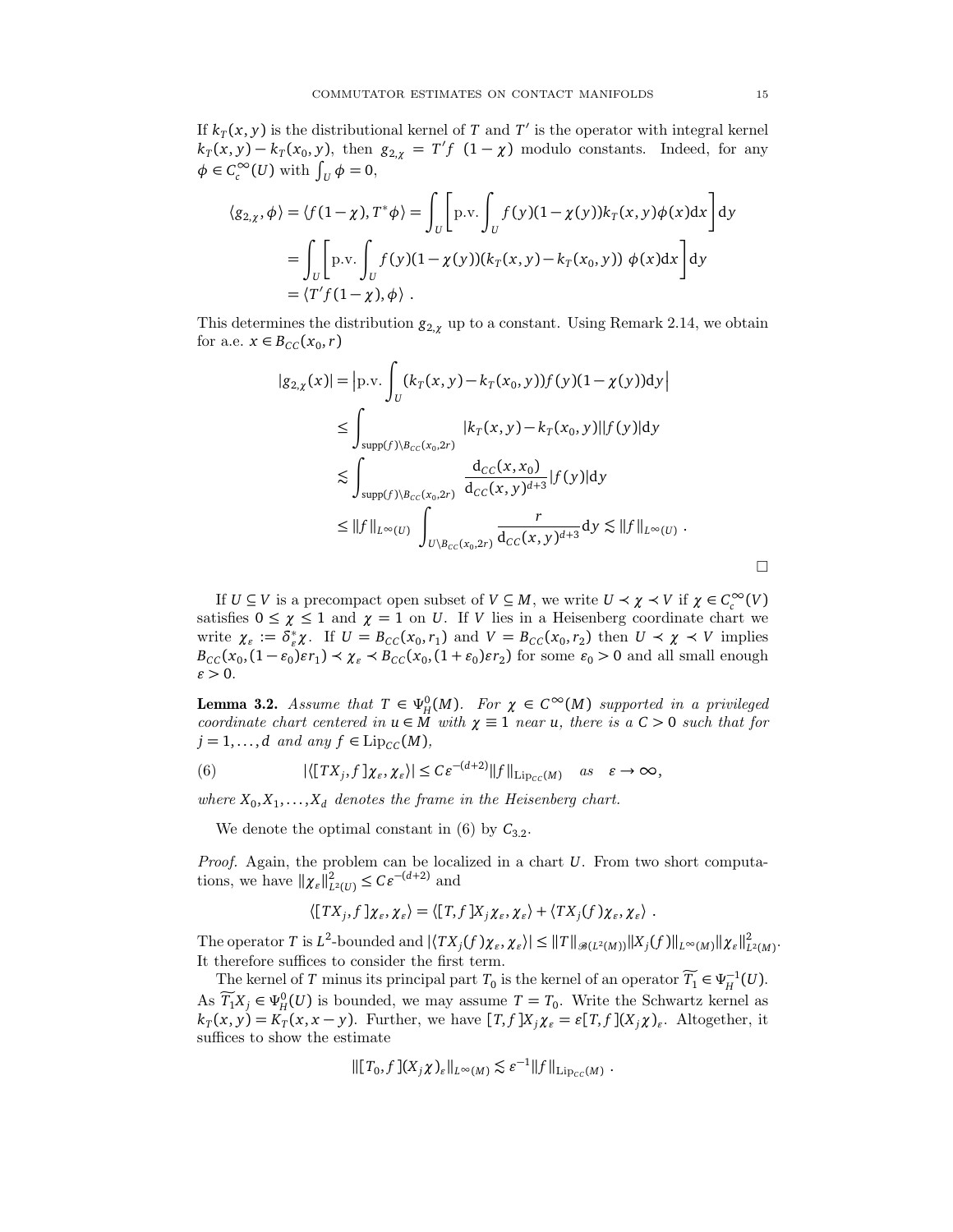If  $k_T(x, y)$  is the distributional kernel of *T* and *T'* is the operator with integral kernel  $k_T(x, y) - k_T(x_0, y)$ , then  $g_{2, \chi} = T'f(1 - \chi)$  modulo constants. Indeed, for any  $\phi \in C_c^{\infty}(U)$  with  $\int_U \phi = 0$ ,

$$
\langle g_{2,\chi}, \phi \rangle = \langle f(1-\chi), T^* \phi \rangle = \int_U \left[ \text{p.v.} \int_U f(y)(1-\chi(y)) k_T(x, y) \phi(x) dx \right] dy
$$
  
= 
$$
\int_U \left[ \text{p.v.} \int_U f(y)(1-\chi(y)) (k_T(x, y) - k_T(x_0, y)) \phi(x) dx \right] dy
$$
  
= 
$$
\langle T' f(1-\chi), \phi \rangle.
$$

This determines the distribution  $g_{2,\chi}$  up to a constant. Using Remark 2.14, we obtain for a.e.  $x \in B_{CC}(x_0, r)$ 

$$
|g_{2,\chi}(x)| = |p.v. \int_{U} (k_T(x, y) - k_T(x_0, y)) f(y) (1 - \chi(y)) dy|
$$
  
\n
$$
\leq \int_{\text{supp}(f) \setminus B_{CC}(x_0, 2r)} |k_T(x, y) - k_T(x_0, y)| |f(y)| dy
$$
  
\n
$$
\lesssim \int_{\text{supp}(f) \setminus B_{CC}(x_0, 2r)} \frac{d_{CC}(x, x_0)}{d_{CC}(x, y)^{d+3}} |f(y)| dy
$$
  
\n
$$
\leq ||f||_{L^{\infty}(U)} \int_{U \setminus B_{CC}(x_0, 2r)} \frac{r}{d_{CC}(x, y)^{d+3}} dy \lesssim ||f||_{L^{\infty}(U)} .
$$

If  $U \subseteq V$  is a precompact open subset of  $V \subseteq M$ , we write  $U \prec \chi \prec V$  if  $\chi \in C_c^\infty(V)$ satisfies  $0 \leq \chi \leq 1$  and  $\chi = 1$  on *U*. If *V* lies in a Heisenberg coordinate chart we write  $\chi_{\varepsilon} := \tilde{\delta}_{\varepsilon}^*$ <sup>\*</sup><sub> $\epsilon$ </sub> $\chi$ . If  $U = B_{CC}(x_0, r_1)$  and  $V = B_{CC}(x_0, r_2)$  then  $U \prec \chi \prec V$  implies  $B_{CC}(x_0, (1 - \varepsilon_0) \varepsilon r_1) \prec \chi_{\varepsilon} \prec B_{CC}(x_0, (1 + \varepsilon_0) \varepsilon r_2)$  for some  $\varepsilon_0 > 0$  and all small enough  $\varepsilon > 0$ .

**Lemma 3.2.** Assume that  $T \in \Psi_H^0(M)$ . For  $\chi \in C^\infty(M)$  supported in a privileged coordinate chart centered in  $u \in M$  with  $\chi \equiv 1$  near  $u$ , there is a  $C > 0$  such that for  $j = 1, \ldots, d$  and any  $f \in \text{Lip}_{\mathcal{CC}}(M)$ ,

(6) 
$$
|\langle [TX_j, f] \chi_{\varepsilon}, \chi_{\varepsilon} \rangle| \leq C \varepsilon^{-(d+2)} \|f\|_{\mathrm{Lip}_{CC}(M)} \quad \text{as} \quad \varepsilon \to \infty,
$$

where  $X_0, X_1, \ldots, X_d$  denotes the frame in the Heisenberg chart.

We denote the optimal constant in  $(6)$  by  $C_{3,2}$ .

Proof. Again, the problem can be localized in a chart *U*. From two short computations, we have  $\|\chi_{\varepsilon}\|_{L^2(U)}^2 \leq C\varepsilon^{-(d+2)}$  and

$$
\langle [TX_j, f]\chi_{\varepsilon}, \chi_{\varepsilon}\rangle = \langle [T, f]X_j\chi_{\varepsilon}, \chi_{\varepsilon}\rangle + \langle TX_j(f)\chi_{\varepsilon}, \chi_{\varepsilon}\rangle.
$$

The operator  $T$  is  $L^2$ -bounded and  $|\langle TX_j(f)\chi_{\varepsilon},\chi_{\varepsilon}\rangle| \leq ||T||_{\mathcal{B}(L^2(M))}||X_j(f)||_{L^{\infty}(M)}||\chi_{\varepsilon}||^2_{L^2(M)}$ . It therefore suffices to consider the first term.

The kernel of *T* minus its principal part  $T_0$  is the kernel of an operator  $\widetilde{T_1} \in \Psi_H^{-1}(U)$ . As  $\widetilde{T}_1 X_j \in \Psi_0^0(U)$  is bounded, we may assume  $T = T_0$ . Write the Schwartz kernel as  $k_T(x,y) = K_T(x,x-y)$ . Further, we have  $[T, f]X_j \chi_{\varepsilon} = \varepsilon[T, f](X_j \chi)_{\varepsilon}$ . Altogether, it suffices to show the estimate

$$
\| [T_0, f] (X_j \chi)_\varepsilon \|_{L^\infty(M)} \lesssim \varepsilon^{-1} \| f \|_{\mathrm{Lip}_{CC}(M)}.
$$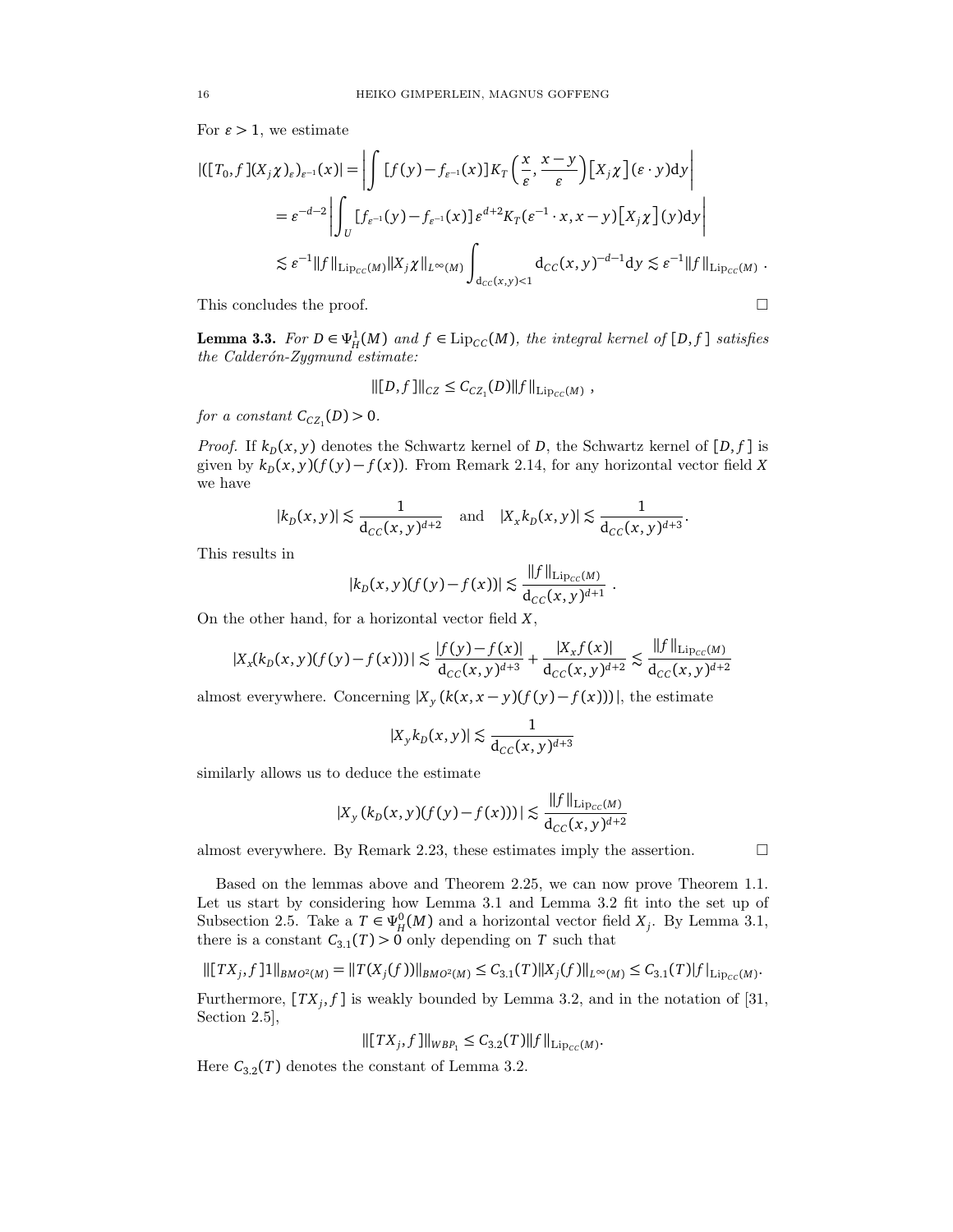For  $\varepsilon > 1$ , we estimate

$$
\begin{split} |([T_0,f](X_j\chi)_\varepsilon)_{\varepsilon^{-1}}(x)|&= \left|\int [f(y)-f_{\varepsilon^{-1}}(x)]K_T\left(\frac{x}{\varepsilon},\frac{x-y}{\varepsilon}\right)[X_j\chi](\varepsilon\cdot y)\mathrm{d}y\right|\\ &=\varepsilon^{-d-2}\left|\int_U [f_{\varepsilon^{-1}}(y)-f_{\varepsilon^{-1}}(x)]\varepsilon^{d+2}K_T(\varepsilon^{-1}\cdot x,x-y)[X_j\chi](y)\mathrm{d}y\right|\\ &\lesssim \varepsilon^{-1}\|f\|_{\mathrm{Lip}_{CC}(M)}\|X_j\chi\|_{L^\infty(M)}\int_{d_{CC}(x,y)<1}d_{CC}(x,y)^{-d-1}\mathrm{d}y\lesssim \varepsilon^{-1}\|f\|_{\mathrm{Lip}_{CC}(M)}\;. \end{split}
$$

This concludes the proof.  $\Box$ 

**Lemma 3.3.** For  $D \in \Psi_H^1(M)$  and  $f \in \text{Lip}_{CC}(M)$ , the integral kernel of  $[D, f]$  satisfies the Calderón-Zygmund estimate:

$$
\|[D, f]\|_{CZ} \leq C_{CZ_1}(D) \|f\|_{\mathrm{Lip}_{CC}(M)},
$$

for a constant  $C_{CZ_1}(D) > 0$ .

*Proof.* If  $k_D(x, y)$  denotes the Schwartz kernel of  $D$ , the Schwartz kernel of  $[D, f]$  is given by  $k_D(x, y)(f(y) - f(x))$ . From Remark 2.14, for any horizontal vector field X we have

$$
|k_D(x, y)| \lesssim \frac{1}{d_{CC}(x, y)^{d+2}}
$$
 and  $|X_x k_D(x, y)| \lesssim \frac{1}{d_{CC}(x, y)^{d+3}}$ .

This results in

$$
|k_D(x,y)(f(y)-f(x))| \lesssim \frac{\|f\|_{\mathrm{Lip}_{CC}(M)}}{\mathrm{d}_{CC}(x,y)^{d+1}}
$$

.

On the other hand, for a horizontal vector field *X*,

$$
|X_x(k_D(x,y)(f(y)-f(x)))|\lesssim \frac{|f(y)-f(x)|}{\textup{d}_{CC}(x,y)^{d+3}}+\frac{|X_xf(x)|}{\textup{d}_{CC}(x,y)^{d+2}}\lesssim \frac{\|f\|_{\textup{Lip}_{CC}(M)}}{\textup{d}_{CC}(x,y)^{d+2}}
$$

almost everywhere. Concerning  $|X_y(k(x, x - y)(f(y) - f(x)))|$ , the estimate

$$
|X_y k_D(x,y)| \lesssim \frac{1}{d_{CC}(x,y)^{d+3}}
$$

similarly allows us to deduce the estimate

$$
|X_y\left(k_D(x,y)(f(y)-f(x))\right)|\lesssim \frac{\|f\|_{{\rm Lip}_{\scriptscriptstyle CC}(M)}}{ {\rm d}_{\scriptscriptstyle CC}(x,y)^{d+2}}
$$

almost everywhere. By Remark 2.23, these estimates imply the assertion.  $\Box$ 

Based on the lemmas above and Theorem 2.25, we can now prove Theorem 1.1. Let us start by considering how Lemma 3.1 and Lemma 3.2 fit into the set up of Subsection 2.5. Take a  $T \in \Psi_H^0(M)$  and a horizontal vector field  $X_j$ . By Lemma 3.1, there is a constant  $C_{3,1}(T) > 0$  only depending on *T* such that

$$
\| [TX_j, f] 1 \|_{BMO^2(M)} = \| T(X_j(f)) \|_{BMO^2(M)} \leq C_{3.1}(T) \| X_j(f) \|_{L^{\infty}(M)} \leq C_{3.1}(T) |f|_{\text{Lip}_{CC}(M)}.
$$

Furthermore,  $[T X_j, f]$  is weakly bounded by Lemma 3.2, and in the notation of [31, Section 2.5],

$$
\| [TX_j, f]\|_{WBP_1} \leq C_{3.2}(T) \|f\|_{\mathrm{Lip}_{CC}(M)}.
$$

Here  $C_{3,2}(T)$  denotes the constant of Lemma 3.2.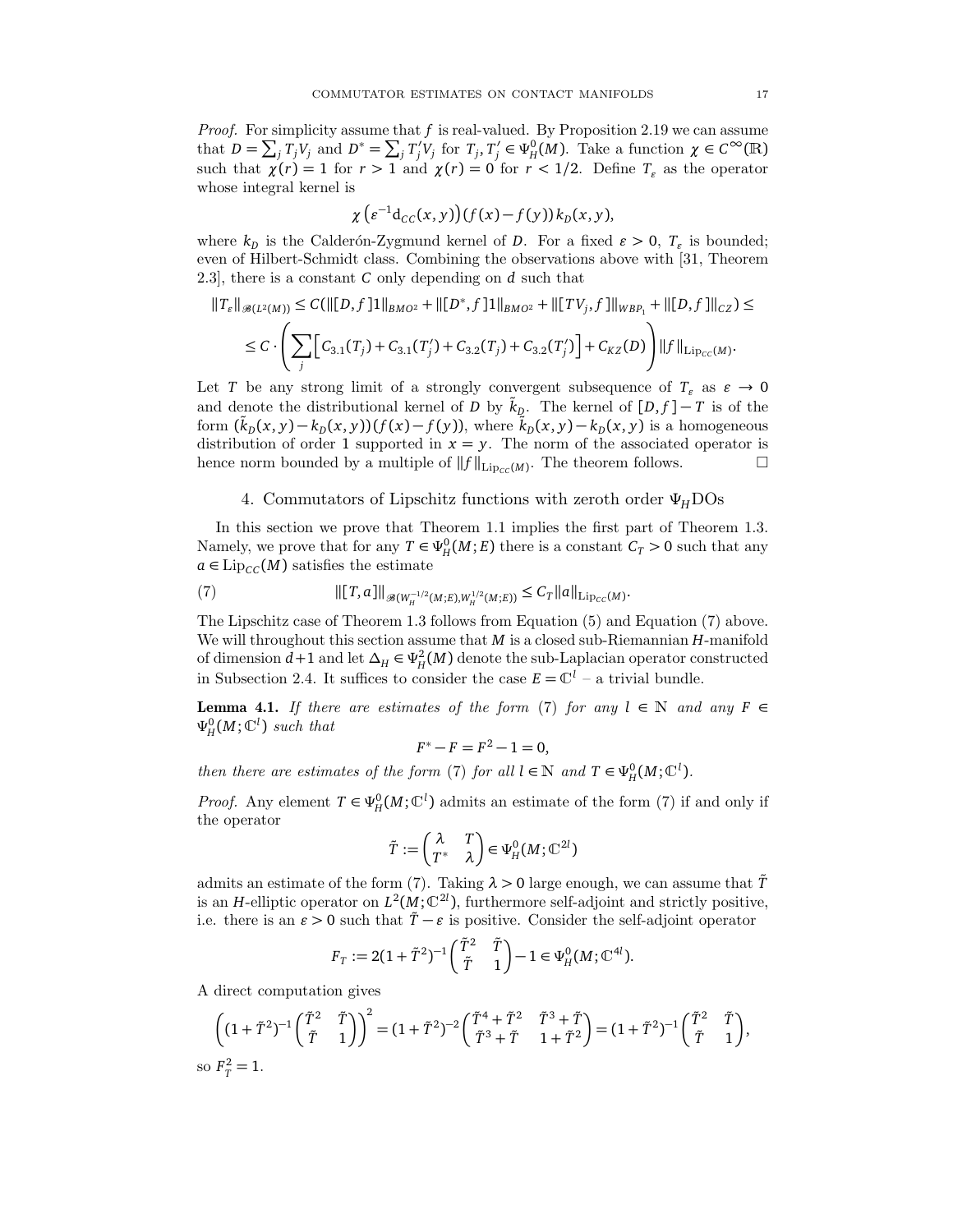*Proof.* For simplicity assume that  $f$  is real-valued. By Proposition 2.19 we can assume that  $D = \sum_j T_j V_j$  and  $D^* = \sum_j T'_j$  $\int_j' V_j$  for  $T_j, T'_j$  $\gamma' \in \Psi_H^0(M)$ . Take a function  $\chi \in C^\infty(\mathbb{R})$ such that  $\chi(r) = 1$  for  $r > 1$  and  $\chi(r) = 0$  for  $r < 1/2$ . Define  $T_{\varepsilon}$  as the operator whose integral kernel is

$$
\chi\left(\varepsilon^{-1}d_{CC}(x,y)\right)(f(x)-f(y))k_D(x,y),
$$

where  $k_D$  is the Calderón-Zygmund kernel of *D*. For a fixed  $\varepsilon > 0$ ,  $T_{\varepsilon}$  is bounded; even of Hilbert-Schmidt class. Combining the observations above with [31, Theorem 2.3], there is a constant *C* only depending on *d* such that

$$
||T_{\varepsilon}||_{\mathcal{B}(L^{2}(M))} \leq C(||[D, f]1||_{BMO^{2}} + ||[D^{*}, f]1||_{BMO^{2}} + ||[TV_{j}, f]||_{WBP_{1}} + ||[D, f]||_{CZ}) \leq
$$
  

$$
\leq C \cdot \left( \sum_{j} \left[ C_{3.1}(T_{j}) + C_{3.1}(T'_{j}) + C_{3.2}(T_{j}) + C_{3.2}(T'_{j}) \right] + C_{KZ}(D) \right) ||f||_{\text{Lip}_{CC}(M)}.
$$

Let *T* be any strong limit of a strongly convergent subsequence of  $T_{\varepsilon}$  as  $\varepsilon \to 0$ and denote the distributional kernel of *D* by  $k<sub>D</sub>$ . The kernel of  $[D, f] - T$  is of the form  $(\tilde{k}_D(x, y) - k_D(x, y))(f(x) - f(y))$ , where  $\tilde{k}_D(x, y) - k_D(x, y)$  is a homogeneous distribution of order 1 supported in  $x = y$ . The norm of the associated operator is hence norm bounded by a multiple of  $||f||_{\text{Lip}_{CC}(M)}$ . The theorem follows.

#### 4. Commutators of Lipschitz functions with zeroth order *ΨH*DOs

In this section we prove that Theorem 1.1 implies the first part of Theorem 1.3. Namely, we prove that for any  $T \in \Psi_H^0(M; E)$  there is a constant  $C_T > 0$  such that any  $a \in \text{Lip}_{CC}(M)$  satisfies the estimate

(7) 
$$
\| [T, a] \|_{\mathcal{B}(W_H^{-1/2}(M; E), W_H^{1/2}(M; E))} \leq C_T \|a\|_{\mathrm{Lip}_{CC}(M)}.
$$

The Lipschitz case of Theorem 1.3 follows from Equation (5) and Equation (7) above. We will throughout this section assume that *M* is a closed sub-Riemannian *H*-manifold of dimension  $d+1$  and let  $\Delta_H \in \Psi^2_H(M)$  denote the sub-Laplacian operator constructed in Subsection 2.4. It suffices to consider the case  $E = \mathbb{C}^l$  – a trivial bundle.

**Lemma 4.1.** If there are estimates of the form (7) for any  $l \in \mathbb{N}$  and any  $F \in$  $\Psi_H^0(M; \mathbb{C}^l)$  such that

$$
F^* - F = F^2 - 1 = 0,
$$

then there are estimates of the form (7) for all  $l \in \mathbb{N}$  and  $T \in \Psi_H^0(M; \mathbb{C}^l)$ .

*Proof.* Any element  $T \in \Psi_H^0(M; \mathbb{C}^l)$  admits an estimate of the form (7) if and only if the operator

$$
\tilde{T} := \begin{pmatrix} \lambda & T \\ T^* & \lambda \end{pmatrix} \in \Psi^0_H(M; \mathbb{C}^{2l})
$$

admits an estimate of the form (7). Taking  $\lambda > 0$  large enough, we can assume that  $\tilde{T}$ is an *H*-elliptic operator on  $L^2(M; \mathbb{C}^2)$ , furthermore self-adjoint and strictly positive, i.e. there is an  $\varepsilon > 0$  such that  $\tilde{T} - \varepsilon$  is positive. Consider the self-adjoint operator

$$
F_T := 2(1 + \tilde{T}^2)^{-1} \begin{pmatrix} \tilde{T}^2 & \tilde{T} \\ \tilde{T} & 1 \end{pmatrix} - 1 \in \Psi_H^0(M; \mathbb{C}^{4l}).
$$

A direct computation gives

$$
\left( (1 + \tilde{T}^2)^{-1} \begin{pmatrix} \tilde{T}^2 & \tilde{T} \\ \tilde{T} & 1 \end{pmatrix} \right)^2 = (1 + \tilde{T}^2)^{-2} \begin{pmatrix} \tilde{T}^4 + \tilde{T}^2 & \tilde{T}^3 + \tilde{T} \\ \tilde{T}^3 + \tilde{T} & 1 + \tilde{T}^2 \end{pmatrix} = (1 + \tilde{T}^2)^{-1} \begin{pmatrix} \tilde{T}^2 & \tilde{T} \\ \tilde{T} & 1 \end{pmatrix},
$$
so  $F_T^2 = 1$ .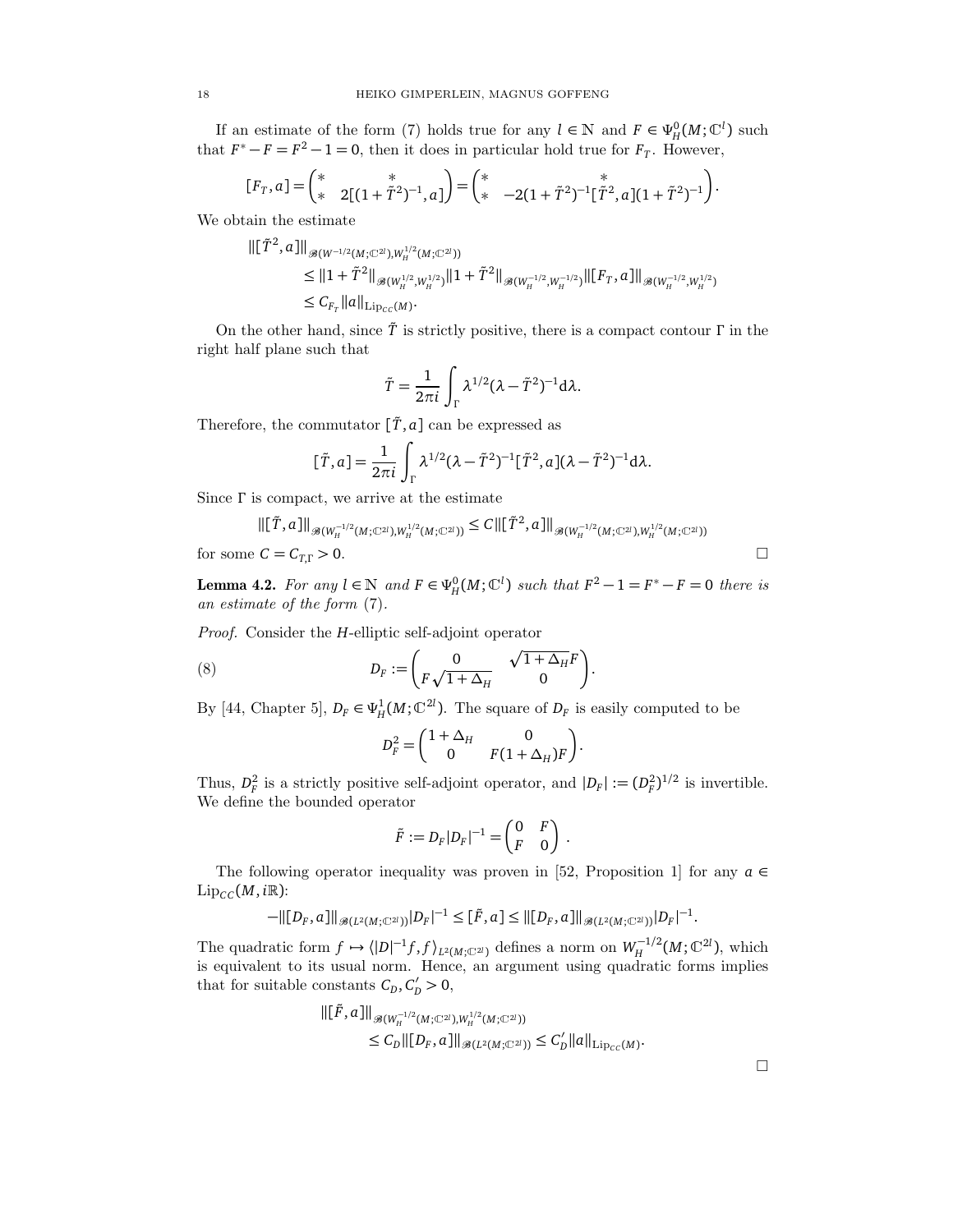If an estimate of the form (7) holds true for any  $l \in \mathbb{N}$  and  $F \in \Psi_H^0(M; \mathbb{C}^l)$  such that  $F^* - F = F^2 - 1 = 0$ , then it does in particular hold true for  $F_T$ . However,

$$
[F_T, a] = \begin{pmatrix} * & * \\ * & 2[(1 + \tilde{T}^2)^{-1}, a] \end{pmatrix} = \begin{pmatrix} * & * \\ * & -2(1 + \tilde{T}^2)^{-1}[\tilde{T}^2, a](1 + \tilde{T}^2)^{-1} \end{pmatrix}.
$$

We obtain the estimate

$$
\begin{aligned} \|\left[\tilde{T}^2,a\right]\|_{\mathscr{B}(W^{-1/2}(M;\mathbb{C}^{2l}),W_H^{1/2}(M;\mathbb{C}^{2l}))} \\ &\leq \|1+\tilde{T}^2\|_{\mathscr{B}(W_H^{1/2},W_H^{1/2})}\|1+\tilde{T}^2\|_{\mathscr{B}(W_H^{-1/2},W_H^{-1/2})}\|\left[F_T,a\right]\|_{\mathscr{B}(W_H^{-1/2},W_H^{1/2})} \\ &\leq C_{F_T}\|a\|_{\mathrm{Lip}_{CC}(M)}. \end{aligned}
$$

On the other hand, since *T*˜ is strictly positive, there is a compact contour *Γ* in the right half plane such that

$$
\tilde{T} = \frac{1}{2\pi i} \int_{\Gamma} \lambda^{1/2} (\lambda - \tilde{T}^2)^{-1} d\lambda.
$$

Therefore, the commutator  $[\tilde{T}, a]$  can be expressed as

$$
[\tilde{T}, a] = \frac{1}{2\pi i} \int_{\Gamma} \lambda^{1/2} (\lambda - \tilde{T}^2)^{-1} [\tilde{T}^2, a] (\lambda - \tilde{T}^2)^{-1} d\lambda.
$$

Since *Γ* is compact, we arrive at the estimate

$$
\|[\tilde{T},a]\|_{\mathscr{B}(W_H^{-1/2}(M;\mathbb{C}^{2l}),W_H^{1/2}(M;\mathbb{C}^{2l}))} \leq C \|\[\tilde{T}^2,a]\|_{\mathscr{B}(W_H^{-1/2}(M;\mathbb{C}^{2l}),W_H^{1/2}(M;\mathbb{C}^{2l}))}
$$
\nfor some  $C = C_{T,\Gamma} > 0$ .

**Lemma 4.2.** For any  $l \in \mathbb{N}$  and  $F \in \Psi_H^0(M; \mathbb{C}^l)$  such that  $F^2 - 1 = F^* - F = 0$  there is an estimate of the form (7).

Proof. Consider the *H*-elliptic self-adjoint operator

(8) 
$$
D_F := \begin{pmatrix} 0 & \sqrt{1 + \Delta_H} F \\ F \sqrt{1 + \Delta_H} & 0 \end{pmatrix}.
$$

By [44, Chapter 5],  $D_F \in \Psi_H^1(M; \mathbb{C}^{2l})$ . The square of  $D_F$  is easily computed to be

$$
D_F^2 = \begin{pmatrix} 1 + \Delta_H & 0 \\ 0 & F(1 + \Delta_H)F \end{pmatrix}.
$$

Thus,  $D_F^2$  is a strictly positive self-adjoint operator, and  $|D_F| := (D_F^2)^{1/2}$  is invertible. We define the bounded operator

$$
\tilde{F} := D_F |D_F|^{-1} = \begin{pmatrix} 0 & F \\ F & 0 \end{pmatrix}.
$$

The following operator inequality was proven in [52, Proposition 1] for any  $a \in$  $\text{Lip}_{CC}(M, i\mathbb{R})$ :

$$
-\|[D_F,a]\|_{\mathscr{B}(L^2(M;\mathbb{C}^2))}|D_F|^{-1}\leq [\tilde{F},a]\leq \| [D_F,a]\|_{\mathscr{B}(L^2(M;\mathbb{C}^2))}|D_F|^{-1}.
$$

The quadratic form  $f \mapsto \langle |D|^{-1} f, f \rangle_{L^2(M; \mathbb{C}^{2l})}$  defines a norm on  $W_H^{-1/2}$  $H^{(-1/2)}(M; \mathbb{C}^{2l})$ , which is equivalent to its usual norm. Hence, an argument using quadratic forms implies that for suitable constants  $C_D, C'_D > 0$ ,

$$
\begin{aligned} \| [\tilde{F},a] \|_{\mathscr{B}(W_H^{-1/2}(M;\mathbb{C}^{2l}),W_H^{1/2}(M;\mathbb{C}^{2l}))} \\ & \leq C_D \| [D_F,a] \|_{\mathscr{B}(L^2(M;\mathbb{C}^{2l}))} \leq C'_D \| a \|_{\mathrm{Lip}_{CC}(M)}. \end{aligned}
$$

 $\Box$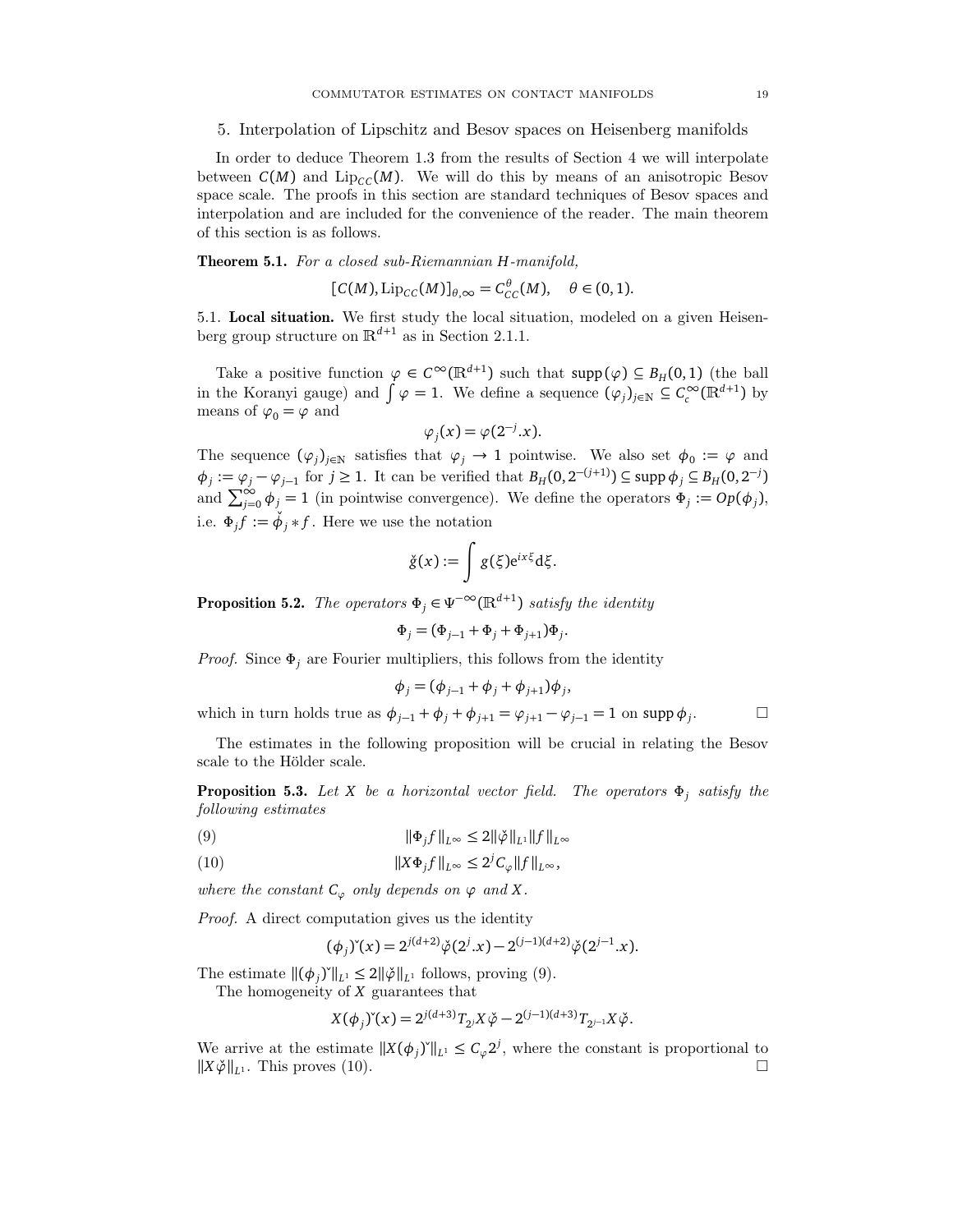#### 5. Interpolation of Lipschitz and Besov spaces on Heisenberg manifolds

In order to deduce Theorem 1.3 from the results of Section 4 we will interpolate between  $C(M)$  and  $Lip_{CC}(M)$ . We will do this by means of an anisotropic Besov space scale. The proofs in this section are standard techniques of Besov spaces and interpolation and are included for the convenience of the reader. The main theorem of this section is as follows.

Theorem 5.1. For a closed sub-Riemannian *H*-manifold,

$$
[C(M), \operatorname{Lip}_{CC}(M)]_{\theta,\infty} = C_{CC}^{\theta}(M), \quad \theta \in (0,1).
$$

5.1. Local situation. We first study the local situation, modeled on a given Heisenberg group structure on  $\mathbb{R}^{d+1}$  as in Section 2.1.1.

Take a positive function  $\varphi \in C^{\infty}(\mathbb{R}^{d+1})$  such that  $\text{supp}(\varphi) \subseteq B_H(0,1)$  (the ball in the Koranyi gauge) and  $\int \varphi = 1$ . We define a sequence  $(\varphi_j)_{j \in \mathbb{N}} \subseteq C_c^{\infty}(\mathbb{R}^{d+1})$  by means of  $\varphi_0 = \varphi$  and

$$
\varphi_j(x) = \varphi(2^{-j}.x).
$$

The sequence  $(\varphi_j)_{j \in \mathbb{N}}$  satisfies that  $\varphi_j \to 1$  pointwise. We also set  $\phi_0 := \varphi$  and  $\phi_j := \varphi_j - \varphi_{j-1}$  for  $j \ge 1$ . It can be verified that  $B_H(0, 2^{-(j+1)}) \subseteq \text{supp } \phi_j \subseteq B_H(0, 2^{-j})$ and  $\sum_{j=0}^{\infty} \phi_j = 1$  (in pointwise convergence). We define the operators  $\Phi_j := Op(\phi_j)$ , i.e.  $\Phi_j f := \check{\phi}_j * f$ . Here we use the notation

$$
\check{g}(x) := \int g(\xi) e^{ix\xi} d\xi.
$$

**Proposition 5.2.** The operators  $\Phi_j \in \Psi^{-\infty}(\mathbb{R}^{d+1})$  satisfy the identity

$$
\Phi_j = (\Phi_{j-1} + \Phi_j + \Phi_{j+1})\Phi_j
$$

.

*Proof.* Since  $\Phi_j$  are Fourier multipliers, this follows from the identity

$$
\phi_j = (\phi_{j-1} + \phi_j + \phi_{j+1})\phi_j,
$$

which in turn holds true as  $\phi_{j-1} + \phi_j + \phi_{j+1} = \phi_{j+1} - \phi_{j-1} = 1$  on supp  $\phi_j$ .  $\Box$ 

The estimates in the following proposition will be crucial in relating the Besov scale to the Hölder scale.

Proposition 5.3. Let *X* be a horizontal vector field. The operators *Φ<sup>j</sup>* satisfy the following estimates

(9) 
$$
\|\Phi_j f\|_{L^{\infty}} \le 2\|\ddot{\varphi}\|_{L^1} \|f\|_{L^{\infty}}
$$

(10) 
$$
||X\Phi_j f||_{L^{\infty}} \leq 2^j C_{\varphi} ||f||_{L^{\infty}},
$$

where the constant  $C_{\varphi}$  only depends on  $\varphi$  and X.

Proof. A direct computation gives us the identity

$$
(\phi_j)^{\check{}}(x) = 2^{j(d+2)}\check{\varphi}(2^j.x) - 2^{(j-1)(d+2)}\check{\varphi}(2^{j-1}.x).
$$

The estimate  $\|(\phi_j)^*\|_{L^1} \leq 2\|\phi\|_{L^1}$  follows, proving (9).

The homogeneity of *X* guarantees that

$$
X(\phi_j)^{\check{}}(x) = 2^{j(d+3)}T_{2j}X\check{\varphi} - 2^{(j-1)(d+3)}T_{2j-1}X\check{\varphi}.
$$

We arrive at the estimate  $||X(\phi_j)^{\prime}||_{L^1} \leq C_{\varphi}2^j$ , where the constant is proportional to  $||X\check{\varphi}||_{L^1}$ . This proves (10).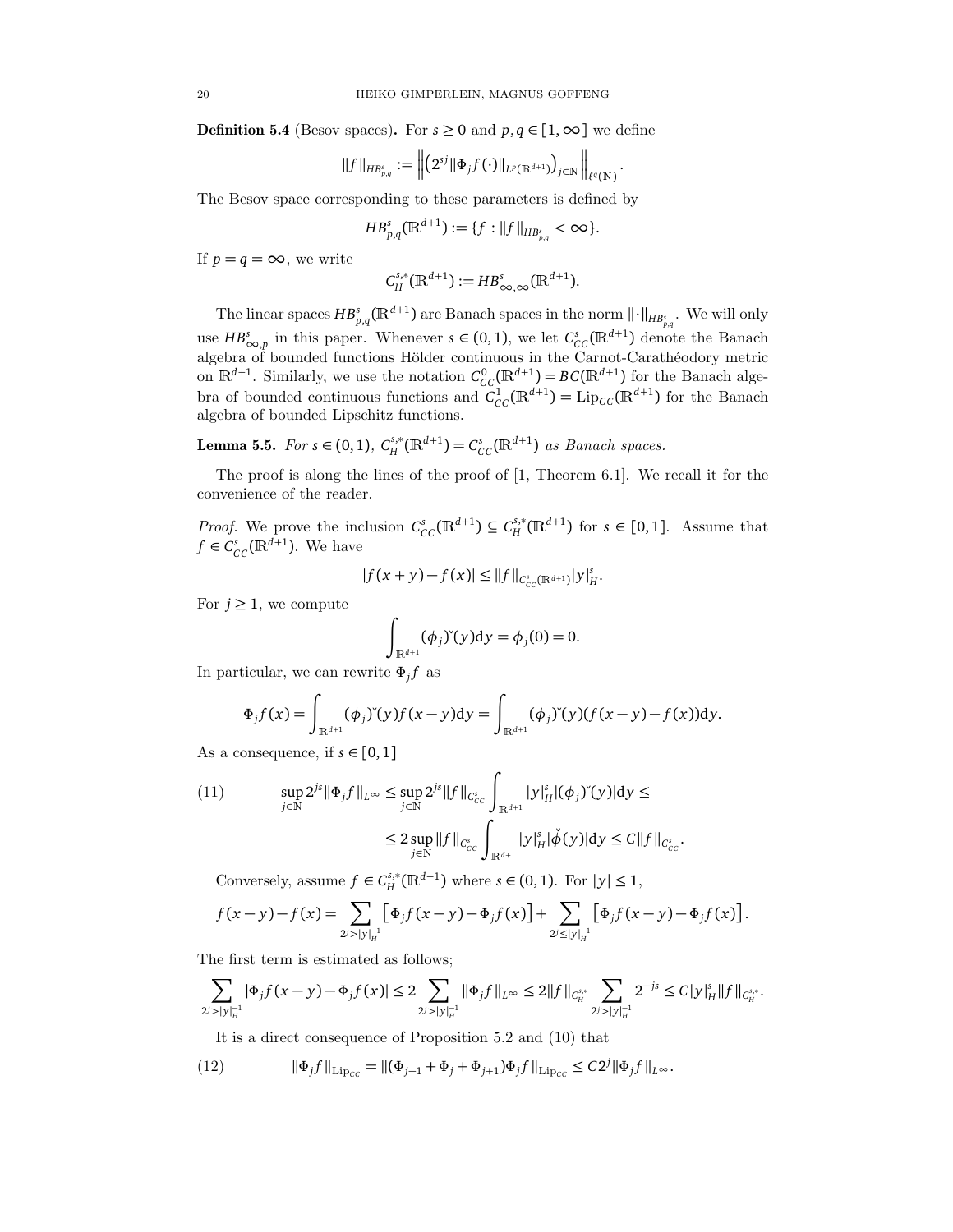**Definition 5.4** (Besov spaces). For  $s \ge 0$  and  $p, q \in [1, \infty]$  we define

$$
||f||_{HB_{p,q}^s} := \left\| \left(2^{sj} || \Phi_j f(\cdot) ||_{L^p(\mathbb{R}^{d+1})} \right)_{j \in \mathbb{N}} \right\|_{\ell^q(\mathbb{N})}.
$$

The Besov space corresponding to these parameters is defined by

$$
HB_{p,q}^{s}(\mathbb{R}^{d+1}):=\{f:||f||_{HB_{p,q}^{s}}<\infty\}.
$$

If  $p = q = \infty$ , we write

$$
C_H^{s,*}(\mathbb{R}^{d+1}):=HB^s_{\infty,\infty}(\mathbb{R}^{d+1}).
$$

The linear spaces  $HB_{p,q}^{s}(\mathbb{R}^{d+1})$  are Banach spaces in the norm  $\|\cdot\|_{HB_{p,q}^{s}}$ . We will only use  $HB_{\infty,p}^s$  in this paper. Whenever  $s \in (0,1)$ , we let  $C_{CC}^s(\mathbb{R}^{d+1})$  denote the Banach algebra of bounded functions Hölder continuous in the Carnot-Carathéodory metric on  $\mathbb{R}^{d+1}$ . Similarly, we use the notation  $C_{CC}^{0}(\mathbb{R}^{d+1}) = BC(\mathbb{R}^{d+1})$  for the Banach algebra of bounded continuous functions and  $\tilde{C}_{CC}^1(\mathbb{R}^{d+1}) = \text{Lip}_{CC}(\mathbb{R}^{d+1})$  for the Banach algebra of bounded Lipschitz functions.

**Lemma 5.5.** For *s* ∈ (0, 1),  $C_H^{s,*}(\mathbb{R}^{d+1}) = C_{CC}^s(\mathbb{R}^{d+1})$  as Banach spaces.

The proof is along the lines of the proof of [1, Theorem 6.1]. We recall it for the convenience of the reader.

*Proof.* We prove the inclusion  $C_{CC}^s(\mathbb{R}^{d+1}) \subseteq C_H^{s,*}(\mathbb{R}^{d+1})$  for  $s \in [0,1]$ . Assume that  $f \in C_{CC}^{s}(\mathbb{R}^{d+1})$ . We have

$$
|f(x+y)-f(x)| \leq ||f||_{C_{CC}^{s}(\mathbb{R}^{d+1})}|y|_{H}^{s}.
$$

For  $j \geq 1$ , we compute

$$
\int_{\mathbb{R}^{d+1}} (\phi_j)^{\check{}}(y) \mathrm{d}y = \phi_j(0) = 0.
$$

In particular, we can rewrite *Φ<sup>j</sup> f* as

$$
\Phi_j f(x) = \int_{\mathbb{R}^{d+1}} (\phi_j)^{\vee}(y) f(x-y) dy = \int_{\mathbb{R}^{d+1}} (\phi_j)^{\vee}(y) (f(x-y) - f(x)) dy.
$$

As a consequence, if  $s \in [0,1]$ 

(11) 
$$
\sup_{j \in \mathbb{N}} 2^{js} \|\Phi_j f\|_{L^{\infty}} \leq \sup_{j \in \mathbb{N}} 2^{js} \|f\|_{C_{CC}^s} \int_{\mathbb{R}^{d+1}} |y|_H^s |(\phi_j)^s(y)| dy \leq
$$

$$
\leq 2 \sup_{j \in \mathbb{N}} \|f\|_{C_{CC}^s} \int_{\mathbb{R}^{d+1}} |y|_H^s |\phi(y)| dy \leq C \|f\|_{C_{CC}^s}.
$$

Conversely, assume  $f \in C_H^{s,*}(\mathbb{R}^{d+1})$  where  $s \in (0,1)$ . For  $|y| \leq 1$ ,

$$
f(x-y)-f(x)=\sum_{2^{j}>|y|_{H}^{-1}}\big[\Phi_{j}f(x-y)-\Phi_{j}f(x)\big]+\sum_{2^{j}\leq|y|_{H}^{-1}}\big[\Phi_{j}f(x-y)-\Phi_{j}f(x)\big].
$$

The first term is estimated as follows;

$$
\sum_{2^j>|y|_H^{-1}}|\Phi_jf(x-y)-\Phi_jf(x)|\leq 2\sum_{2^j>|y|_H^{-1}}\|\Phi_jf\|_{L^\infty}\leq 2\|f\|_{C_H^{s,*}}\sum_{2^j>|y|_H^{-1}}2^{-js}\leq C|y|_H^s\|f\|_{C_H^{s,*}}.
$$

It is a direct consequence of Proposition 5.2 and (10) that

(12) 
$$
\|\Phi_j f\|_{\text{Lip}_{CC}} = \|(\Phi_{j-1} + \Phi_j + \Phi_{j+1})\Phi_j f\|_{\text{Lip}_{CC}} \leq C2^j \|\Phi_j f\|_{L^{\infty}}.
$$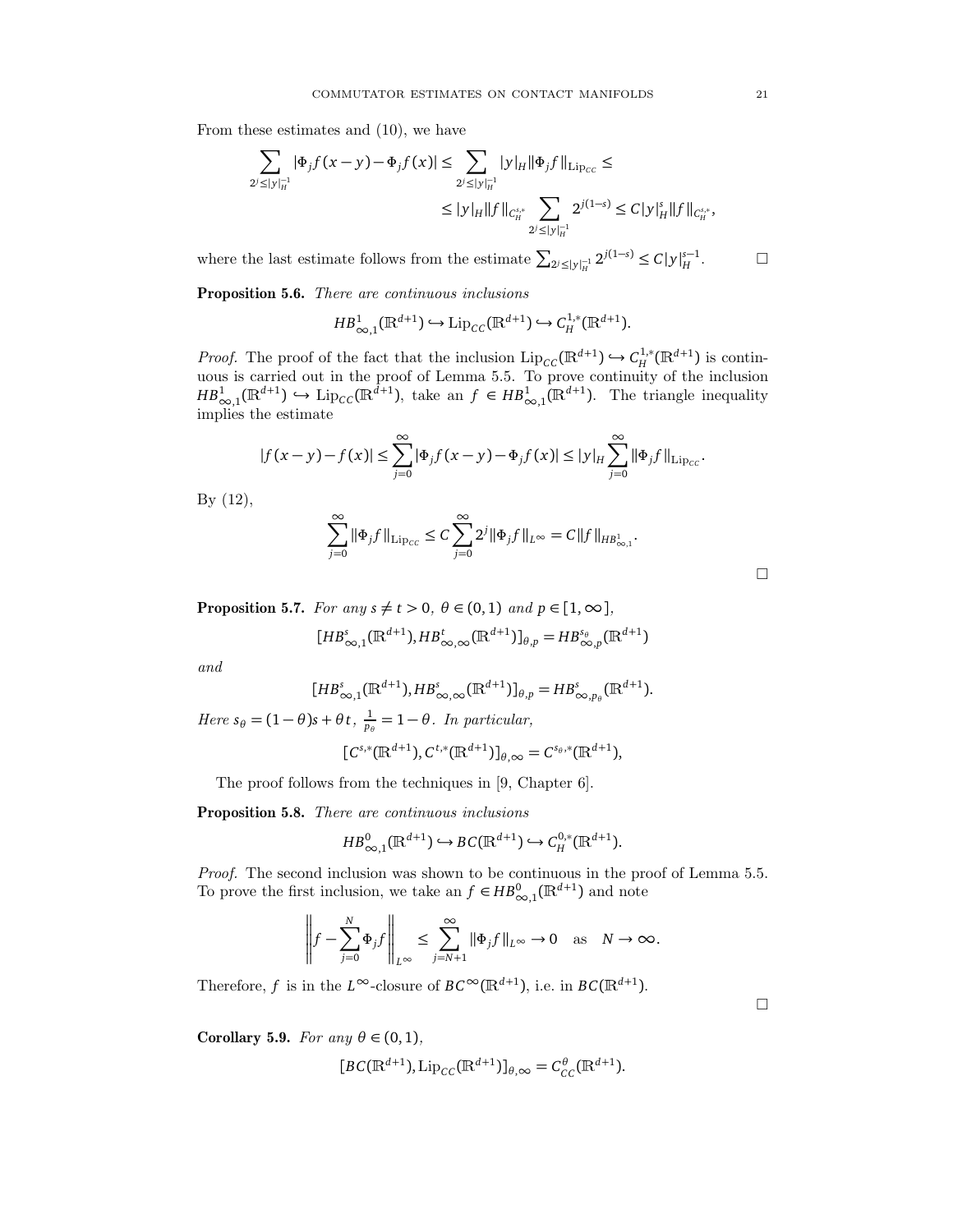From these estimates and (10), we have

$$
\sum_{2^{j} \leq |y|_{H}^{-1}} |\Phi_{j}f(x-y) - \Phi_{j}f(x)| \leq \sum_{2^{j} \leq |y|_{H}^{-1}} |y|_{H} \|\Phi_{j}f\|_{\mathrm{Lip}_{CC}} \leq
$$
  

$$
\leq |y|_{H} \|f\|_{C_{H}^{s,*}} \sum_{2^{j} \leq |y|_{H}^{-1}} 2^{j(1-s)} \leq C |y|_{H}^{s} \|f\|_{C_{H}^{s,*}},
$$

where the last estimate follows from the estimate  $\sum_{2^j \le |y|_H^{-1}} 2^{j(1-s)} \le C |y|_H^{s-1}$  $\Box$ 

Proposition 5.6. There are continuous inclusions

$$
HB_{\infty,1}^1(\mathbb{R}^{d+1}) \hookrightarrow \mathrm{Lip}_{CC}(\mathbb{R}^{d+1}) \hookrightarrow C_H^{1,*}(\mathbb{R}^{d+1}).
$$

*Proof.* The proof of the fact that the inclusion  $\text{Lip}_{CC}(\mathbb{R}^{d+1}) \hookrightarrow C_H^{1,*}(\mathbb{R}^{d+1})$  is continuous is carried out in the proof of Lemma 5.5. To prove continuity of the inclusion  $HB_{\infty,1}^1(\mathbb{R}^{d+1}) \hookrightarrow \text{Lip}_{\text{CC}}(\mathbb{R}^{d+1})$ , take an  $f \in HB_{\infty,1}^1(\mathbb{R}^{d+1})$ . The triangle inequality implies the estimate

$$
|f(x-y)-f(x)| \leq \sum_{j=0}^{\infty} |\Phi_j f(x-y)-\Phi_j f(x)| \leq |y|_H \sum_{j=0}^{\infty} ||\Phi_j f||_{\text{Lip}_{cc}}.
$$

By (12),

$$
\sum_{j=0}^{\infty} \|\Phi_j f\|_{\text{Lip}_{CC}} \leq C \sum_{j=0}^{\infty} 2^j \|\Phi_j f\|_{L^{\infty}} = C \|f\|_{H B^{1}_{\infty,1}}.
$$

**Proposition 5.7.** For any  $s \neq t > 0$ ,  $\theta \in (0, 1)$  and  $p \in [1, \infty]$ ,

$$
[HB^s_{\infty,1}(\mathbb{R}^{d+1}),HB^t_{\infty,\infty}(\mathbb{R}^{d+1})]_{\theta,p}=HB^{s_\theta}_{\infty,p}(\mathbb{R}^{d+1})
$$

and

$$
[HB^s_{\infty,1}(\mathbb{R}^{d+1}),HB^s_{\infty,\infty}(\mathbb{R}^{d+1})]_{\theta,p}=HB^s_{\infty,p_\theta}(\mathbb{R}^{d+1}).
$$

Here  $s_{\theta} = (1 - \theta)s + \theta t$ ,  $\frac{1}{p_{\theta}} = 1 - \theta$ . In particular,

$$
[C^{s,*}(\mathbb{R}^{d+1}), C^{t,*}(\mathbb{R}^{d+1})]_{\theta,\infty} = C^{s_{\theta,*}}(\mathbb{R}^{d+1}),
$$

The proof follows from the techniques in [9, Chapter 6].

Proposition 5.8. There are continuous inclusions

$$
HB_{\infty,1}^0(\mathbb{R}^{d+1}) \hookrightarrow BC(\mathbb{R}^{d+1}) \hookrightarrow C_H^{0,*}(\mathbb{R}^{d+1}).
$$

Proof. The second inclusion was shown to be continuous in the proof of Lemma 5.5. To prove the first inclusion, we take an  $f \in HB^0_{\infty,1}(\mathbb{R}^{d+1})$  and note

$$
\left\|f - \sum_{j=0}^N \Phi_j f\right\|_{L^\infty} \le \sum_{j=N+1}^\infty \|\Phi_j f\|_{L^\infty} \to 0 \quad \text{as} \quad N \to \infty.
$$

Therefore, *f* is in the  $L^{\infty}$ -closure of  $BC^{\infty}(\mathbb{R}^{d+1})$ , i.e. in  $BC(\mathbb{R}^{d+1})$ .

Corollary 5.9. For any  $\theta \in (0,1)$ ,

$$
[BC(\mathbb{R}^{d+1}), \operatorname{Lip}_{CC}(\mathbb{R}^{d+1})]_{\theta,\infty} = C_{CC}^{\theta}(\mathbb{R}^{d+1}).
$$

 $\Box$ 

 $\Box$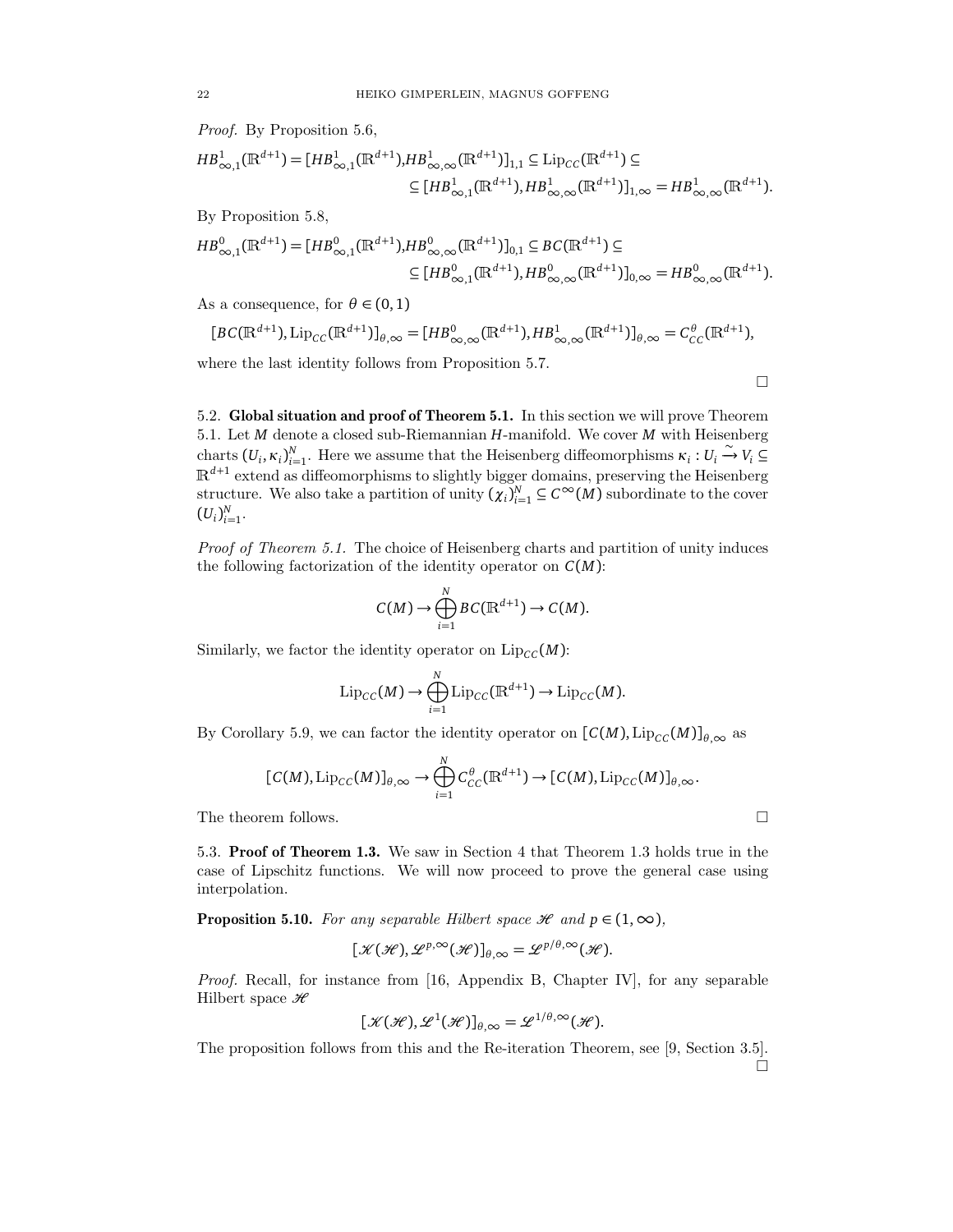Proof. By Proposition 5.6,

$$
HB_{\infty,1}^{1}(\mathbb{R}^{d+1}) = [HB_{\infty,1}^{1}(\mathbb{R}^{d+1}), HB_{\infty,\infty}^{1}(\mathbb{R}^{d+1})]_{1,1} \subseteq \text{Lip}_{CC}(\mathbb{R}^{d+1}) \subseteq
$$
  

$$
\subseteq [HB_{\infty,1}^{1}(\mathbb{R}^{d+1}), HB_{\infty,\infty}^{1}(\mathbb{R}^{d+1})]_{1,\infty} = HB_{\infty,\infty}^{1}(\mathbb{R}^{d+1}).
$$

By Proposition 5.8,

$$
HB_{\infty,1}^{0}(\mathbb{R}^{d+1}) = [HB_{\infty,1}^{0}(\mathbb{R}^{d+1}), HB_{\infty,\infty}^{0}(\mathbb{R}^{d+1})]_{0,1} \subseteq BC(\mathbb{R}^{d+1}) \subseteq
$$
  

$$
\subseteq [HB_{\infty,1}^{0}(\mathbb{R}^{d+1}), HB_{\infty,\infty}^{0}(\mathbb{R}^{d+1})]_{0,\infty} = HB_{\infty,\infty}^{0}(\mathbb{R}^{d+1}).
$$

As a consequence, for  $\theta \in (0,1)$ 

$$
[BC(\mathbb{R}^{d+1}), \operatorname{Lip}_{CC}(\mathbb{R}^{d+1})]_{\theta,\infty} = [HB_{\infty,\infty}^0(\mathbb{R}^{d+1}), HB_{\infty,\infty}^1(\mathbb{R}^{d+1})]_{\theta,\infty} = C_{CC}^{\theta}(\mathbb{R}^{d+1}),
$$

where the last identity follows from Proposition 5.7.

 $\Box$ 

5.2. Global situation and proof of Theorem 5.1. In this section we will prove Theorem 5.1. Let *M* denote a closed sub-Riemannian *H*-manifold. We cover *M* with Heisenberg charts  $(U_i, \kappa_i)_{i=1}^N$ . Here we assume that the Heisenberg diffeomorphisms  $\kappa_i : U_i \overset{\sim}{\rightarrow} V_i \subseteq$  $\mathbb{R}^{d+1}$  extend as diffeomorphisms to slightly bigger domains, preserving the Heisenberg structure. We also take a partition of unity  $(\chi_i)_{i=1}^N \subseteq C^\infty(M)$  subordinate to the cover  $(U_i)_{i=1}^N$ .

Proof of Theorem 5.1. The choice of Heisenberg charts and partition of unity induces the following factorization of the identity operator on *C*(*M*):

$$
C(M) \to \bigoplus_{i=1}^N BC(\mathbb{R}^{d+1}) \to C(M).
$$

Similarly, we factor the identity operator on  $\text{Lip}_{\text{CC}}(M)$ :

$$
\mathrm{Lip}_{CC}(M) \to \bigoplus_{i=1}^N \mathrm{Lip}_{CC}(\mathbb{R}^{d+1}) \to \mathrm{Lip}_{CC}(M).
$$

By Corollary 5.9, we can factor the identity operator on  $[C(M), Lip_{CC}(M)]_{\theta,\infty}$  as

$$
[C(M), \mathrm{Lip}_{CC}(M)]_{\theta, \infty} \to \bigoplus_{i=1}^N C_{CC}^{\theta}(\mathbb{R}^{d+1}) \to [C(M), \mathrm{Lip}_{CC}(M)]_{\theta, \infty}.
$$

The theorem follows.

5.3. Proof of Theorem 1.3. We saw in Section 4 that Theorem 1.3 holds true in the case of Lipschitz functions. We will now proceed to prove the general case using interpolation.

**Proposition 5.10.** For any separable Hilbert space  $\mathcal{H}$  and  $p \in (1, \infty)$ ,

$$
[\mathcal{K}(\mathcal{H}), \mathcal{L}^{p,\infty}(\mathcal{H})]_{\theta,\infty} = \mathcal{L}^{p/\theta,\infty}(\mathcal{H}).
$$

Proof. Recall, for instance from [16, Appendix B, Chapter IV], for any separable Hilbert space  $\mathscr H$ 

$$
[\mathcal{K}(\mathcal{H}), \mathcal{L}^1(\mathcal{H})]_{\theta, \infty} = \mathcal{L}^{1/\theta, \infty}(\mathcal{H}).
$$

The proposition follows from this and the Re-iteration Theorem, see [9, Section 3.5].  $\Box$ 

$$
2^{\prime}
$$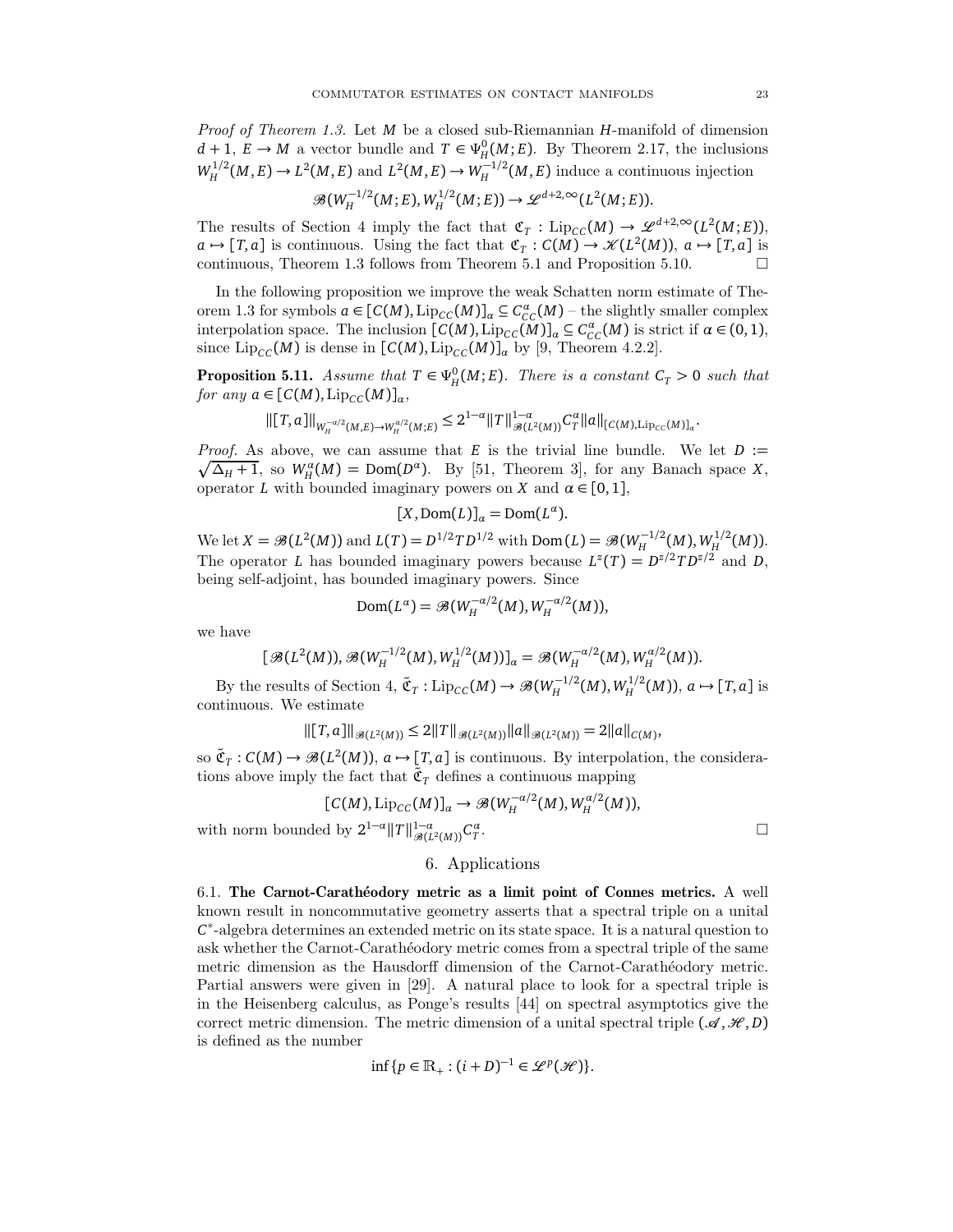Proof of Theorem 1.3. Let *M* be a closed sub-Riemannian *H*-manifold of dimension  $d+1, E \to M$  a vector bundle and  $T \in \Psi_H^0(M; E)$ . By Theorem 2.17, the inclusions  $W_H^{1/2}$  $L_H^{1/2}(M, E) \to L^2(M, E)$  and  $L^2(M, E) \to W_H^{-1/2}$  $H<sup>{-1/2}</sup>(M, E)$  induce a continuous injection

$$
\mathcal{B}(W_H^{-1/2}(M;E),W_H^{1/2}(M;E))\to \mathcal{L}^{d+2,\infty}(L^2(M;E)).
$$

The results of Section 4 imply the fact that  $\mathfrak{C}_T$ : Lip<sub>*CC*</sub>(*M*)  $\rightarrow \mathscr{L}^{d+2,\infty}(L^2(M;E)),$  $a \mapsto [T, a]$  is continuous. Using the fact that  $\mathfrak{C}_T : C(M) \to \mathcal{K}(L^2(M))$ ,  $a \mapsto [T, a]$  is continuous, Theorem 1.3 follows from Theorem 5.1 and Proposition 5.10.  $\Box$ 

In the following proposition we improve the weak Schatten norm estimate of Theorem 1.3 for symbols  $a \in [C(M), Lip_{CC}(M)]$ <sub>*a*</sub>  $\subseteq C_{CC}^{\alpha}(M)$  – the slightly smaller complex interpolation space. The inclusion  $[C(M), Lip_{CC}(M)]_{\alpha} \subseteq C_{CC}^{\alpha}(M)$  is strict if  $\alpha \in (0,1)$ , since  $\text{Lip}_{\text{CC}}(M)$  is dense in  $\left[\text{C}(M), \text{Lip}_{\text{CC}}(M)\right]_{\alpha}$  by [9, Theorem 4.2.2].

**Proposition 5.11.** Assume that  $T \in \Psi_H^0(M; E)$ . There is a constant  $C_T > 0$  such that  $for any a \in [C(M), Lip_{CC}(M)]_a$ 

$$
\| [T,a] \|_{W_H^{-\alpha/2}(M,E) \to W_H^{\alpha/2}(M,E)} \leq 2^{1-\alpha} \| T \|_{\mathcal{B}(L^2(M))}^{1-\alpha} C_T^\alpha \| a \|_{[C(M),{\rm Lip}_{CC}(M)]_\alpha}.
$$

 $\sqrt{\Delta_H+1}$ , so  $W_H^{\alpha}(M) = \text{Dom}(D^{\alpha})$ . By [51, Theorem 3], for any Banach space *X*, *Proof.* As above, we can assume that  $E$  is the trivial line bundle. We let  $D :=$ operator *L* with bounded imaginary powers on *X* and  $\alpha \in [0, 1]$ ,

$$
[X, \text{Dom}(L)]_{\alpha} = \text{Dom}(L^{\alpha}).
$$

We let  $X = \mathcal{B}(L^2(M))$  and  $L(T) = D^{1/2} T D^{1/2}$  with  $Dom(L) = \mathcal{B}(W_H^{-1/2})$  $W_H^{1/2}(M), W_H^{1/2}$  $H^{1/2}(M)).$ The operator *L* has bounded imaginary powers because  $L^z(T) = D^{z/2} T D^{z/2}$  and *D*, being self-adjoint, has bounded imaginary powers. Since

$$
\text{Dom}(L^{\alpha}) = \mathcal{B}(W_H^{-\alpha/2}(M), W_H^{-\alpha/2}(M)),
$$

we have

$$
[\mathcal{B}(L^2(M)), \mathcal{B}(W_H^{-1/2}(M), W_H^{1/2}(M))]_{\alpha} = \mathcal{B}(W_H^{-\alpha/2}(M), W_H^{\alpha/2}(M)).
$$

By the results of Section 4,  $\tilde{\mathfrak{C}}_T$ : Lip<sub>*CC*</sub>(*M*)  $\rightarrow \mathcal{B}(W_H^{-1/2})$  $W_H^{1/2}(M), W_H^{1/2}$  $\mu^{\text{-}1/2}(M)$ ),  $a \mapsto [T, a]$  is continuous. We estimate

$$
\| [T, a] \|_{\mathscr{B}(L^2(M))} \leq 2 \|T \|_{\mathscr{B}(L^2(M))} \|a\|_{\mathscr{B}(L^2(M))} = 2 \|a\|_{C(M)},
$$

so  $\tilde{\mathfrak{C}}_T$ :  $C(M) \to \mathcal{B}(L^2(M))$ ,  $a \mapsto [T, a]$  is continuous. By interpolation, the considerations above imply the fact that  $\tilde{\mathfrak{C}}_T$  defines a continuous mapping

$$
[C(M), \mathrm{Lip}_{CC}(M)]_{\alpha} \rightarrow \mathcal{B}(W_H^{-\alpha/2}(M), W_H^{\alpha/2}(M)),
$$

with norm bounded by  $2^{1-\alpha} ||T||_{\mathscr{B}(L^2(M))}^{1-\alpha} C_T^{\alpha}$ 

# 6. Applications

6.1. The Carnot-Carathéodory metric as a limit point of Connes metrics. A well known result in noncommutative geometry asserts that a spectral triple on a unital *C* ∗ -algebra determines an extended metric on its state space. It is a natural question to ask whether the Carnot-Carathéodory metric comes from a spectral triple of the same metric dimension as the Hausdorff dimension of the Carnot-Carathéodory metric. Partial answers were given in [29]. A natural place to look for a spectral triple is in the Heisenberg calculus, as Ponge's results [44] on spectral asymptotics give the correct metric dimension. The metric dimension of a unital spectral triple  $(\mathscr{A}, \mathscr{H}, D)$ is defined as the number

$$
\inf \{ p \in \mathbb{R}_+ : (i+D)^{-1} \in \mathcal{L}^p(\mathcal{H}) \}.
$$

.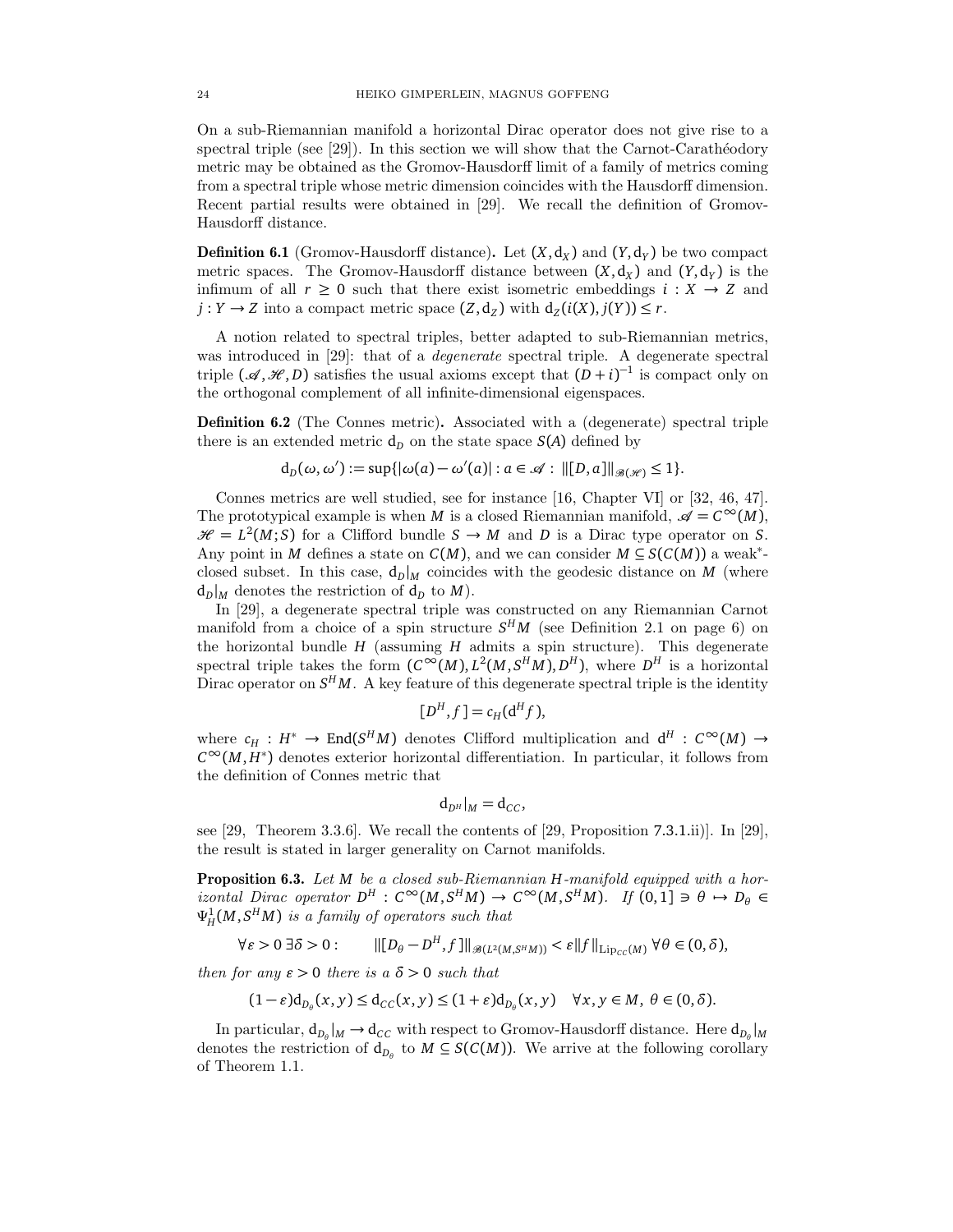On a sub-Riemannian manifold a horizontal Dirac operator does not give rise to a spectral triple (see  $[29]$ ). In this section we will show that the Carnot-Carathéodory metric may be obtained as the Gromov-Hausdorff limit of a family of metrics coming from a spectral triple whose metric dimension coincides with the Hausdorff dimension. Recent partial results were obtained in [29]. We recall the definition of Gromov-Hausdorff distance.

**Definition 6.1** (Gromov-Hausdorff distance). Let  $(X, d_X)$  and  $(Y, d_Y)$  be two compact metric spaces. The Gromov-Hausdorff distance between  $(X, d_X)$  and  $(Y, d_Y)$  is the infimum of all  $r \geq 0$  such that there exist isometric embeddings  $i : X \rightarrow Z$  and  $j: Y \to Z$  into a compact metric space  $(Z, d_Z)$  with  $d_Z(i(X), j(Y)) \le r$ .

A notion related to spectral triples, better adapted to sub-Riemannian metrics, was introduced in [29]: that of a *degenerate* spectral triple. A degenerate spectral triple  $({\mathscr A},{\mathscr H},D)$  satisfies the usual axioms except that  $(D+i)^{-1}$  is compact only on the orthogonal complement of all infinite-dimensional eigenspaces.

Definition 6.2 (The Connes metric). Associated with a (degenerate) spectral triple there is an extended metric  $d<sub>D</sub>$  on the state space  $S(A)$  defined by

$$
d_D(\omega, \omega') := \sup\{|\omega(a) - \omega'(a)| : a \in \mathcal{A} : ||[D, a]||_{\mathcal{B}(\mathcal{H})} \leq 1\}.
$$

Connes metrics are well studied, see for instance [16, Chapter VI] or [32, 46, 47]. The prototypical example is when *M* is a closed Riemannian manifold,  $\mathscr{A} = C^{\infty}(M)$ ,  $\mathcal{H} = L^2(M; S)$  for a Clifford bundle  $S \to M$  and *D* is a Dirac type operator on *S*. Any point in *M* defines a state on  $C(M)$ , and we can consider  $M \subseteq S(C(M))$  a weak<sup>\*</sup>closed subset. In this case,  $d_D|_M$  coincides with the geodesic distance on *M* (where  $d_D|_M$  denotes the restriction of  $d_D$  to *M*).

In [29], a degenerate spectral triple was constructed on any Riemannian Carnot manifold from a choice of a spin structure  $S<sup>H</sup>M$  (see Definition 2.1 on page 6) on the horizontal bundle *H* (assuming *H* admits a spin structure). This degenerate spectral triple takes the form  $(C^{\infty}(M), L^2(M, S^HM), D^H)$ , where  $D^H$  is a horizontal Dirac operator on  $S^H M$ . A key feature of this degenerate spectral triple is the identity

$$
[D^H, f] = c_H(\mathsf{d}^H f),
$$

where  $c_H : H^* \to \text{End}(S^H M)$  denotes Clifford multiplication and  $d^H : C^{\infty}(M) \to$  $C^{\infty}(M, H^*)$  denotes exterior horizontal differentiation. In particular, it follows from the definition of Connes metric that

$$
\mathrm{d}_{D^H}|_M=\mathrm{d}_{CC},
$$

see [29, Theorem 3.3.6]. We recall the contents of [29, Proposition 7.3.1.ii)]. In [29], the result is stated in larger generality on Carnot manifolds.

Proposition 6.3. Let *M* be a closed sub-Riemannian *H*-manifold equipped with a hor $i$ *zontal Dirac operator*  $D^H$ :  $C^\infty(M, S^H M) \to C^\infty(M, S^H M)$ . If  $(0, 1] \ni \theta \mapsto D_\theta \in$  $\Psi_H^1(M,S^HM)$  is a family of operators such that

$$
\forall \varepsilon > 0 \,\exists \delta > 0: \qquad \|[D_\theta - D^H, f]\|_{\mathscr{B}(L^2(M, S^HM))} < \varepsilon \|f\|_{\mathrm{Lip}_{CC}(M)} \,\forall \theta \in (0, \delta),
$$

then for any  $\varepsilon > 0$  there is a  $\delta > 0$  such that

$$
(1-\varepsilon)d_{D_\theta}(x,y) \leq d_{CC}(x,y) \leq (1+\varepsilon)d_{D_\theta}(x,y) \quad \forall x,y \in M, \ \theta \in (0,\delta).
$$

In particular,  $d_{D_\theta}|_M \to d_{CC}$  with respect to Gromov-Hausdorff distance. Here  $d_{D_\theta}|_M$ denotes the restriction of  $d_{D_\theta}$  to  $M \subseteq S(C(M))$ . We arrive at the following corollary of Theorem 1.1.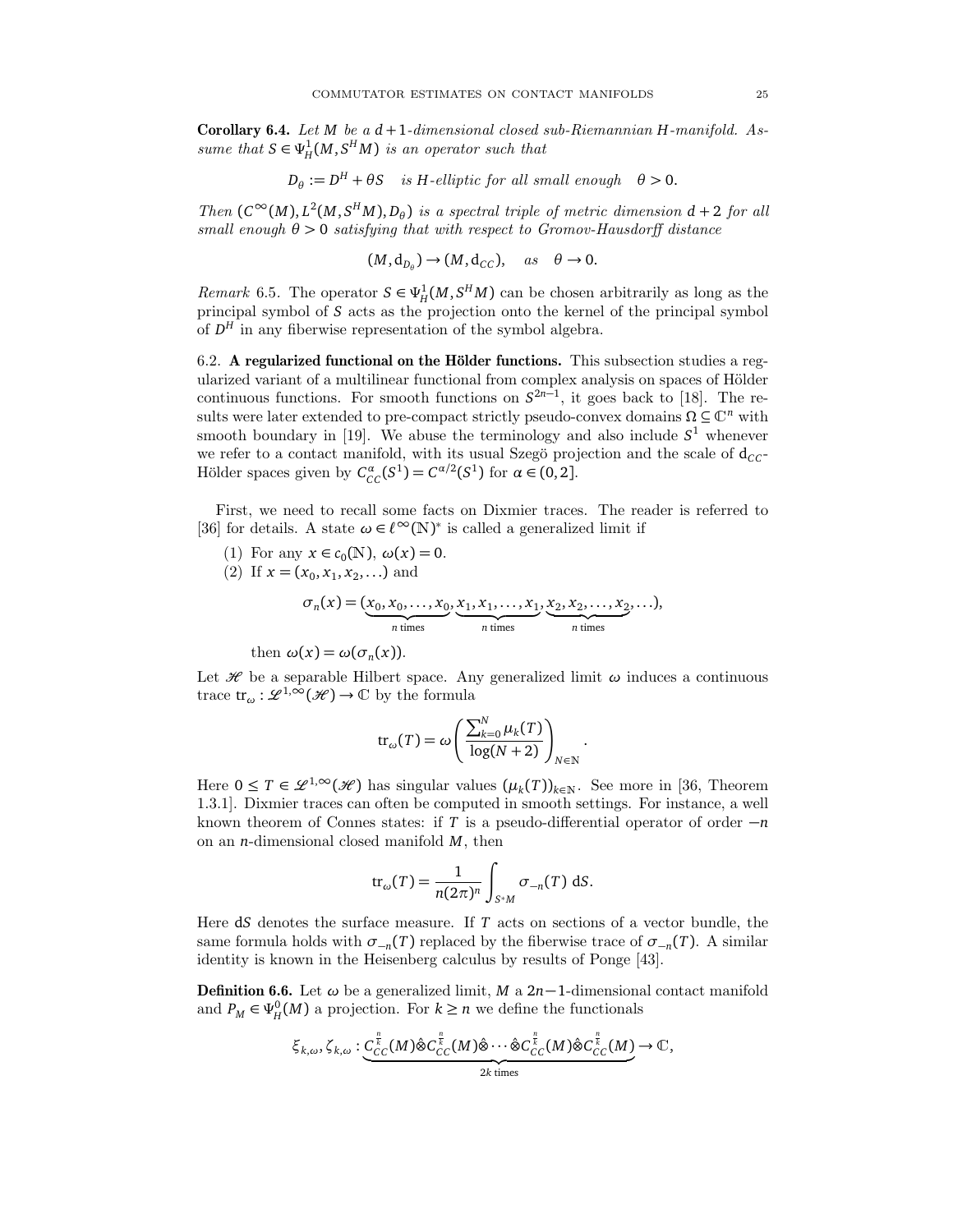Corollary 6.4. Let *M* be a *d* +1-dimensional closed sub-Riemannian *H*-manifold. Assume that  $S \in \Psi^1_H(M, S^HM)$  is an operator such that

$$
D_{\theta} := D^H + \theta S \quad \text{is } H\text{-elliptic for all small enough} \quad \theta > 0.
$$

Then  $(C^{\infty}(M), L^2(M, S^HM), D_{\theta})$  is a spectral triple of metric dimension  $d + 2$  for all small enough  $\theta > 0$  satisfying that with respect to Gromov-Hausdorff distance

$$
(M, d_{D_{\theta}}) \to (M, d_{CC}), \quad as \quad \theta \to 0.
$$

*Remark* 6.5. The operator  $S \in \Psi_H^1(M, S^HM)$  can be chosen arbitrarily as long as the principal symbol of *S* acts as the projection onto the kernel of the principal symbol of  $D<sup>H</sup>$  in any fiberwise representation of the symbol algebra.

6.2. A regularized functional on the Hölder functions. This subsection studies a regularized variant of a multilinear functional from complex analysis on spaces of Hölder continuous functions. For smooth functions on  $S^{2n-1}$ , it goes back to [18]. The results were later extended to pre-compact strictly pseudo-convex domains  $\Omega \subseteq \mathbb{C}^n$  with smooth boundary in [19]. We abuse the terminology and also include  $S<sup>1</sup>$  whenever we refer to a contact manifold, with its usual Szegö projection and the scale of  $d_{CC}$ -Hölder spaces given by  $C_{CC}^{\alpha}(S^1) = C^{\alpha/2}(S^1)$  for  $\alpha \in (0, 2]$ .

First, we need to recall some facts on Dixmier traces. The reader is referred to [36] for details. A state  $\omega \in \ell^\infty(\mathbb{N})^*$  is called a generalized limit if

(1) For any  $x \in c_0(N)$ ,  $\omega(x) = 0$ . (2) If  $x = (x_0, x_1, x_2, ...)$  and  $\sigma_n(x) = (x_0, x_0, \ldots, x_0)$  $\overline{n}$  times  $, x_1, x_1, \ldots, x_1$  $$  $, x_2, x_2, \ldots, x_2$  $\overline{n}$  times , . . .),

then  $\omega(x) = \omega(\sigma_n(x))$ .

Let  $\mathcal H$  be a separable Hilbert space. Any generalized limit  $\omega$  induces a continuous trace  $tr_{\omega}: \mathscr{L}^{1,\infty}(\mathscr{H}) \to \mathbb{C}$  by the formula

$$
\operatorname{tr}_{\omega}(T) = \omega \left( \frac{\sum_{k=0}^{N} \mu_k(T)}{\log(N+2)} \right)_{N \in \mathbb{N}}.
$$

Here  $0 \leq T \in \mathcal{L}^{1,\infty}(\mathcal{H})$  has singular values  $(\mu_k(T))_{k \in \mathbb{N}}$ . See more in [36, Theorem 1.3.1]. Dixmier traces can often be computed in smooth settings. For instance, a well known theorem of Connes states: if *T* is a pseudo-differential operator of order −*n* on an *n*-dimensional closed manifold *M*, then

$$
\operatorname{tr}_{\omega}(T) = \frac{1}{n(2\pi)^n} \int_{S^*M} \sigma_{-n}(T) \, \mathrm{d}S.
$$

Here d*S* denotes the surface measure. If *T* acts on sections of a vector bundle, the same formula holds with  $\sigma_{-n}(T)$  replaced by the fiberwise trace of  $\sigma_{-n}(T)$ . A similar identity is known in the Heisenberg calculus by results of Ponge [43].

**Definition 6.6.** Let  $\omega$  be a generalized limit, *M* a 2*n*−1-dimensional contact manifold and  $P_M \in \Psi_H^0(M)$  a projection. For  $k \geq n$  we define the functionals

$$
\xi_{k,\omega}, \zeta_{k,\omega}: \underbrace{C^{\frac{p}{k}}_{CC}(M)\hat{\otimes}C^{\frac{p}{k}}_{CC}(M)\hat{\otimes}\cdots\hat{\otimes}C^{\frac{p}{k}}_{CC}(M)\hat{\otimes}C^{\frac{p}{k}}_{CC}(M)}_{2k \text{ times}} \to \mathbb{C},
$$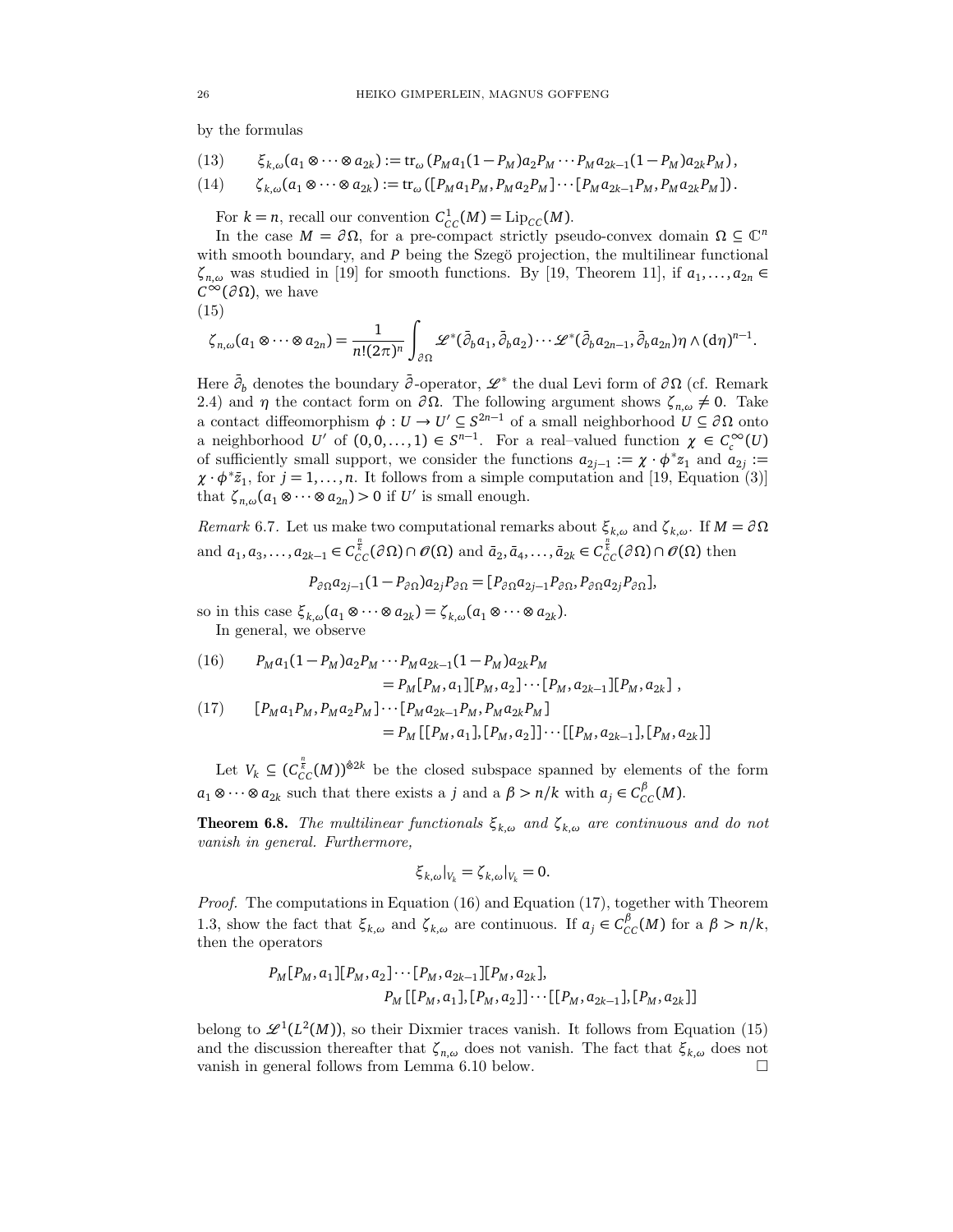by the formulas

(13) 
$$
\xi_{k,\omega}(a_1 \otimes \cdots \otimes a_{2k}) := \text{tr}_{\omega}(P_M a_1 (1 - P_M) a_2 P_M \cdots P_M a_{2k-1} (1 - P_M) a_{2k} P_M),
$$

$$
(14) \qquad \zeta_{k,\omega}(a_1 \otimes \cdots \otimes a_{2k}) := \text{tr}_{\omega}([P_M a_1 P_M, P_M a_2 P_M] \cdots [P_M a_{2k-1} P_M, P_M a_{2k} P_M]).
$$

For  $k = n$ , recall our convention  $C_{CC}^1(M) = \text{Lip}_{CC}(M)$ .

In the case  $M = \partial \Omega$ , for a pre-compact strictly pseudo-convex domain  $\Omega \subseteq \mathbb{C}^n$ with smooth boundary, and  $P$  being the Szegö projection, the multilinear functional  $\zeta_{n,\omega}$  was studied in [19] for smooth functions. By [19, Theorem 11], if  $a_1, \ldots, a_{2n} \in$  $C^{\infty}(\partial\Omega)$ , we have

$$
(15)
$$

$$
\zeta_{n,\omega}(a_1\otimes\cdots\otimes a_{2n})=\frac{1}{n!(2\pi)^n}\int_{\partial\Omega}\mathscr{L}^*(\bar{\partial}_b a_1,\bar{\partial}_b a_2)\cdots\mathscr{L}^*(\bar{\partial}_b a_{2n-1},\bar{\partial}_b a_{2n})\eta\wedge(\mathrm{d}\eta)^{n-1}.
$$

Here  $\bar{\partial}_b$  denotes the boundary  $\bar{\partial}$ -operator,  $\mathscr{L}^*$  the dual Levi form of  $\partial\Omega$  (cf. Remark 2.4) and *η* the contact form on  $\partial \Omega$ . The following argument shows  $\zeta_{n,\omega} \neq 0$ . Take a contact diffeomorphism  $\phi: U \to U' \subseteq S^{2n-1}$  of a small neighborhood  $U \subseteq \partial \Omega$  onto a neighborhood *U*<sup> $\prime$ </sup> of  $(0, 0, \ldots, 1) \in S^{n-1}$ . For a real-valued function  $\chi \in C_c^{\infty}(U)$ of sufficiently small support, we consider the functions  $a_{2j-1} := \chi \cdot \phi^* z_1$  and  $a_{2j} :=$  $\chi \cdot \phi^* \bar{z}_1$ , for  $j = 1, ..., n$ . It follows from a simple computation and [19, Equation (3)] that  $\zeta_{n,\omega}(a_1 \otimes \cdots \otimes a_{2n}) > 0$  if *U'* is small enough.

Remark 6.7. Let us make two computational remarks about  $\zeta_{k,\omega}$  and  $\zeta_{k,\omega}$ . If  $M = \partial \Omega$ and  $a_1, a_3, \ldots, a_{2k-1} \in C_{CC}^{\frac{n}{k}}(\partial \Omega) \cap \mathscr{O}(\Omega)$  and  $\bar{a}_2, \bar{a}_4, \ldots, \bar{a}_{2k} \in C_{CC}^{\frac{n}{k}}(\partial \Omega) \cap \mathscr{O}(\Omega)$  then

$$
P_{\partial\Omega}a_{2j-1}(1-P_{\partial\Omega})a_{2j}P_{\partial\Omega}=[P_{\partial\Omega}a_{2j-1}P_{\partial\Omega},P_{\partial\Omega}a_{2j}P_{\partial\Omega}],
$$

so in this case  $\xi_{k,\omega}(a_1 \otimes \cdots \otimes a_{2k}) = \zeta_{k,\omega}(a_1 \otimes \cdots \otimes a_{2k}).$ In general, we observe

(16) 
$$
P_M a_1 (1 - P_M) a_2 P_M \cdots P_M a_{2k-1} (1 - P_M) a_{2k} P_M
$$

$$
= P_M [P_M, a_1] [P_M, a_2] \cdots [P_M, a_{2k-1}] [P_M, a_{2k}] ,
$$

$$
(17) \qquad [P_M a_1 P_M, P_M a_2 P_M] \cdots [P_M a_{2k-1} P_M, P_M a_{2k} P_M]
$$

$$
= P_M [[P_M, a_1], [P_M, a_2]] \cdots [[P_M, a_{2k-1}], [P_M, a_{2k}] ]
$$

Let  $V_k \subseteq (C_{CC}^{\frac{n}{k}}(M))^{\hat{\otimes}2k}$  be the closed subspace spanned by elements of the form  $a_1 \otimes \cdots \otimes a_{2k}$  such that there exists a *j* and a  $\beta > n/k$  with  $a_j \in C_{CC}^{\beta}(M)$ .

**Theorem 6.8.** The multilinear functionals  $\xi_{k,\omega}$  and  $\zeta_{k,\omega}$  are continuous and do not vanish in general. Furthermore,

$$
\xi_{k,\omega}|_{V_k} = \zeta_{k,\omega}|_{V_k} = 0.
$$

*Proof.* The computations in Equation (16) and Equation (17), together with Theorem 1.3, show the fact that  $\xi_{k,\omega}$  and  $\zeta_{k,\omega}$  are continuous. If  $a_j \in C_{CC}^{\beta}(M)$  for a  $\beta > n/k$ , then the operators

$$
P_M[P_M, a_1][P_M, a_2] \cdots [P_M, a_{2k-1}][P_M, a_{2k}],
$$
  

$$
P_M[[P_M, a_1], [P_M, a_2]] \cdots [[P_M, a_{2k-1}], [P_M, a_{2k}]]
$$

belong to  $\mathscr{L}^1(L^2(M))$ , so their Dixmier traces vanish. It follows from Equation (15) and the discussion thereafter that  $\zeta_{n,\omega}$  does not vanish. The fact that  $\xi_{k,\omega}$  does not vanish in general follows from Lemma 6.10 below.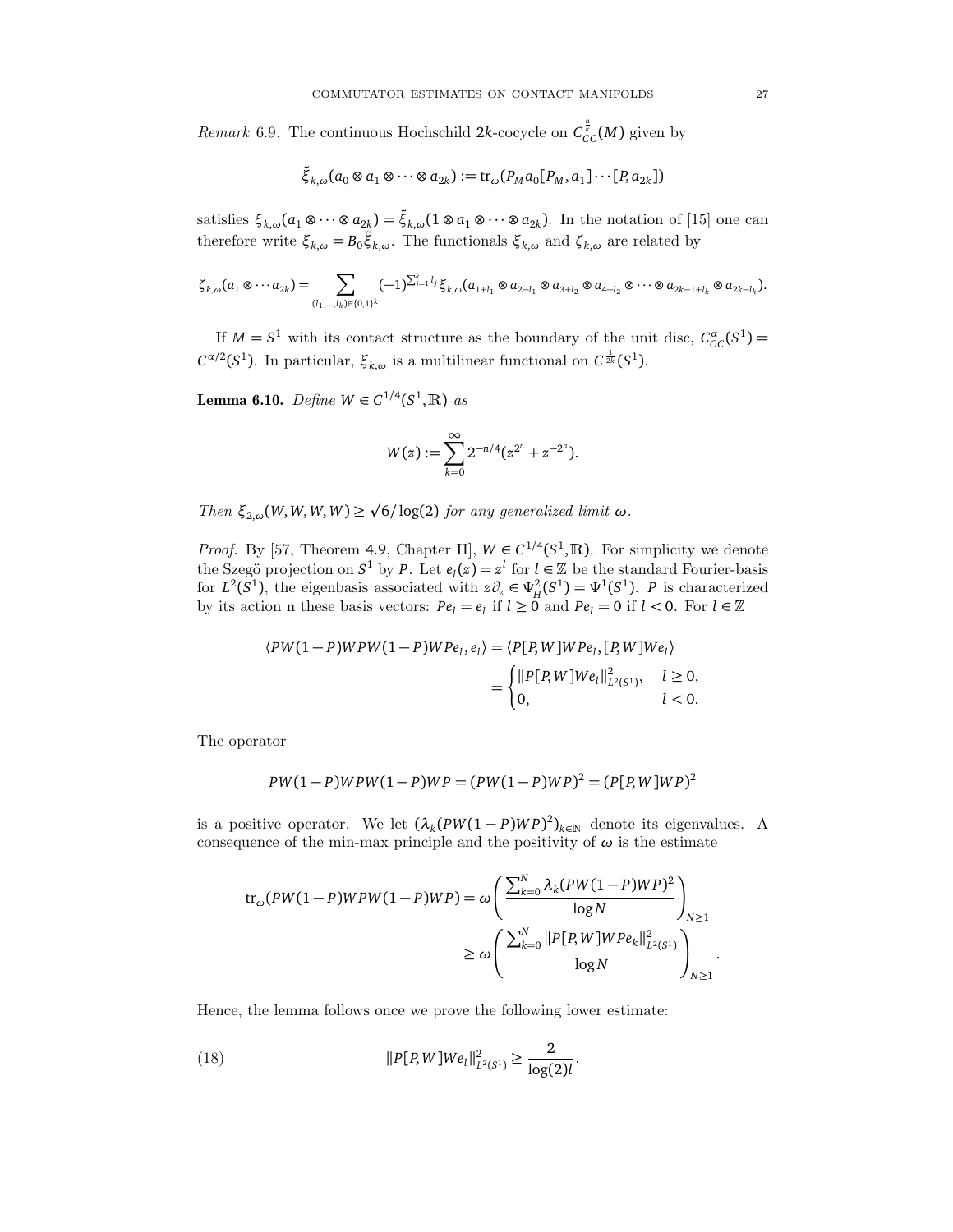*Remark* 6.9. The continuous Hochschild 2*k*-cocycle on  $C_{CC}^{\frac{n}{k}}(M)$  given by

$$
\tilde{\xi}_{k,\omega}(a_0 \otimes a_1 \otimes \cdots \otimes a_{2k}) := \operatorname{tr}_{\omega}(P_M a_0[P_M, a_1] \cdots [P, a_{2k}])
$$

satisfies  $\xi_{k,\omega}(a_1 \otimes \cdots \otimes a_{2k}) = \tilde{\xi}_{k,\omega}(1 \otimes a_1 \otimes \cdots \otimes a_{2k}).$  In the notation of [15] one can therefore write  $\xi_{k,\omega} = B_0 \tilde{\xi}_{k,\omega}$ . The functionals  $\xi_{k,\omega}$  and  $\zeta_{k,\omega}$  are related by

$$
\zeta_{k,\omega}(a_1 \otimes \cdots a_{2k}) = \sum_{(l_1,\ldots,l_k) \in \{0,1\}^k} (-1)^{\sum_{j=1}^k l_j} \xi_{k,\omega}(a_{1+l_1} \otimes a_{2-l_1} \otimes a_{3+l_2} \otimes a_{4-l_2} \otimes \cdots \otimes a_{2k-1+l_k} \otimes a_{2k-l_k}).
$$

If  $M = S^1$  with its contact structure as the boundary of the unit disc,  $C_{CC}^{\alpha}(S^1) =$ *C*<sup>α/2</sup>(*S*<sup>1</sup>). In particular,  $ξ$ <sub>*k*,*ω*</sub> is a multilinear functional on  $C^{\frac{1}{2k}}(S^1)$ .

**Lemma 6.10.** *Define W* ∈  $C^{1/4}(S^1, \mathbb{R})$  *as* 

$$
W(z) := \sum_{k=0}^{\infty} 2^{-n/4} (z^{2^n} + z^{-2^n}).
$$

 $Then$  ξ<sub>2,ω</sub>(*W*, *W*, *W*, *W*) ≥ 6*/* log(2) for any generalized limit *ω*.

p

*Proof.* By [57, Theorem 4.9, Chapter II],  $W \in C^{1/4}(S^1,\mathbb{R})$ . For simplicity we denote the Szegö projection on  $S^1$  by *P*. Let  $e_l(z) = z^l$  for  $l \in \mathbb{Z}$  be the standard Fourier-basis for  $L^2(S^1)$ , the eigenbasis associated with  $z\partial_z \in \Psi_H^2(S^1) = \Psi^1(S^1)$ . *P* is characterized by its action n these basis vectors:  $Pe_l = e_l$  if  $l \geq 0$  and  $Pe_l = 0$  if  $l < 0$ . For  $l \in \mathbb{Z}$ 

$$
\langle PW(1-P)WPW(1-P)WPe_l, e_l \rangle = \langle P[P, W]WPe_l, [P, W]We_l \rangle
$$
  
= 
$$
\begin{cases} ||P[P, W]We_l||^2_{L^2(S^1)}, & l \ge 0, \\ 0, & l < 0. \end{cases}
$$

The operator

$$
PW(1-P)WPW(1-P)WP = (PW(1-P)WP)^{2} = (P[P, W]WP)^{2}
$$

is a positive operator. We let  $(\lambda_k(PW(1 - P)WP)^2)_{k \in \mathbb{N}}$  denote its eigenvalues. A consequence of the min-max principle and the positivity of  $\omega$  is the estimate

$$
\begin{split} \text{tr}_{\omega}(PW(1-P)WPW(1-P)WP) &= \omega \left( \frac{\sum_{k=0}^{N} \lambda_k (PW(1-P)WP)^2}{\log N} \right)_{N \ge 1} \\ &\ge \omega \left( \frac{\sum_{k=0}^{N} ||P[P, W]WPe_k||_{L^2(S^1)}^2}{\log N} \right)_{N \ge 1} . \end{split}
$$

Hence, the lemma follows once we prove the following lower estimate:

(18) 
$$
||P[P, W] We_l||_{L^2(S^1)}^2 \geq \frac{2}{\log(2)l}.
$$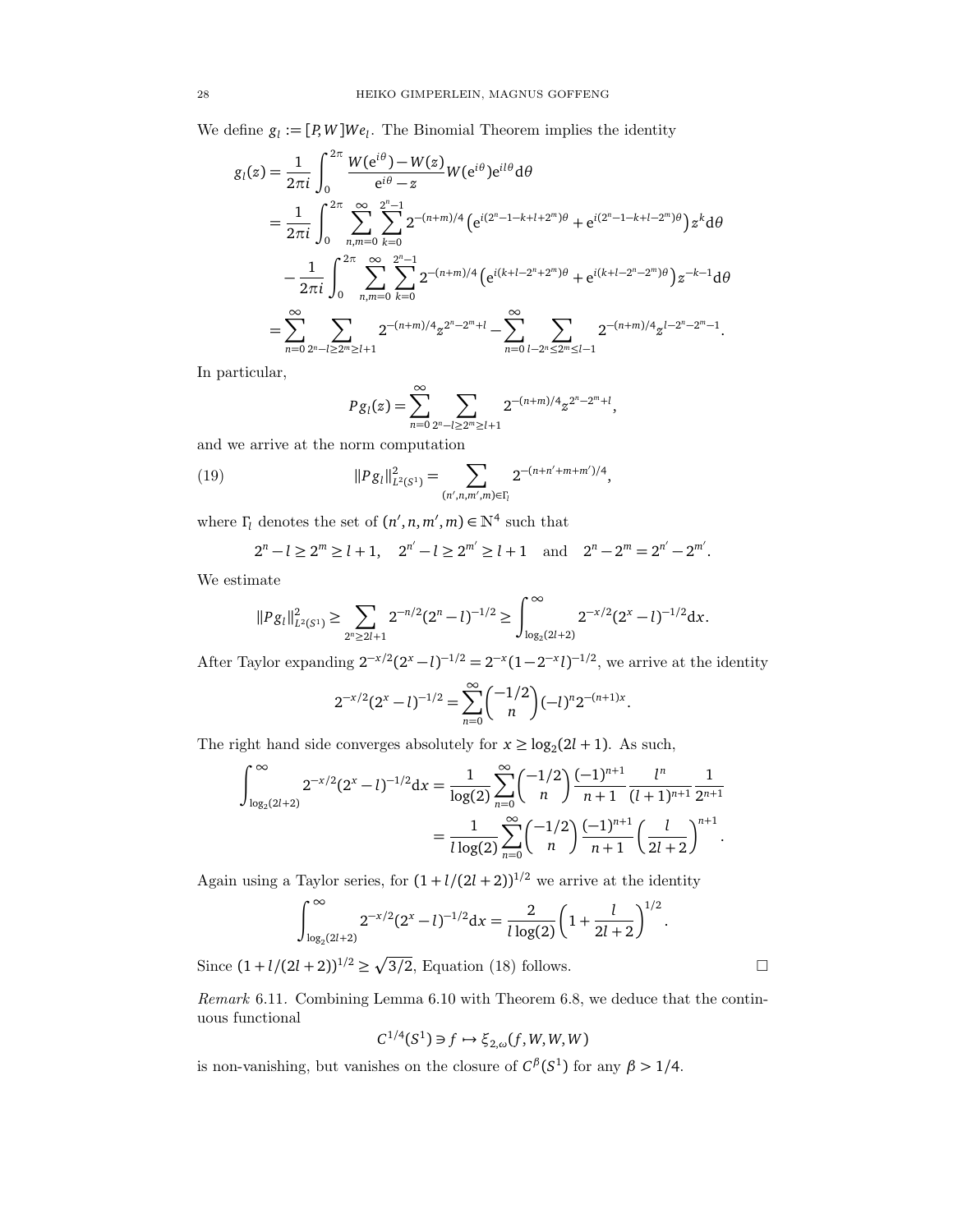We define  $g_l := [P, W] We_l$ . The Binomial Theorem implies the identity

$$
g_{l}(z) = \frac{1}{2\pi i} \int_{0}^{2\pi} \frac{W(e^{i\theta}) - W(z)}{e^{i\theta} - z} W(e^{i\theta}) e^{il\theta} d\theta
$$
  
\n
$$
= \frac{1}{2\pi i} \int_{0}^{2\pi} \sum_{n,m=0}^{\infty} \sum_{k=0}^{2^{n}-1} 2^{-(n+m)/4} \left( e^{i(2^{n}-1-k+l+2^{m})\theta} + e^{i(2^{n}-1-k+l-2^{m})\theta} \right) z^{k} d\theta
$$
  
\n
$$
- \frac{1}{2\pi i} \int_{0}^{2\pi} \sum_{n,m=0}^{\infty} \sum_{k=0}^{2^{n}-1} 2^{-(n+m)/4} \left( e^{i(k+l-2^{n}+2^{m})\theta} + e^{i(k+l-2^{n}-2^{m})\theta} \right) z^{-k-1} d\theta
$$
  
\n
$$
= \sum_{n=0}^{\infty} \sum_{2^{n}-l \ge 2^{m} \ge l+1} 2^{-(n+m)/4} z^{2^{n}-2^{m}+l} - \sum_{n=0}^{\infty} \sum_{l-2^{n} \le 2^{m} \le l-1} 2^{-(n+m)/4} z^{l-2^{n}-2^{m}-1}.
$$

In particular,

$$
P g_l(z) = \sum_{n=0}^{\infty} \sum_{2^n - l \ge 2^m \ge l+1} 2^{-(n+m)/4} z^{2^n - 2^m + l},
$$

and we arrive at the norm computation

(19) 
$$
||P g_l||_{L^2(S^1)}^2 = \sum_{(n',n,m',m)\in\Gamma_l} 2^{-(n+n'+m+m')/4},
$$

where  $\Gamma_l$  denotes the set of  $(n', n, m', m) \in \mathbb{N}^4$  such that

$$
2^{n} - l \ge 2^{m} \ge l + 1
$$
,  $2^{n'} - l \ge 2^{m'} \ge l + 1$  and  $2^{n} - 2^{m} = 2^{n'} - 2^{m'}$ .

We estimate

$$
||P g_l||^2_{L^2(S^1)} \geq \sum_{2^n \geq 2l+1} 2^{-n/2} (2^n - l)^{-1/2} \geq \int_{\log_2(2l+2)}^{\infty} 2^{-x/2} (2^x - l)^{-1/2} dx.
$$

After Taylor expanding  $2^{-x/2}(2^x - l)^{-1/2} = 2^{-x}(1 - 2^{-x}l)^{-1/2}$ , we arrive at the identity

$$
2^{-x/2}(2^x - l)^{-1/2} = \sum_{n=0}^{\infty} {\binom{-1/2}{n}} (-l)^n 2^{-(n+1)x}.
$$

The right hand side converges absolutely for  $x \ge \log_2(2l + 1)$ . As such,

$$
\int_{\log_2(2l+2)}^{\infty} 2^{-x/2} (2^x - l)^{-1/2} dx = \frac{1}{\log(2)} \sum_{n=0}^{\infty} {\binom{-1/2}{n}} \frac{(-1)^{n+1}}{n+1} \frac{l^n}{(l+1)^{n+1}} \frac{1}{2^{n+1}}
$$

$$
= \frac{1}{l \log(2)} \sum_{n=0}^{\infty} {\binom{-1/2}{n}} \frac{(-1)^{n+1}}{n+1} {\binom{l}{2l+2}}^{n+1}.
$$

Again using a Taylor series, for  $(1 + l/(2l + 2))^{1/2}$  we arrive at the identity

$$
\int_{\log_2(2l+2)}^{\infty} 2^{-x/2} (2^x - l)^{-1/2} dx = \frac{2}{l \log(2)} \left( 1 + \frac{l}{2l+2} \right)^{1/2}.
$$

Since  $(1 + l/(2l + 2))^{1/2} \ge \sqrt{3/2}$ , Equation (18) follows.

Remark 6.11. Combining Lemma 6.10 with Theorem 6.8, we deduce that the continuous functional

$$
C^{1/4}(S^1) \ni f \mapsto \xi_{2,\omega}(f, W, W, W)
$$

is non-vanishing, but vanishes on the closure of  $C^{\beta}(S^1)$  for any  $\beta > 1/4$ .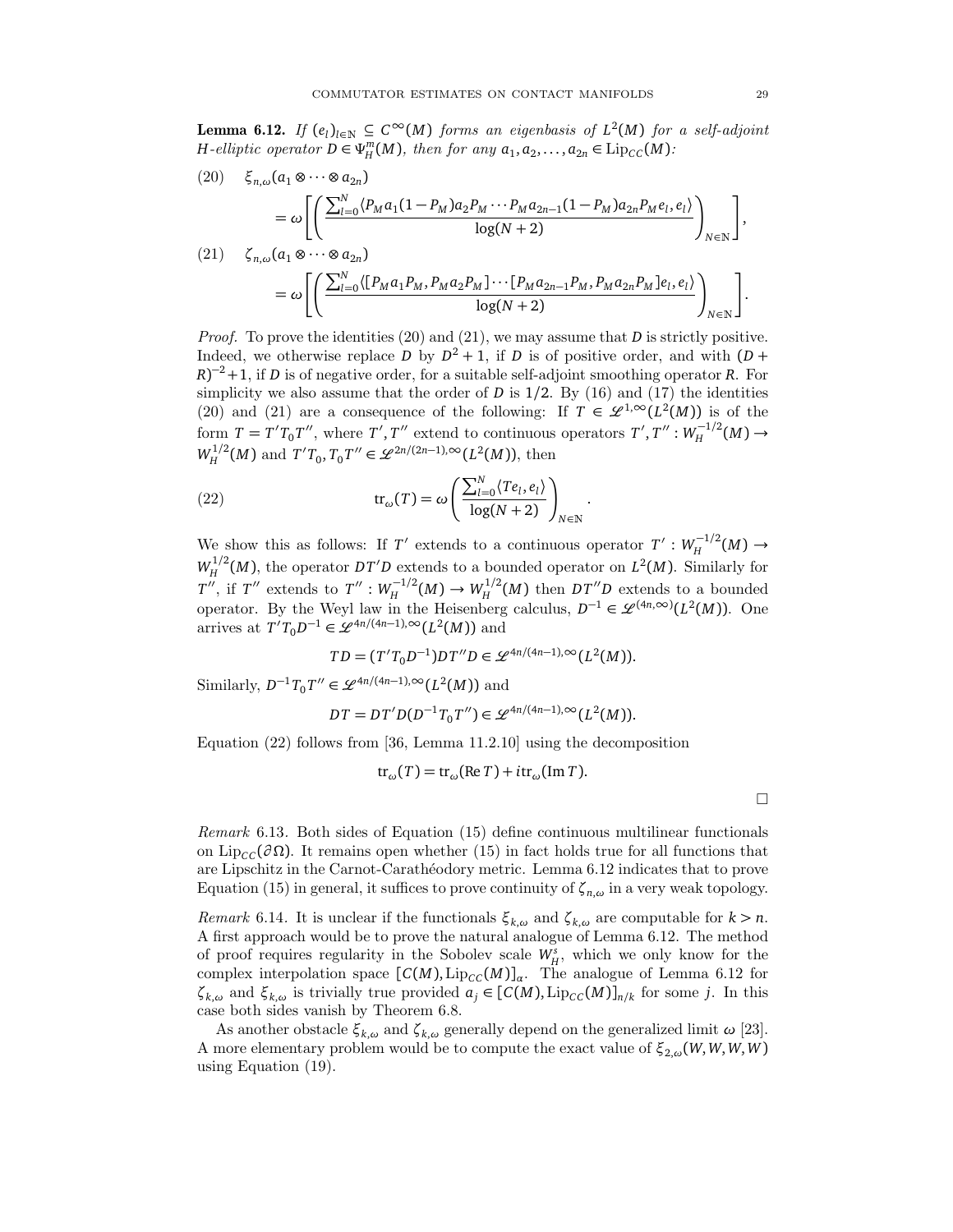**Lemma 6.12.** If  $(e_i)_{i \in \mathbb{N}}$  ⊆  $C^\infty(M)$  forms an eigenbasis of  $L^2(M)$  for a self-adjoint *H*-elliptic operator  $D \in \Psi_H^m(M)$ , then for any  $a_1, a_2, ..., a_{2n} \in \text{Lip}_{CC}(M)$ :

(20) 
$$
\xi_{n,\omega}(a_1 \otimes \cdots \otimes a_{2n}) = \omega \left[ \left( \frac{\sum_{l=0}^{N} \langle P_M a_1 (1 - P_M) a_2 P_M \cdots P_M a_{2n-1} (1 - P_M) a_{2n} P_M e_l, e_l \rangle}{\log(N+2)} \right)_{N \in \mathbb{N}} \right],
$$
  
(21) 
$$
\zeta_{n,\omega}(a_1 \otimes \cdots \otimes a_{2n}) = \omega \left[ \left( \frac{\sum_{l=0}^{N} \langle [P_M a_1 P_M, P_M a_2 P_M] \cdots [P_M a_{2n-1} P_M, P_M a_{2n} P_M] e_l, e_l \rangle}{\log(N+2)} \right)_{N \in \mathbb{N}} \right].
$$

Proof. To prove the identities (20) and (21), we may assume that *D* is strictly positive. Indeed, we otherwise replace *D* by  $D^2 + 1$ , if *D* is of positive order, and with  $(D +$  $(R)^{-2}+1$ , if *D* is of negative order, for a suitable self-adjoint smoothing operator *R*. For simplicity we also assume that the order of  $D$  is  $1/2$ . By  $(16)$  and  $(17)$  the identities (20) and (21) are a consequence of the following: If  $T \in \mathscr{L}^{1,\infty}(L^2(M))$  is of the form  $T = T'T_0T''$ , where  $T', T''$  extend to continuous operators  $T', T'' : W_H^{-1/2}$  $H$ <sup> $H$ </sup><sup>-1/2</sup>(*M*) →  $W_H^{1/2}$  $H^{1/2}(M)$  and  $T'T_0, T_0T'' \in \mathscr{L}^{2n/(2n-1),\infty}(L^2(M))$ , then

(22) 
$$
\operatorname{tr}_{\omega}(T) = \omega \left( \frac{\sum_{l=0}^{N} \langle Te_l, e_l \rangle}{\log(N+2)} \right)_{N \in \mathbb{N}}
$$

We show this as follows: If *T'* extends to a continuous operator  $T': W_H^{-1/2}$  $H$ <sup> $H$ </sup><sup>2</sup> $(M)$  →  $W_H^{1/2}$  $L_H^{1/2}(M)$ , the operator *DT*<sup>'</sup>*D* extends to a bounded operator on *L*<sup>2</sup>(*M*). Similarly for *T*<sup>*i*</sup>, if *T*<sup>*''*</sup> extends to *T*<sup>*''*</sup> :  $W_H^{-1/2}(M) \to W_H^{1/2}(M)$  then *DT*<sup>*''D*</sup> extends to a bounded operator. By the Weyl law in the Heisenberg calculus,  $D^{-1} \in \mathcal{L}^{(4n,\infty)}(L^2(M))$ . One arrives at  $T'T_0D^{-1} \in \mathscr{L}^{4n/(4n-1),\infty}(L^2(M))$  and

.

$$
TD = (T'T_0D^{-1})DT''D \in \mathcal{L}^{4n/(4n-1),\infty}(L^2(M)).
$$

Similarly,  $D^{-1}T_0T'' \in \mathscr{L}^{4n/(4n-1),\infty}(L^2(M))$  and

$$
DT = DT'D(D^{-1}T_0T'') \in \mathcal{L}^{4n/(4n-1),\infty}(L^2(M)).
$$

Equation (22) follows from [36, Lemma 11.2.10] using the decomposition

$$
tr_{\omega}(T) = tr_{\omega}(\text{Re } T) + i tr_{\omega}(\text{Im } T).
$$

 $\Box$ 

Remark 6.13. Both sides of Equation (15) define continuous multilinear functionals on Lip<sub>CC</sub> $(\partial \Omega)$ . It remains open whether (15) in fact holds true for all functions that are Lipschitz in the Carnot-Carath´eodory metric. Lemma 6.12 indicates that to prove Equation (15) in general, it suffices to prove continuity of  $\zeta_{n,\omega}$  in a very weak topology.

*Remark* 6.14. It is unclear if the functionals  $\xi_{k,\omega}$  and  $\zeta_{k,\omega}$  are computable for  $k > n$ . A first approach would be to prove the natural analogue of Lemma 6.12. The method of proof requires regularity in the Sobolev scale  $W_H^s$ , which we only know for the complex interpolation space  $[C(M), Lip_{CC}(M)]_{\alpha}$ . The analogue of Lemma 6.12 for *ζ*<sub>*k*,*ω*</sub> and *ξ*<sub>*k*,*ω*</sub> is trivially true provided *a<sub>j</sub>* ∈ [*C*(*M*), Lip<sub>*CC</sub>*(*M*)]<sub>*n*/*k*</sub> for some *j*. In this</sub> case both sides vanish by Theorem 6.8.

As another obstacle  $\xi_{k,\omega}$  and  $\zeta_{k,\omega}$  generally depend on the generalized limit  $\omega$  [23]. A more elementary problem would be to compute the exact value of  $\xi_{2,\omega}(W,W,W,W)$ using Equation (19).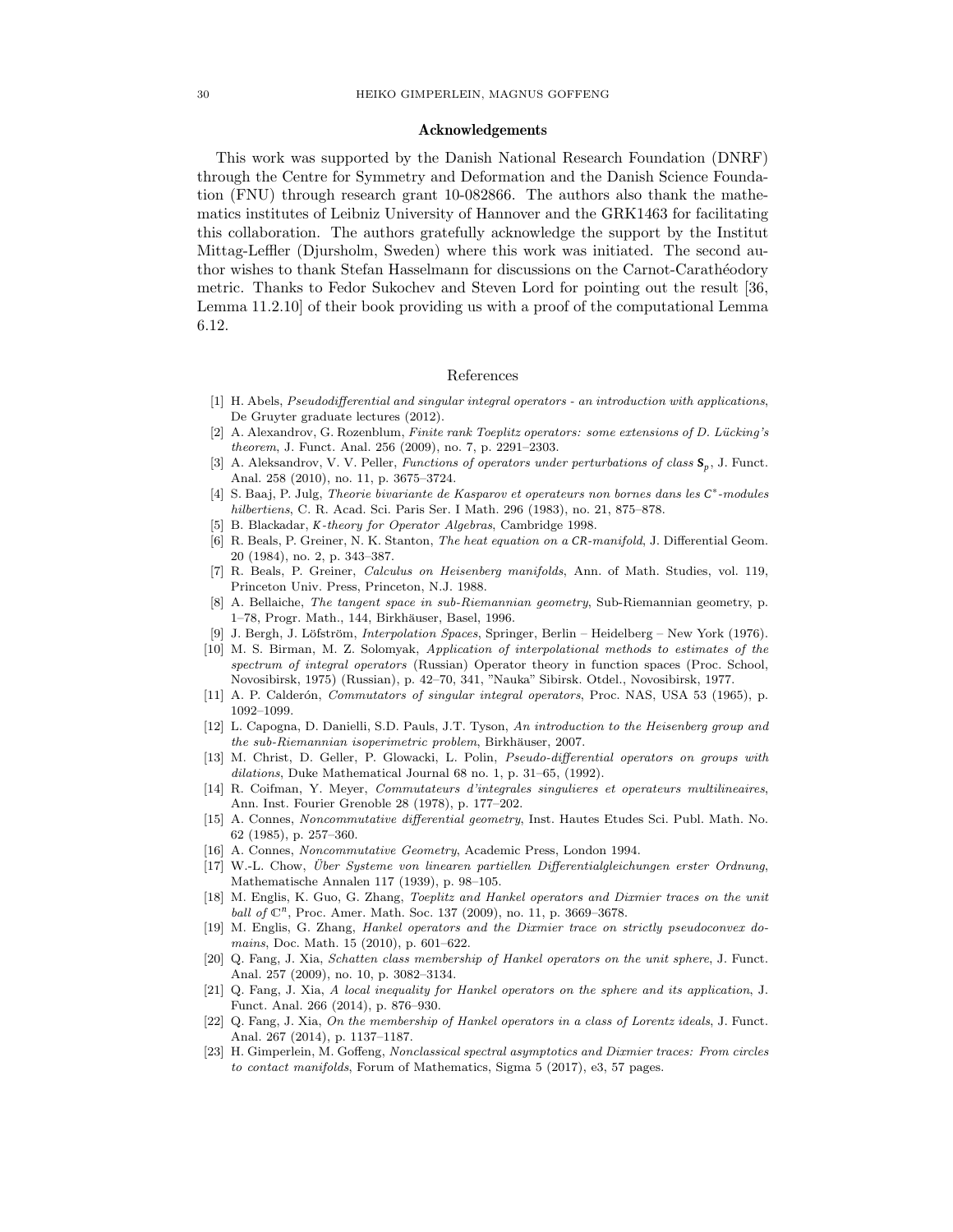#### Acknowledgements

This work was supported by the Danish National Research Foundation (DNRF) through the Centre for Symmetry and Deformation and the Danish Science Foundation (FNU) through research grant 10-082866. The authors also thank the mathematics institutes of Leibniz University of Hannover and the GRK1463 for facilitating this collaboration. The authors gratefully acknowledge the support by the Institut Mittag-Leffler (Djursholm, Sweden) where this work was initiated. The second author wishes to thank Stefan Hasselmann for discussions on the Carnot-Carathéodory metric. Thanks to Fedor Sukochev and Steven Lord for pointing out the result [36, Lemma 11.2.10] of their book providing us with a proof of the computational Lemma 6.12.

## References

- [1] H. Abels, Pseudodifferential and singular integral operators an introduction with applications, De Gruyter graduate lectures (2012).
- [2] A. Alexandrov, G. Rozenblum, Finite rank Toeplitz operators: some extensions of D. Lücking's theorem, J. Funct. Anal. 256 (2009), no. 7, p. 2291–2303.
- [3] A. Aleksandrov, V. V. Peller, Functions of operators under perturbations of class **S***<sup>p</sup>* , J. Funct. Anal. 258 (2010), no. 11, p. 3675–3724.
- [4] S. Baaj, P. Julg, Theorie bivariante de Kasparov et operateurs non bornes dans les *C* ∗ -modules hilbertiens, C. R. Acad. Sci. Paris Ser. I Math. 296 (1983), no. 21, 875–878.
- [5] B. Blackadar, *K*-theory for Operator Algebras, Cambridge 1998.
- [6] R. Beals, P. Greiner, N. K. Stanton, The heat equation on a *CR*-manifold, J. Differential Geom. 20 (1984), no. 2, p. 343–387.
- [7] R. Beals, P. Greiner, Calculus on Heisenberg manifolds, Ann. of Math. Studies, vol. 119, Princeton Univ. Press, Princeton, N.J. 1988.
- [8] A. Bellaiche, The tangent space in sub-Riemannian geometry, Sub-Riemannian geometry, p. 1–78, Progr. Math., 144, Birkhäuser, Basel, 1996.
- [9] J. Bergh, J. Löfström, *Interpolation Spaces*, Springer, Berlin Heidelberg New York (1976).
- [10] M. S. Birman, M. Z. Solomyak, Application of interpolational methods to estimates of the spectrum of integral operators (Russian) Operator theory in function spaces (Proc. School, Novosibirsk, 1975) (Russian), p. 42–70, 341, "Nauka" Sibirsk. Otdel., Novosibirsk, 1977.
- [11] A. P. Calderón, Commutators of singular integral operators, Proc. NAS, USA 53 (1965), p. 1092–1099.
- [12] L. Capogna, D. Danielli, S.D. Pauls, J.T. Tyson, An introduction to the Heisenberg group and the sub-Riemannian isoperimetric problem, Birkhäuser, 2007.
- [13] M. Christ, D. Geller, P. Glowacki, L. Polin, Pseudo-differential operators on groups with dilations, Duke Mathematical Journal 68 no. 1, p. 31–65, (1992).
- [14] R. Coifman, Y. Meyer, Commutateurs d'integrales singulieres et operateurs multilineaires, Ann. Inst. Fourier Grenoble 28 (1978), p. 177–202.
- [15] A. Connes, Noncommutative differential geometry, Inst. Hautes Etudes Sci. Publ. Math. No. 62 (1985), p. 257–360.
- [16] A. Connes, Noncommutative Geometry, Academic Press, London 1994.
- [17] W.-L. Chow, Über Systeme von linearen partiellen Differentialgleichungen erster Ordnung, Mathematische Annalen 117 (1939), p. 98–105.
- [18] M. Englis, K. Guo, G. Zhang, Toeplitz and Hankel operators and Dixmier traces on the unit ball of  $\mathbb{C}^n$ , Proc. Amer. Math. Soc. 137 (2009), no. 11, p. 3669-3678.
- [19] M. Englis, G. Zhang, Hankel operators and the Dixmier trace on strictly pseudoconvex domains, Doc. Math. 15 (2010), p. 601–622.
- [20] Q. Fang, J. Xia, Schatten class membership of Hankel operators on the unit sphere, J. Funct. Anal. 257 (2009), no. 10, p. 3082–3134.
- [21] Q. Fang, J. Xia, A local inequality for Hankel operators on the sphere and its application, J. Funct. Anal. 266 (2014), p. 876–930.
- [22] Q. Fang, J. Xia, On the membership of Hankel operators in a class of Lorentz ideals, J. Funct. Anal. 267 (2014), p. 1137–1187.
- [23] H. Gimperlein, M. Goffeng, Nonclassical spectral asymptotics and Dixmier traces: From circles to contact manifolds, Forum of Mathematics, Sigma 5 (2017), e3, 57 pages.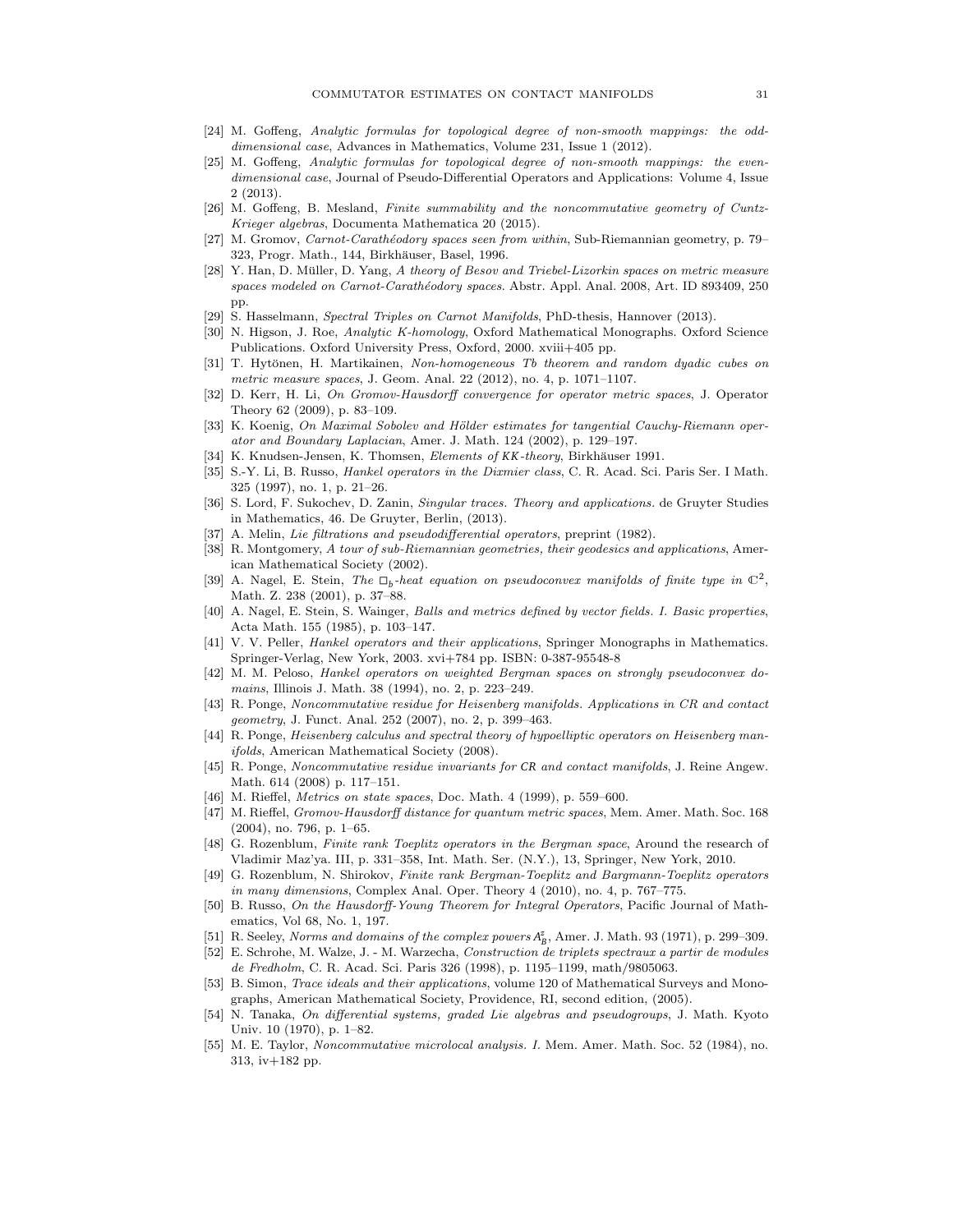- [24] M. Goffeng, Analytic formulas for topological degree of non-smooth mappings: the odddimensional case, Advances in Mathematics, Volume 231, Issue 1 (2012).
- [25] M. Goffeng, Analytic formulas for topological degree of non-smooth mappings: the evendimensional case, Journal of Pseudo-Differential Operators and Applications: Volume 4, Issue 2 (2013).
- [26] M. Goffeng, B. Mesland, Finite summability and the noncommutative geometry of Cuntz-Krieger algebras, Documenta Mathematica 20 (2015).
- [27] M. Gromov, Carnot-Carathéodory spaces seen from within, Sub-Riemannian geometry, p. 79– 323, Progr. Math., 144, Birkhäuser, Basel, 1996.
- [28] Y. Han, D. Müller, D. Yang, A theory of Besov and Triebel-Lizorkin spaces on metric measure spaces modeled on Carnot-Carathéodory spaces. Abstr. Appl. Anal. 2008, Art. ID 893409, 250 pp.
- [29] S. Hasselmann, Spectral Triples on Carnot Manifolds, PhD-thesis, Hannover (2013).
- [30] N. Higson, J. Roe, Analytic K-homology, Oxford Mathematical Monographs. Oxford Science Publications. Oxford University Press, Oxford, 2000. xviii+405 pp.
- [31] T. Hytönen, H. Martikainen, Non-homogeneous Tb theorem and random dyadic cubes on metric measure spaces, J. Geom. Anal. 22 (2012), no. 4, p. 1071–1107.
- [32] D. Kerr, H. Li, On Gromov-Hausdorff convergence for operator metric spaces, J. Operator Theory 62 (2009), p. 83–109.
- [33] K. Koenig, On Maximal Sobolev and Hölder estimates for tangential Cauchy-Riemann operator and Boundary Laplacian, Amer. J. Math. 124 (2002), p. 129–197.
- [34] K. Knudsen-Jensen, K. Thomsen, *Elements of KK-theory*, Birkhäuser 1991.
- [35] S.-Y. Li, B. Russo, Hankel operators in the Dixmier class, C. R. Acad. Sci. Paris Ser. I Math. 325 (1997), no. 1, p. 21–26.
- [36] S. Lord, F. Sukochev, D. Zanin, Singular traces. Theory and applications. de Gruyter Studies in Mathematics, 46. De Gruyter, Berlin, (2013).
- A. Melin, Lie filtrations and pseudodifferential operators, preprint (1982).
- [38] R. Montgomery, A tour of sub-Riemannian geometries, their geodesics and applications, American Mathematical Society (2002).
- [39] A. Nagel, E. Stein, The  $\Box_b$ -heat equation on pseudoconvex manifolds of finite type in  $\mathbb{C}^2$ , Math. Z. 238 (2001), p. 37–88.
- [40] A. Nagel, E. Stein, S. Wainger, Balls and metrics defined by vector fields. I. Basic properties, Acta Math. 155 (1985), p. 103–147.
- [41] V. V. Peller, *Hankel operators and their applications*, Springer Monographs in Mathematics. Springer-Verlag, New York, 2003. xvi+784 pp. ISBN: 0-387-95548-8
- [42] M. M. Peloso, Hankel operators on weighted Bergman spaces on strongly pseudoconvex domains, Illinois J. Math. 38 (1994), no. 2, p. 223–249.
- [43] R. Ponge, Noncommutative residue for Heisenberg manifolds. Applications in CR and contact geometry, J. Funct. Anal. 252 (2007), no. 2, p. 399–463.
- [44] R. Ponge, Heisenberg calculus and spectral theory of hypoelliptic operators on Heisenberg manifolds, American Mathematical Society (2008).
- [45] R. Ponge, Noncommutative residue invariants for *CR* and contact manifolds, J. Reine Angew. Math. 614 (2008) p. 117–151.
- [46] M. Rieffel, Metrics on state spaces, Doc. Math. 4 (1999), p. 559–600.
- [47] M. Rieffel, Gromov-Hausdorff distance for quantum metric spaces, Mem. Amer. Math. Soc. 168 (2004), no. 796, p. 1–65.
- [48] G. Rozenblum, Finite rank Toeplitz operators in the Bergman space, Around the research of Vladimir Maz'ya. III, p. 331–358, Int. Math. Ser. (N.Y.), 13, Springer, New York, 2010.
- [49] G. Rozenblum, N. Shirokov, Finite rank Bergman-Toeplitz and Bargmann-Toeplitz operators in many dimensions, Complex Anal. Oper. Theory 4 (2010), no. 4, p. 767–775.
- [50] B. Russo, On the Hausdorff-Young Theorem for Integral Operators, Pacific Journal of Mathematics, Vol 68, No. 1, 197.
- [51] R. Seeley, Norms and domains of the complex powers  $A^z_B$ , Amer. J. Math. 93 (1971), p. 299–309.
- [52] E. Schrohe, M. Walze, J. M. Warzecha, Construction de triplets spectraux a partir de modules de Fredholm, C. R. Acad. Sci. Paris 326 (1998), p. 1195–1199, math/9805063.
- [53] B. Simon, *Trace ideals and their applications*, volume 120 of Mathematical Surveys and Monographs, American Mathematical Society, Providence, RI, second edition, (2005).
- [54] N. Tanaka, On differential systems, graded Lie algebras and pseudogroups, J. Math. Kyoto Univ. 10 (1970), p. 1–82.
- [55] M. E. Taylor, Noncommutative microlocal analysis. I. Mem. Amer. Math. Soc. 52 (1984), no. 313, iv+182 pp.